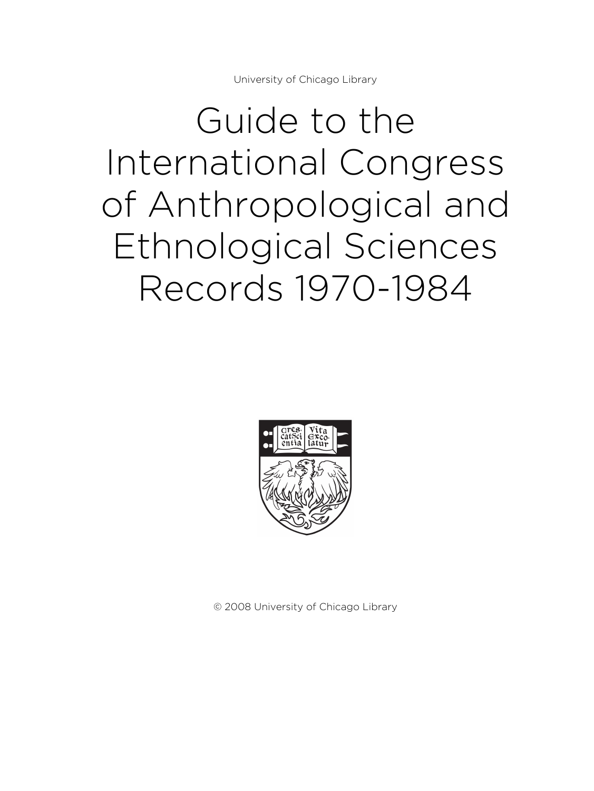University of Chicago Library

Guide to the International Congress of Anthropological and Ethnological Sciences Records 1970-1984



© 2008 University of Chicago Library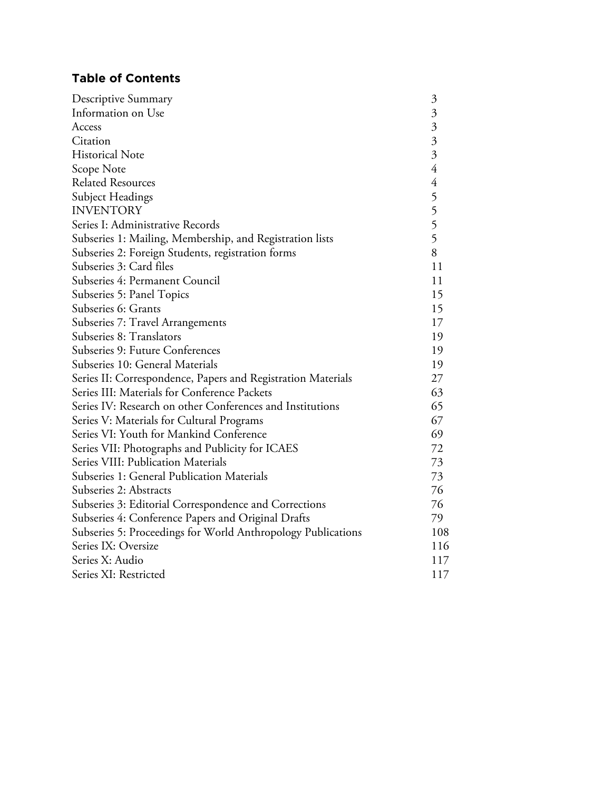# **Table of Contents**

| Descriptive Summary                                          | $\mathfrak{Z}$                             |
|--------------------------------------------------------------|--------------------------------------------|
| Information on Use                                           |                                            |
| Access                                                       |                                            |
| Citation                                                     | $\begin{array}{c} 3 \\ 3 \\ 4 \end{array}$ |
| <b>Historical Note</b>                                       |                                            |
| Scope Note                                                   |                                            |
| <b>Related Resources</b>                                     |                                            |
| Subject Headings                                             | 4555                                       |
| <b>INVENTORY</b>                                             |                                            |
| Series I: Administrative Records                             |                                            |
| Subseries 1: Mailing, Membership, and Registration lists     |                                            |
| Subseries 2: Foreign Students, registration forms            | 8                                          |
| Subseries 3: Card files                                      | 11                                         |
| Subseries 4: Permanent Council                               | 11                                         |
| Subseries 5: Panel Topics                                    | 15                                         |
| Subseries 6: Grants                                          | 15                                         |
| Subseries 7: Travel Arrangements                             | 17                                         |
| Subseries 8: Translators                                     | 19                                         |
| Subseries 9: Future Conferences                              | 19                                         |
| Subseries 10: General Materials                              | 19                                         |
| Series II: Correspondence, Papers and Registration Materials | 27                                         |
| Series III: Materials for Conference Packets                 | 63                                         |
| Series IV: Research on other Conferences and Institutions    | 65                                         |
| Series V: Materials for Cultural Programs                    | 67                                         |
| Series VI: Youth for Mankind Conference                      | 69                                         |
| Series VII: Photographs and Publicity for ICAES              | 72                                         |
| Series VIII: Publication Materials                           | 73                                         |
| Subseries 1: General Publication Materials                   | 73                                         |
| Subseries 2: Abstracts                                       | 76                                         |
| Subseries 3: Editorial Correspondence and Corrections        | 76                                         |
| Subseries 4: Conference Papers and Original Drafts           | 79                                         |
| Subseries 5: Proceedings for World Anthropology Publications | 108                                        |
| Series IX: Oversize                                          | 116                                        |
| Series X: Audio                                              | 117                                        |
| Series XI: Restricted                                        | 117                                        |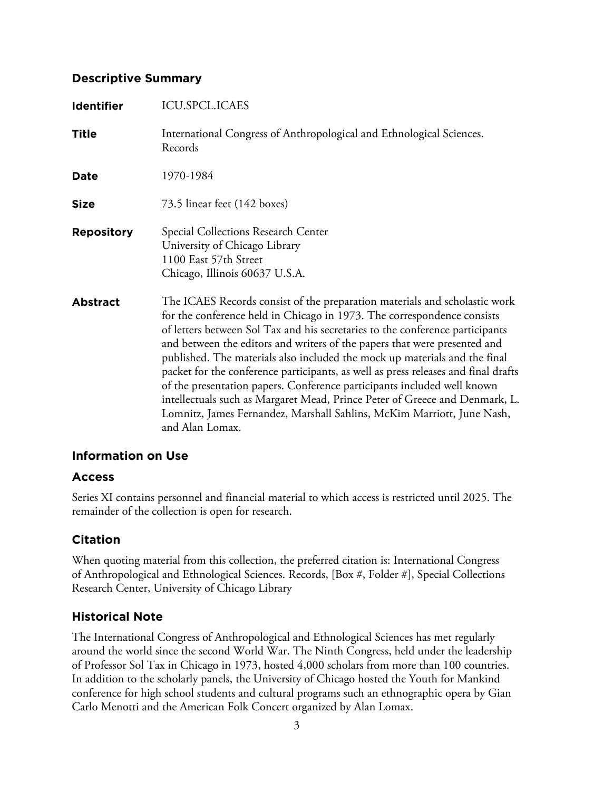## **Descriptive Summary**

| <b>Identifier</b> | <b>ICU.SPCL.ICAES</b>                                                                                                                                                                                                                                                                                                                                                                                                                                                                                                                                                                                                                                                                                                                          |
|-------------------|------------------------------------------------------------------------------------------------------------------------------------------------------------------------------------------------------------------------------------------------------------------------------------------------------------------------------------------------------------------------------------------------------------------------------------------------------------------------------------------------------------------------------------------------------------------------------------------------------------------------------------------------------------------------------------------------------------------------------------------------|
| <b>Title</b>      | International Congress of Anthropological and Ethnological Sciences.<br>Records                                                                                                                                                                                                                                                                                                                                                                                                                                                                                                                                                                                                                                                                |
| Date              | 1970-1984                                                                                                                                                                                                                                                                                                                                                                                                                                                                                                                                                                                                                                                                                                                                      |
| <b>Size</b>       | 73.5 linear feet (142 boxes)                                                                                                                                                                                                                                                                                                                                                                                                                                                                                                                                                                                                                                                                                                                   |
| <b>Repository</b> | Special Collections Research Center<br>University of Chicago Library<br>1100 East 57th Street<br>Chicago, Illinois 60637 U.S.A.                                                                                                                                                                                                                                                                                                                                                                                                                                                                                                                                                                                                                |
| <b>Abstract</b>   | The ICAES Records consist of the preparation materials and scholastic work<br>for the conference held in Chicago in 1973. The correspondence consists<br>of letters between Sol Tax and his secretaries to the conference participants<br>and between the editors and writers of the papers that were presented and<br>published. The materials also included the mock up materials and the final<br>packet for the conference participants, as well as press releases and final drafts<br>of the presentation papers. Conference participants included well known<br>intellectuals such as Margaret Mead, Prince Peter of Greece and Denmark, L.<br>Lomnitz, James Fernandez, Marshall Sahlins, McKim Marriott, June Nash,<br>and Alan Lomax. |

## **Information on Use**

## **Access**

Series XI contains personnel and financial material to which access is restricted until 2025. The remainder of the collection is open for research.

# **Citation**

When quoting material from this collection, the preferred citation is: International Congress of Anthropological and Ethnological Sciences. Records, [Box #, Folder #], Special Collections Research Center, University of Chicago Library

# **Historical Note**

The International Congress of Anthropological and Ethnological Sciences has met regularly around the world since the second World War. The Ninth Congress, held under the leadership of Professor Sol Tax in Chicago in 1973, hosted 4,000 scholars from more than 100 countries. In addition to the scholarly panels, the University of Chicago hosted the Youth for Mankind conference for high school students and cultural programs such an ethnographic opera by Gian Carlo Menotti and the American Folk Concert organized by Alan Lomax.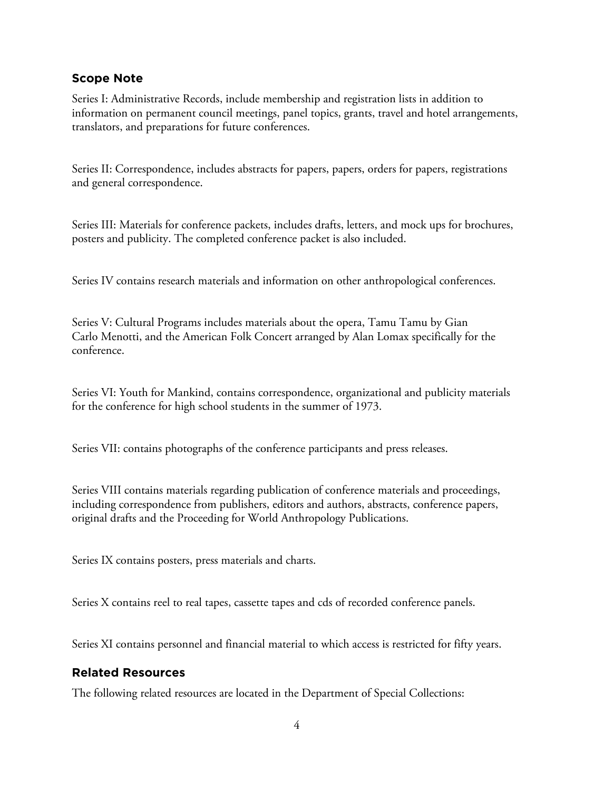## **Scope Note**

Series I: Administrative Records, include membership and registration lists in addition to information on permanent council meetings, panel topics, grants, travel and hotel arrangements, translators, and preparations for future conferences.

Series II: Correspondence, includes abstracts for papers, papers, orders for papers, registrations and general correspondence.

Series III: Materials for conference packets, includes drafts, letters, and mock ups for brochures, posters and publicity. The completed conference packet is also included.

Series IV contains research materials and information on other anthropological conferences.

Series V: Cultural Programs includes materials about the opera, Tamu Tamu by Gian Carlo Menotti, and the American Folk Concert arranged by Alan Lomax specifically for the conference.

Series VI: Youth for Mankind, contains correspondence, organizational and publicity materials for the conference for high school students in the summer of 1973.

Series VII: contains photographs of the conference participants and press releases.

Series VIII contains materials regarding publication of conference materials and proceedings, including correspondence from publishers, editors and authors, abstracts, conference papers, original drafts and the Proceeding for World Anthropology Publications.

Series IX contains posters, press materials and charts.

Series X contains reel to real tapes, cassette tapes and cds of recorded conference panels.

Series XI contains personnel and financial material to which access is restricted for fifty years.

## **Related Resources**

The following related resources are located in the Department of Special Collections: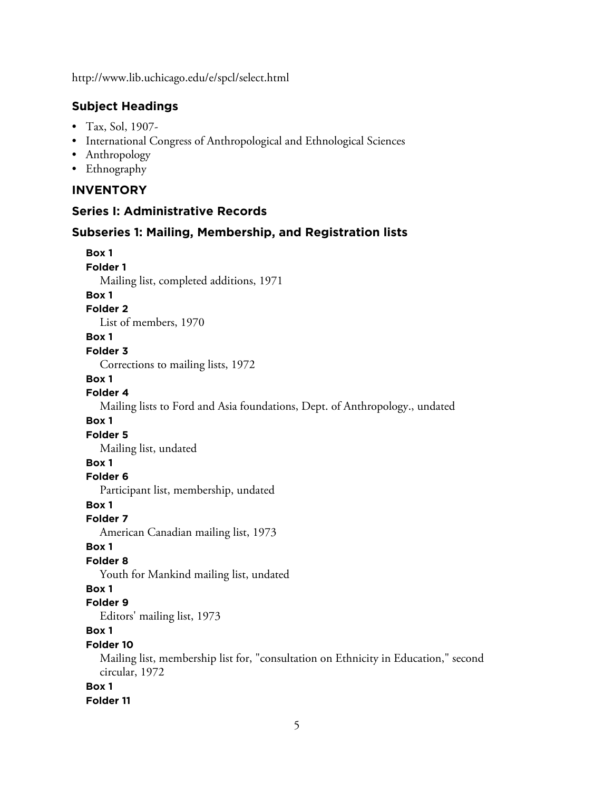http://www.lib.uchicago.edu/e/spcl/select.html

## **Subject Headings**

- Tax, Sol, 1907-
- International Congress of Anthropological and Ethnological Sciences
- Anthropology
- Ethnography

## **INVENTORY**

## **Series I: Administrative Records**

## **Subseries 1: Mailing, Membership, and Registration lists**

**Box 1 Folder 1** Mailing list, completed additions, 1971 **Box 1 Folder 2** List of members, 1970 **Box 1 Folder 3** Corrections to mailing lists, 1972 **Box 1 Folder 4** Mailing lists to Ford and Asia foundations, Dept. of Anthropology., undated **Box 1 Folder 5** Mailing list, undated **Box 1 Folder 6** Participant list, membership, undated **Box 1 Folder 7** American Canadian mailing list, 1973 **Box 1 Folder 8** Youth for Mankind mailing list, undated **Box 1 Folder 9** Editors' mailing list, 1973 **Box 1 Folder 10** Mailing list, membership list for, "consultation on Ethnicity in Education," second circular, 1972 **Box 1 Folder 11**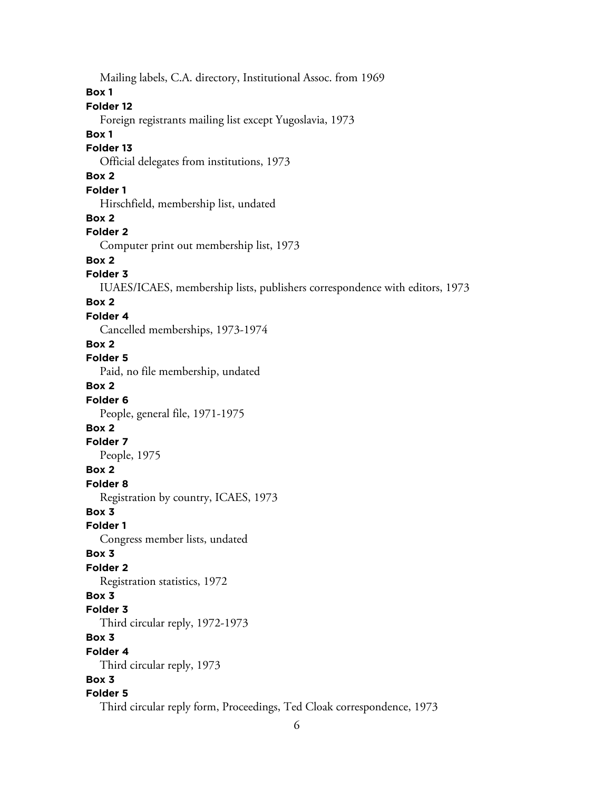Mailing labels, C.A. directory, Institutional Assoc. from 1969 **Box 1 Folder 12** Foreign registrants mailing list except Yugoslavia, 1973 **Box 1 Folder 13** Official delegates from institutions, 1973 **Box 2 Folder 1** Hirschfield, membership list, undated **Box 2 Folder 2** Computer print out membership list, 1973 **Box 2 Folder 3** IUAES/ICAES, membership lists, publishers correspondence with editors, 1973 **Box 2 Folder 4** Cancelled memberships, 1973-1974 **Box 2 Folder 5** Paid, no file membership, undated **Box 2 Folder 6** People, general file, 1971-1975 **Box 2 Folder 7** People, 1975 **Box 2 Folder 8** Registration by country, ICAES, 1973 **Box 3 Folder 1** Congress member lists, undated **Box 3 Folder 2** Registration statistics, 1972 **Box 3 Folder 3** Third circular reply, 1972-1973 **Box 3 Folder 4** Third circular reply, 1973 **Box 3 Folder 5** Third circular reply form, Proceedings, Ted Cloak correspondence, 1973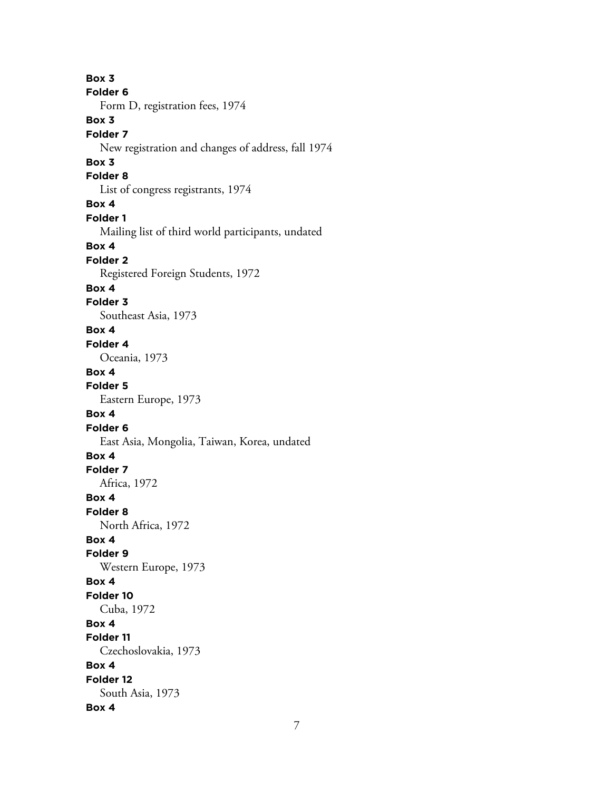**Box 3 Folder 6** Form D, registration fees, 1974 **Box 3 Folder 7** New registration and changes of address, fall 1974 **Box 3 Folder 8** List of congress registrants, 1974 **Box 4 Folder 1** Mailing list of third world participants, undated **Box 4 Folder 2** Registered Foreign Students, 1972 **Box 4 Folder 3** Southeast Asia, 1973 **Box 4 Folder 4** Oceania, 1973 **Box 4 Folder 5** Eastern Europe, 1973 **Box 4 Folder 6** East Asia, Mongolia, Taiwan, Korea, undated **Box 4 Folder 7** Africa, 1972 **Box 4 Folder 8** North Africa, 1972 **Box 4 Folder 9** Western Europe, 1973 **Box 4 Folder 10** Cuba, 1972 **Box 4 Folder 11** Czechoslovakia, 1973 **Box 4 Folder 12** South Asia, 1973 **Box 4**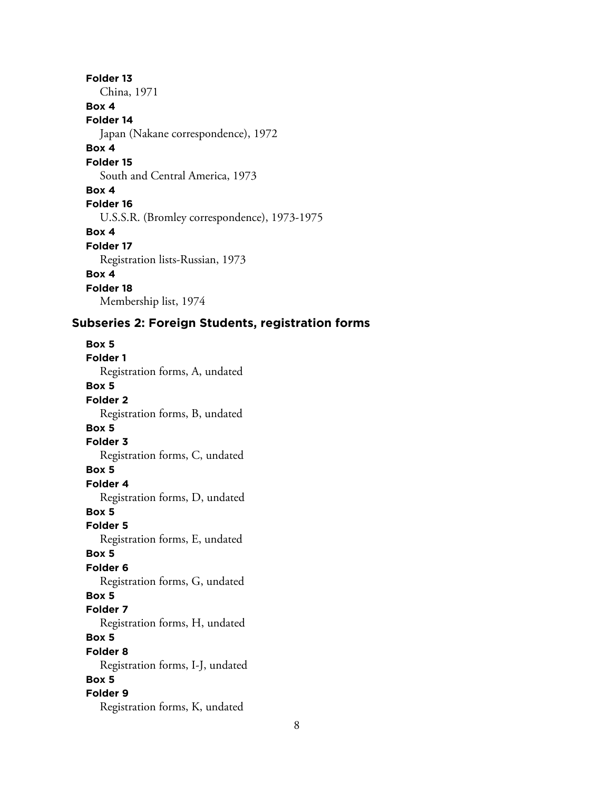**Folder 13** China, 1971 **Box 4 Folder 14** Japan (Nakane correspondence), 1972 **Box 4 Folder 15** South and Central America, 1973 **Box 4 Folder 16** U.S.S.R. (Bromley correspondence), 1973-1975 **Box 4 Folder 17** Registration lists-Russian, 1973 **Box 4 Folder 18** Membership list, 1974

# **Subseries 2: Foreign Students, registration forms**

**Box 5 Folder 1** Registration forms, A, undated **Box 5 Folder 2** Registration forms, B, undated **Box 5 Folder 3** Registration forms, C, undated **Box 5 Folder 4** Registration forms, D, undated **Box 5 Folder 5** Registration forms, E, undated **Box 5 Folder 6** Registration forms, G, undated **Box 5 Folder 7** Registration forms, H, undated **Box 5 Folder 8** Registration forms, I-J, undated **Box 5 Folder 9** Registration forms, K, undated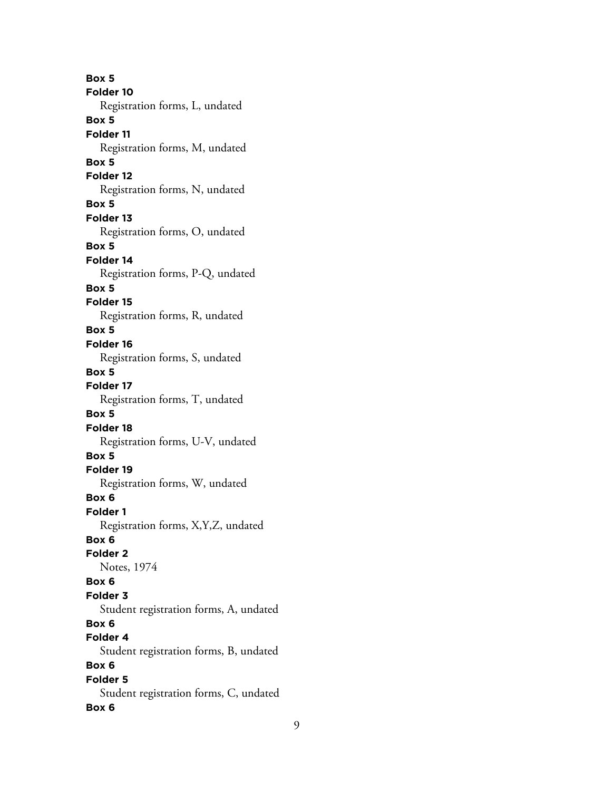**Box 5 Folder 10** Registration forms, L, undated **Box 5 Folder 11** Registration forms, M, undated **Box 5 Folder 12** Registration forms, N, undated **Box 5 Folder 13** Registration forms, O, undated **Box 5 Folder 14** Registration forms, P-Q, undated **Box 5 Folder 15** Registration forms, R, undated **Box 5 Folder 16** Registration forms, S, undated **Box 5 Folder 17** Registration forms, T, undated **Box 5 Folder 18** Registration forms, U-V, undated **Box 5 Folder 19** Registration forms, W, undated **Box 6 Folder 1** Registration forms, X,Y,Z, undated **Box 6 Folder 2** Notes, 1974 **Box 6 Folder 3** Student registration forms, A, undated **Box 6 Folder 4** Student registration forms, B, undated **Box 6 Folder 5** Student registration forms, C, undated **Box 6**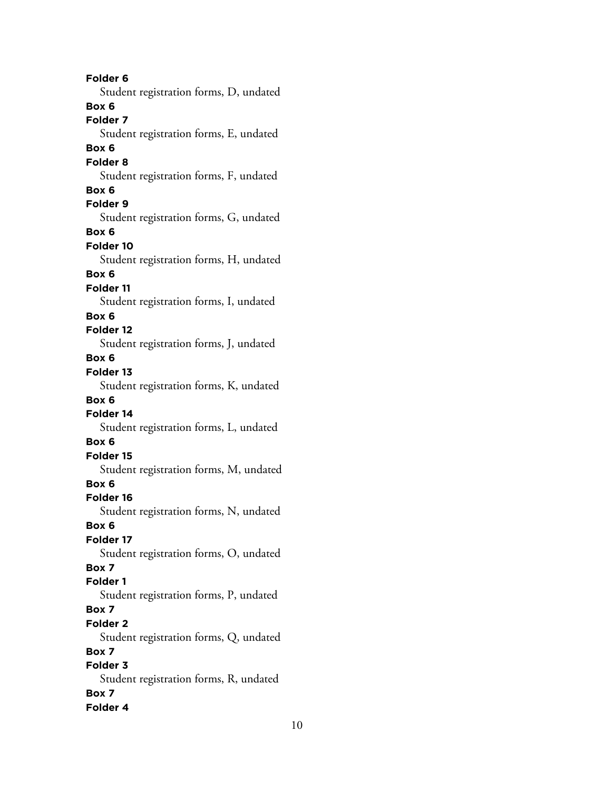**Folder 6** Student registration forms, D, undated **Box 6 Folder 7** Student registration forms, E, undated **Box 6 Folder 8** Student registration forms, F, undated **Box 6 Folder 9** Student registration forms, G, undated **Box 6 Folder 10** Student registration forms, H, undated **Box 6 Folder 11** Student registration forms, I, undated **Box 6 Folder 12** Student registration forms, J, undated **Box 6 Folder 13** Student registration forms, K, undated **Box 6 Folder 14** Student registration forms, L, undated **Box 6 Folder 15** Student registration forms, M, undated **Box 6 Folder 16** Student registration forms, N, undated **Box 6 Folder 17** Student registration forms, O, undated **Box 7 Folder 1** Student registration forms, P, undated **Box 7 Folder 2** Student registration forms, Q, undated **Box 7 Folder 3** Student registration forms, R, undated **Box 7 Folder 4**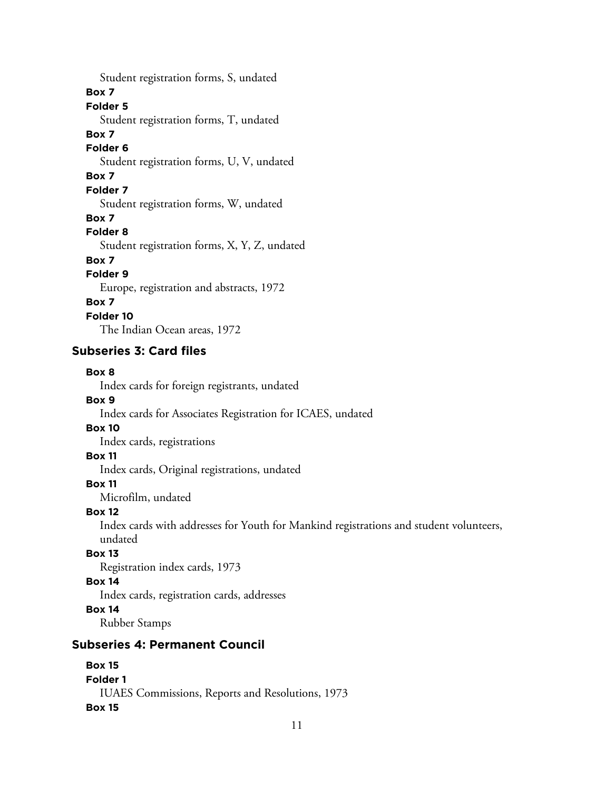Student registration forms, S, undated **Box 7 Folder 5** Student registration forms, T, undated **Box 7 Folder 6** Student registration forms, U, V, undated **Box 7 Folder 7** Student registration forms, W, undated **Box 7 Folder 8** Student registration forms, X, Y, Z, undated **Box 7 Folder 9** Europe, registration and abstracts, 1972 **Box 7 Folder 10**

The Indian Ocean areas, 1972

## **Subseries 3: Card files**

#### **Box 8**

Index cards for foreign registrants, undated

#### **Box 9**

Index cards for Associates Registration for ICAES, undated

## **Box 10**

Index cards, registrations

#### **Box 11**

Index cards, Original registrations, undated

## **Box 11**

Microfilm, undated

## **Box 12**

Index cards with addresses for Youth for Mankind registrations and student volunteers, undated

## **Box 13**

Registration index cards, 1973

#### **Box 14**

Index cards, registration cards, addresses

## **Box 14**

Rubber Stamps

## **Subseries 4: Permanent Council**

| <b>Box 15</b>                                    |
|--------------------------------------------------|
| Folder 1                                         |
| IUAES Commissions, Reports and Resolutions, 1973 |
| <b>Box 15</b>                                    |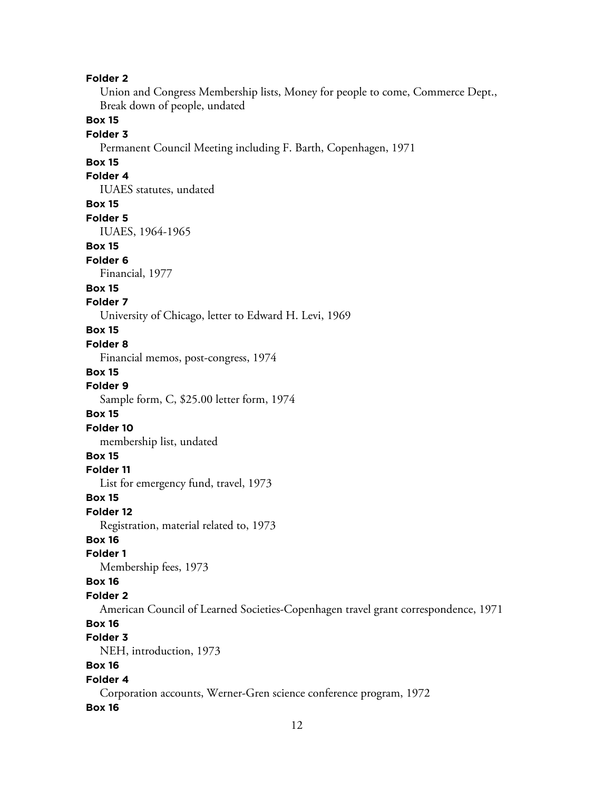#### **Folder 2**

Union and Congress Membership lists, Money for people to come, Commerce Dept., Break down of people, undated

## **Box 15**

#### **Folder 3**

Permanent Council Meeting including F. Barth, Copenhagen, 1971

## **Box 15**

## **Folder 4**

IUAES statutes, undated

#### **Box 15**

#### **Folder 5**

IUAES, 1964-1965

#### **Box 15**

#### **Folder 6**

Financial, 1977

#### **Box 15**

#### **Folder 7**

University of Chicago, letter to Edward H. Levi, 1969

## **Box 15**

#### **Folder 8**

Financial memos, post-congress, 1974

#### **Box 15**

**Folder 9** Sample form, C, \$25.00 letter form, 1974

#### **Box 15**

**Folder 10**

membership list, undated

#### **Box 15**

#### **Folder 11**

List for emergency fund, travel, 1973

#### **Box 15**

#### **Folder 12**

Registration, material related to, 1973

#### **Box 16**

## **Folder 1**

Membership fees, 1973

#### **Box 16**

#### **Folder 2**

American Council of Learned Societies-Copenhagen travel grant correspondence, 1971

## **Box 16**

# **Folder 3**

NEH, introduction, 1973

## **Box 16**

#### **Folder 4**

Corporation accounts, Werner-Gren science conference program, 1972

#### **Box 16**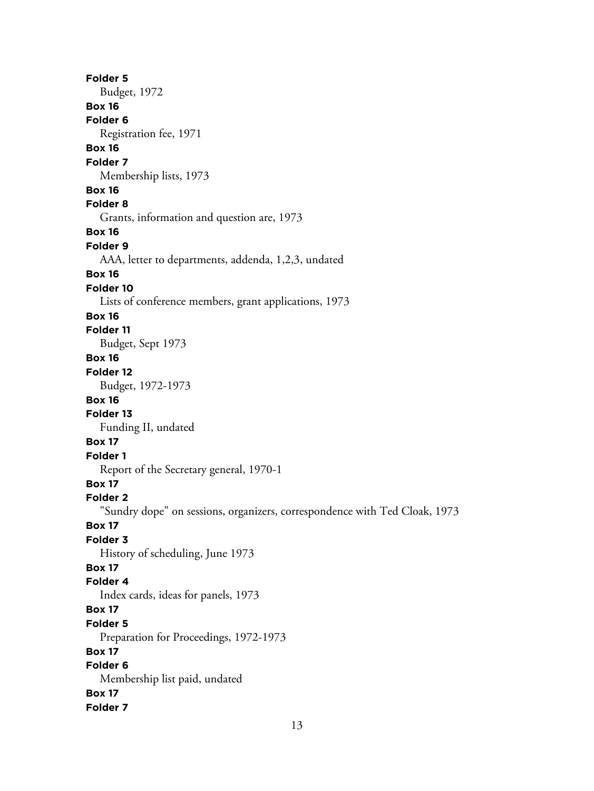**Folder 5** Budget, 1972 **Box 16 Folder 6** Registration fee, 1971 **Box 16 Folder 7** Membership lists, 1973 **Box 16 Folder 8** Grants, information and question are, 1973 **Box 16 Folder 9** AAA, letter to departments, addenda, 1,2,3, undated **Box 16 Folder 10** Lists of conference members, grant applications, 1973 **Box 16 Folder 11** Budget, Sept 1973 **Box 16 Folder 12** Budget, 1972-1973 **Box 16 Folder 13** Funding II, undated **Box 17 Folder 1** Report of the Secretary general, 1970-1 **Box 17 Folder 2** "Sundry dope" on sessions, organizers, correspondence with Ted Cloak, 1973 **Box 17 Folder 3** History of scheduling, June 1973 **Box 17 Folder 4** Index cards, ideas for panels, 1973 **Box 17 Folder 5** Preparation for Proceedings, 1972-1973 **Box 17 Folder 6** Membership list paid, undated **Box 17 Folder 7**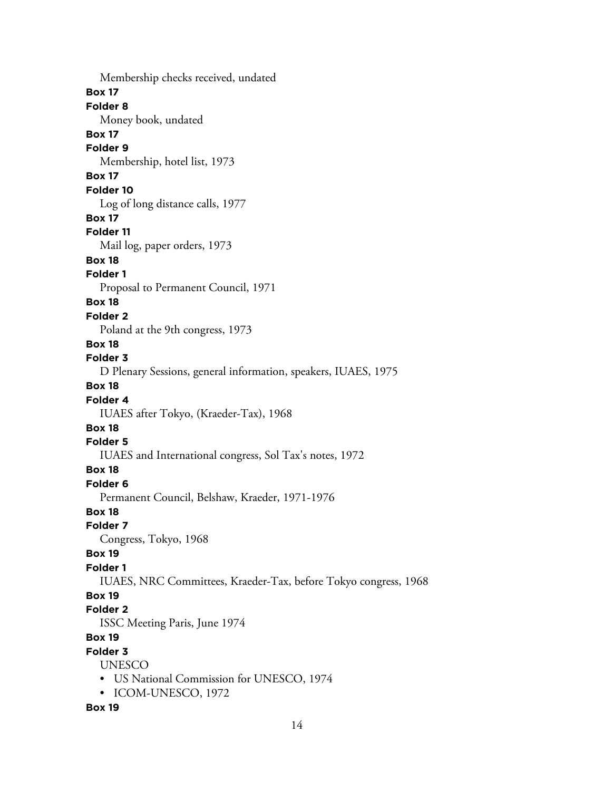Membership checks received, undated **Box 17 Folder 8** Money book, undated **Box 17 Folder 9** Membership, hotel list, 1973 **Box 17 Folder 10** Log of long distance calls, 1977 **Box 17 Folder 11** Mail log, paper orders, 1973 **Box 18 Folder 1** Proposal to Permanent Council, 1971 **Box 18 Folder 2** Poland at the 9th congress, 1973 **Box 18 Folder 3** D Plenary Sessions, general information, speakers, IUAES, 1975 **Box 18 Folder 4** IUAES after Tokyo, (Kraeder-Tax), 1968 **Box 18 Folder 5** IUAES and International congress, Sol Tax's notes, 1972 **Box 18 Folder 6** Permanent Council, Belshaw, Kraeder, 1971-1976 **Box 18 Folder 7** Congress, Tokyo, 1968 **Box 19 Folder 1** IUAES, NRC Committees, Kraeder-Tax, before Tokyo congress, 1968 **Box 19 Folder 2** ISSC Meeting Paris, June 1974 **Box 19 Folder 3** UNESCO • US National Commission for UNESCO, 1974 • ICOM-UNESCO, 1972 **Box 19**

14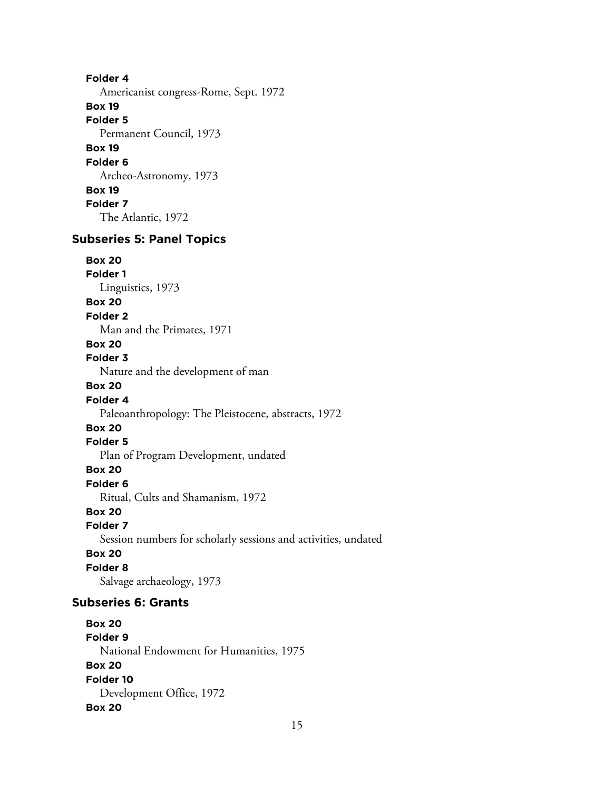**Folder 4** Americanist congress-Rome, Sept. 1972 **Box 19 Folder 5** Permanent Council, 1973 **Box 19 Folder 6** Archeo-Astronomy, 1973 **Box 19 Folder 7** The Atlantic, 1972

# **Subseries 5: Panel Topics**

**Box 20 Folder 1**

Linguistics, 1973

## **Box 20**

**Folder 2**

Man and the Primates, 1971

# **Box 20**

**Folder 3**

Nature and the development of man

## **Box 20**

**Folder 4**

Paleoanthropology: The Pleistocene, abstracts, 1972

# **Box 20**

**Folder 5**

Plan of Program Development, undated

## **Box 20**

**Folder 6**

Ritual, Cults and Shamanism, 1972

## **Box 20**

**Folder 7**

Session numbers for scholarly sessions and activities, undated

## **Box 20**

**Folder 8**

Salvage archaeology, 1973

## **Subseries 6: Grants**

**Box 20 Folder 9** National Endowment for Humanities, 1975 **Box 20 Folder 10** Development Office, 1972 **Box 20**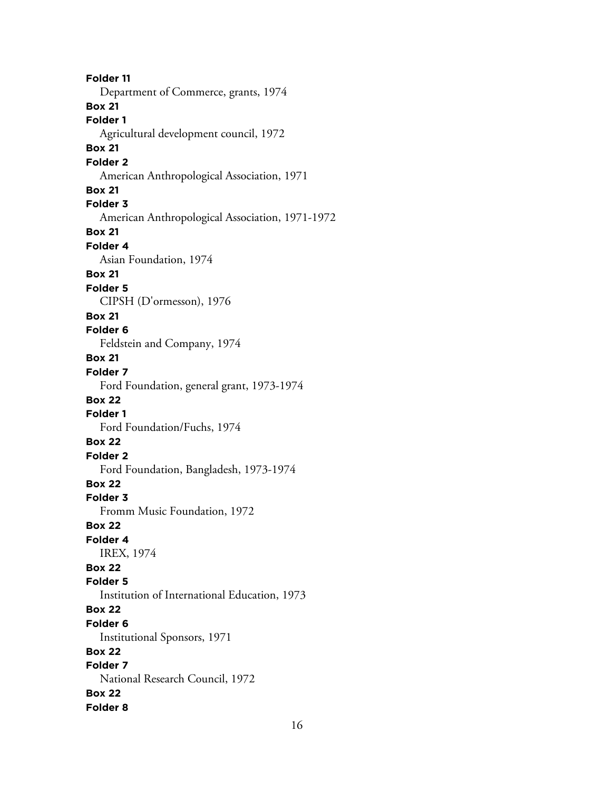**Folder 11** Department of Commerce, grants, 1974 **Box 21 Folder 1** Agricultural development council, 1972 **Box 21 Folder 2** American Anthropological Association, 1971 **Box 21 Folder 3** American Anthropological Association, 1971-1972 **Box 21 Folder 4** Asian Foundation, 1974 **Box 21 Folder 5** CIPSH (D'ormesson), 1976 **Box 21 Folder 6** Feldstein and Company, 1974 **Box 21 Folder 7** Ford Foundation, general grant, 1973-1974 **Box 22 Folder 1** Ford Foundation/Fuchs, 1974 **Box 22 Folder 2** Ford Foundation, Bangladesh, 1973-1974 **Box 22 Folder 3** Fromm Music Foundation, 1972 **Box 22 Folder 4** IREX, 1974 **Box 22 Folder 5** Institution of International Education, 1973 **Box 22 Folder 6** Institutional Sponsors, 1971 **Box 22 Folder 7** National Research Council, 1972 **Box 22 Folder 8**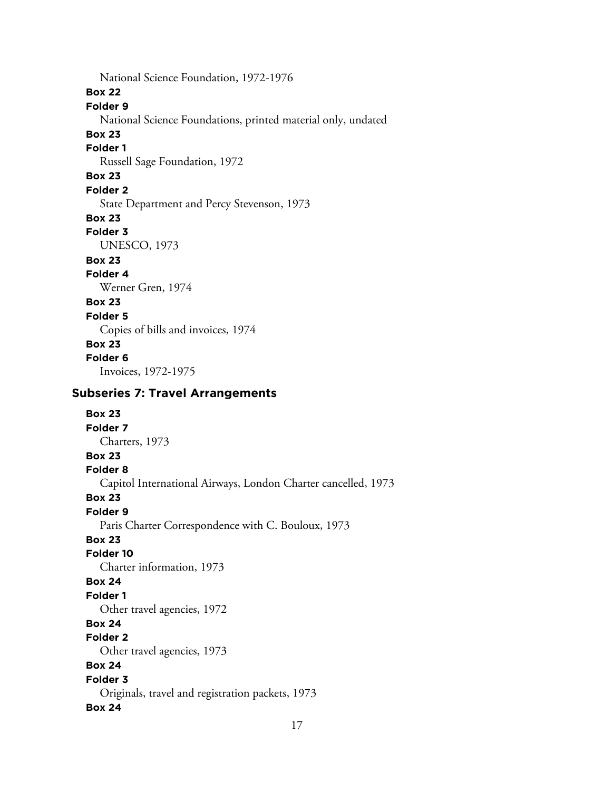National Science Foundation, 1972-1976 **Box 22 Folder 9** National Science Foundations, printed material only, undated **Box 23 Folder 1** Russell Sage Foundation, 1972 **Box 23 Folder 2** State Department and Percy Stevenson, 1973 **Box 23 Folder 3** UNESCO, 1973 **Box 23 Folder 4** Werner Gren, 1974 **Box 23 Folder 5** Copies of bills and invoices, 1974 **Box 23 Folder 6** Invoices, 1972-1975 **Subseries 7: Travel Arrangements Box 23 Folder 7** Charters, 1973 **Box 23**

# **Folder 8**

Capitol International Airways, London Charter cancelled, 1973

**Box 23**

## **Folder 9**

Paris Charter Correspondence with C. Bouloux, 1973

## **Box 23**

**Folder 10**

Charter information, 1973

## **Box 24**

**Folder 1**

Other travel agencies, 1972

#### **Box 24 Folder 2**

Other travel agencies, 1973

## **Box 24**

## **Folder 3**

Originals, travel and registration packets, 1973

## **Box 24**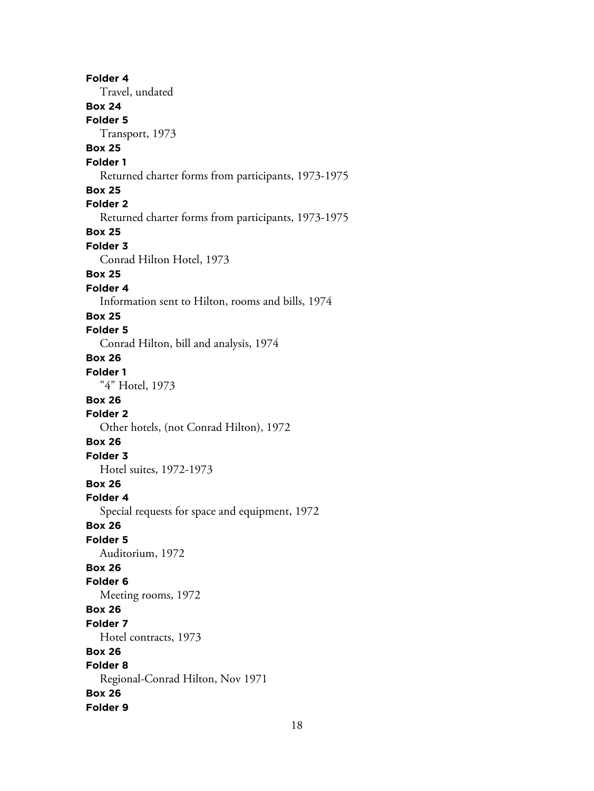**Folder 4** Travel, undated **Box 24 Folder 5** Transport, 1973 **Box 25 Folder 1** Returned charter forms from participants, 1973-1975 **Box 25 Folder 2** Returned charter forms from participants, 1973-1975 **Box 25 Folder 3** Conrad Hilton Hotel, 1973 **Box 25 Folder 4** Information sent to Hilton, rooms and bills, 1974 **Box 25 Folder 5** Conrad Hilton, bill and analysis, 1974 **Box 26 Folder 1** "4" Hotel, 1973 **Box 26 Folder 2** Other hotels, (not Conrad Hilton), 1972 **Box 26 Folder 3** Hotel suites, 1972-1973 **Box 26 Folder 4** Special requests for space and equipment, 1972 **Box 26 Folder 5** Auditorium, 1972 **Box 26 Folder 6** Meeting rooms, 1972 **Box 26 Folder 7** Hotel contracts, 1973 **Box 26 Folder 8** Regional-Conrad Hilton, Nov 1971 **Box 26 Folder 9**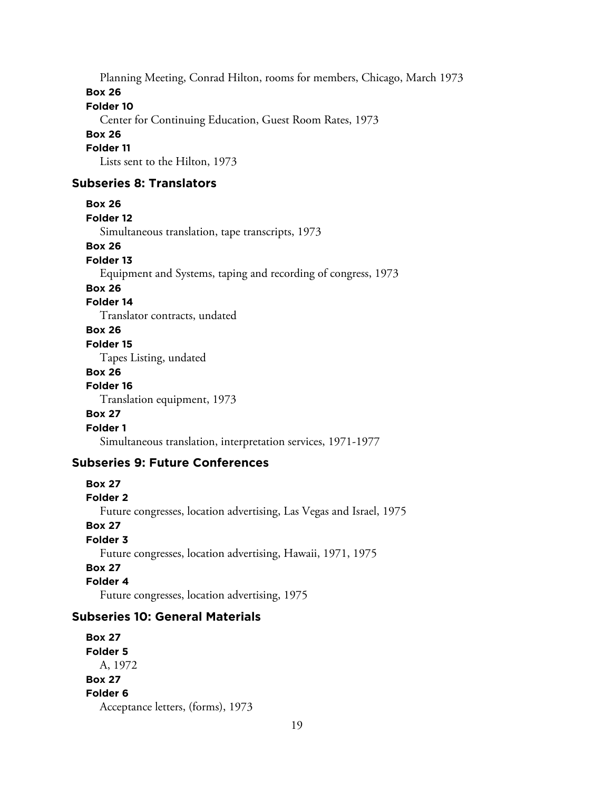Planning Meeting, Conrad Hilton, rooms for members, Chicago, March 1973 **Box 26**

**Folder 10**

Center for Continuing Education, Guest Room Rates, 1973

## **Box 26**

#### **Folder 11**

Lists sent to the Hilton, 1973

## **Subseries 8: Translators**

```
Box 26
```

```
Folder 12
```
Simultaneous translation, tape transcripts, 1973

#### **Box 26**

#### **Folder 13**

Equipment and Systems, taping and recording of congress, 1973

#### **Box 26**

## **Folder 14**

Translator contracts, undated

## **Box 26**

#### **Folder 15**

Tapes Listing, undated

#### **Box 26**

**Folder 16**

Translation equipment, 1973

#### **Box 27**

## **Folder 1**

Simultaneous translation, interpretation services, 1971-1977

## **Subseries 9: Future Conferences**

## **Box 27 Folder 2** Future congresses, location advertising, Las Vegas and Israel, 1975 **Box 27 Folder 3** Future congresses, location advertising, Hawaii, 1971, 1975 **Box 27 Folder 4**

Future congresses, location advertising, 1975

# **Subseries 10: General Materials**

**Box 27 Folder 5** A, 1972 **Box 27 Folder 6** Acceptance letters, (forms), 1973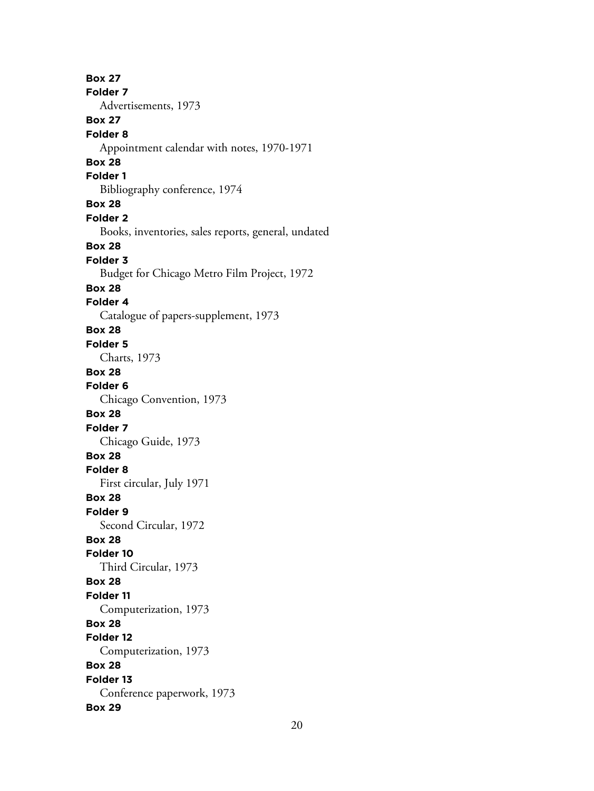**Box 27 Folder 7** Advertisements, 1973 **Box 27 Folder 8** Appointment calendar with notes, 1970-1971 **Box 28 Folder 1** Bibliography conference, 1974 **Box 28 Folder 2** Books, inventories, sales reports, general, undated **Box 28 Folder 3** Budget for Chicago Metro Film Project, 1972 **Box 28 Folder 4** Catalogue of papers-supplement, 1973 **Box 28 Folder 5** Charts, 1973 **Box 28 Folder 6** Chicago Convention, 1973 **Box 28 Folder 7** Chicago Guide, 1973 **Box 28 Folder 8** First circular, July 1971 **Box 28 Folder 9** Second Circular, 1972 **Box 28 Folder 10** Third Circular, 1973 **Box 28 Folder 11** Computerization, 1973 **Box 28 Folder 12** Computerization, 1973 **Box 28 Folder 13** Conference paperwork, 1973 **Box 29**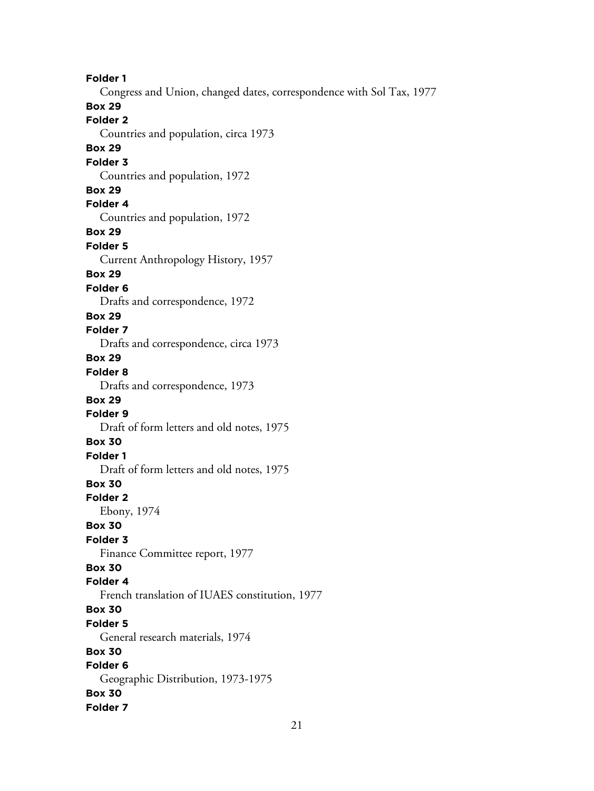**Folder 1** Congress and Union, changed dates, correspondence with Sol Tax, 1977 **Box 29 Folder 2** Countries and population, circa 1973 **Box 29 Folder 3** Countries and population, 1972 **Box 29 Folder 4** Countries and population, 1972 **Box 29 Folder 5** Current Anthropology History, 1957 **Box 29 Folder 6** Drafts and correspondence, 1972 **Box 29 Folder 7** Drafts and correspondence, circa 1973 **Box 29 Folder 8** Drafts and correspondence, 1973 **Box 29 Folder 9** Draft of form letters and old notes, 1975 **Box 30 Folder 1** Draft of form letters and old notes, 1975 **Box 30 Folder 2** Ebony, 1974 **Box 30 Folder 3** Finance Committee report, 1977 **Box 30 Folder 4** French translation of IUAES constitution, 1977 **Box 30 Folder 5** General research materials, 1974 **Box 30 Folder 6** Geographic Distribution, 1973-1975 **Box 30 Folder 7**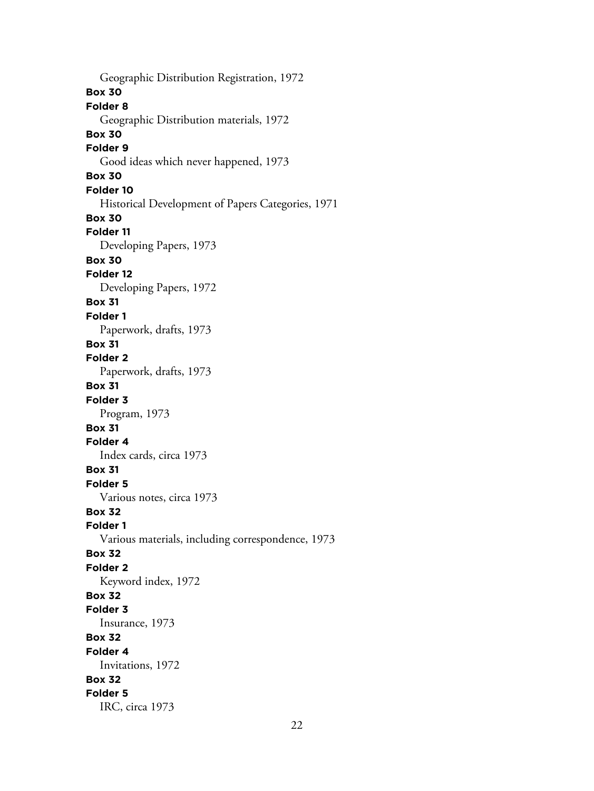Geographic Distribution Registration, 1972 **Box 30 Folder 8** Geographic Distribution materials, 1972 **Box 30 Folder 9** Good ideas which never happened, 1973 **Box 30 Folder 10** Historical Development of Papers Categories, 1971 **Box 30 Folder 11** Developing Papers, 1973 **Box 30 Folder 12** Developing Papers, 1972 **Box 31 Folder 1** Paperwork, drafts, 1973 **Box 31 Folder 2** Paperwork, drafts, 1973 **Box 31 Folder 3** Program, 1973 **Box 31 Folder 4** Index cards, circa 1973 **Box 31 Folder 5** Various notes, circa 1973 **Box 32 Folder 1** Various materials, including correspondence, 1973 **Box 32 Folder 2** Keyword index, 1972 **Box 32 Folder 3** Insurance, 1973 **Box 32 Folder 4** Invitations, 1972 **Box 32 Folder 5** IRC, circa 1973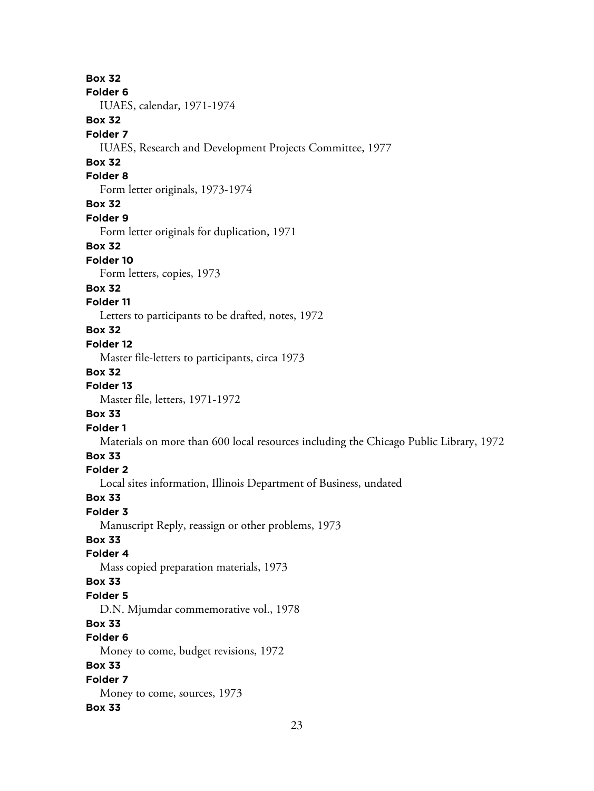**Box 32**

#### **Folder 6**

IUAES, calendar, 1971-1974

## **Box 32**

#### **Folder 7**

IUAES, Research and Development Projects Committee, 1977

## **Box 32**

### **Folder 8**

Form letter originals, 1973-1974

## **Box 32**

#### **Folder 9**

Form letter originals for duplication, 1971

## **Box 32**

### **Folder 10**

Form letters, copies, 1973

## **Box 32**

## **Folder 11**

Letters to participants to be drafted, notes, 1972

## **Box 32**

### **Folder 12**

Master file-letters to participants, circa 1973

## **Box 32**

#### **Folder 13**

Master file, letters, 1971-1972

## **Box 33**

## **Folder 1**

Materials on more than 600 local resources including the Chicago Public Library, 1972

## **Box 33**

## **Folder 2**

Local sites information, Illinois Department of Business, undated

## **Box 33**

## **Folder 3**

Manuscript Reply, reassign or other problems, 1973

## **Box 33**

## **Folder 4**

Mass copied preparation materials, 1973

## **Box 33**

## **Folder 5**

D.N. Mjumdar commemorative vol., 1978

## **Box 33**

# **Folder 6**

Money to come, budget revisions, 1972

## **Box 33**

#### **Folder 7** Money to come, sources, 1973

## **Box 33**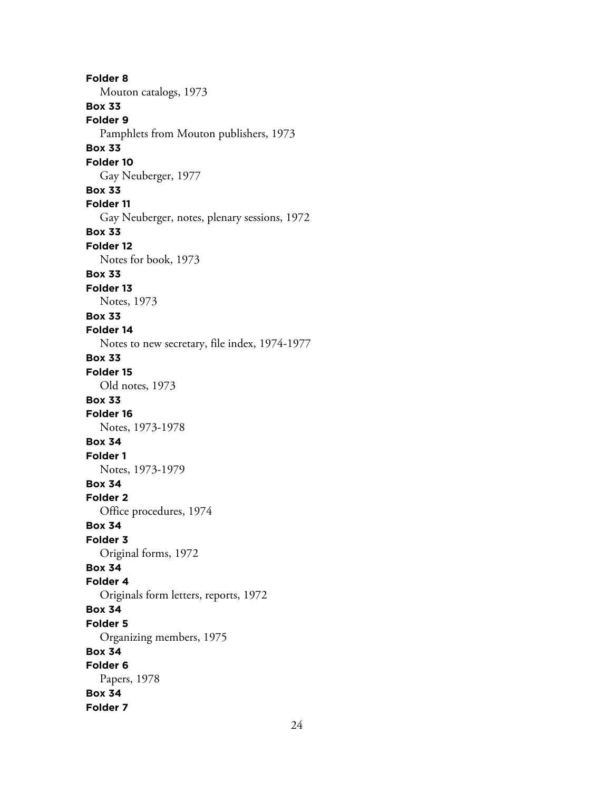**Folder 8** Mouton catalogs, 1973 **Box 33 Folder 9** Pamphlets from Mouton publishers, 1973 **Box 33 Folder 10** Gay Neuberger, 1977 **Box 33 Folder 11** Gay Neuberger, notes, plenary sessions, 1972 **Box 33 Folder 12** Notes for book, 1973 **Box 33 Folder 13** Notes, 1973 **Box 33 Folder 14** Notes to new secretary, file index, 1974-1977 **Box 33 Folder 15** Old notes, 1973 **Box 33 Folder 16** Notes, 1973-1978 **Box 34 Folder 1** Notes, 1973-1979 **Box 34 Folder 2** Office procedures, 1974 **Box 34 Folder 3** Original forms, 1972 **Box 34 Folder 4** Originals form letters, reports, 1972 **Box 34 Folder 5** Organizing members, 1975 **Box 34 Folder 6** Papers, 1978 **Box 34 Folder 7**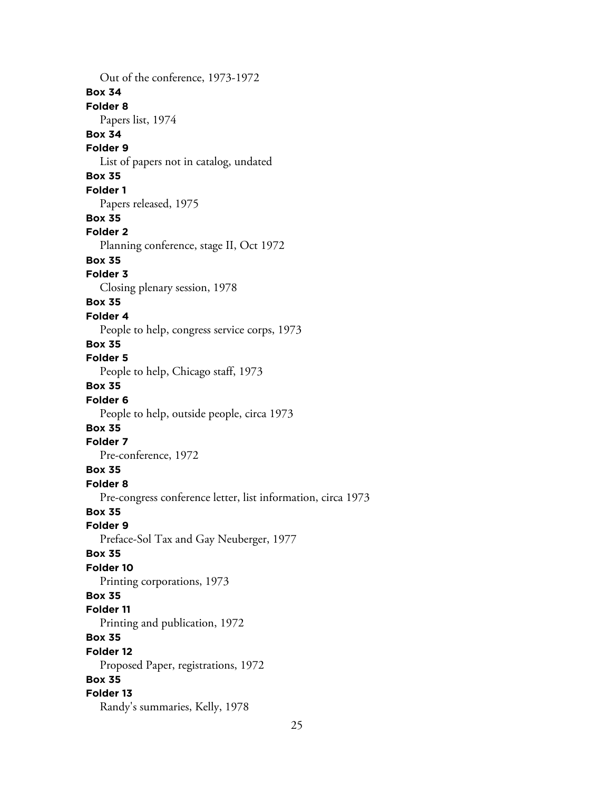Out of the conference, 1973-1972 **Box 34 Folder 8** Papers list, 1974 **Box 34 Folder 9** List of papers not in catalog, undated **Box 35 Folder 1** Papers released, 1975 **Box 35 Folder 2** Planning conference, stage II, Oct 1972 **Box 35 Folder 3** Closing plenary session, 1978 **Box 35 Folder 4** People to help, congress service corps, 1973 **Box 35 Folder 5** People to help, Chicago staff, 1973 **Box 35 Folder 6** People to help, outside people, circa 1973 **Box 35 Folder 7** Pre-conference, 1972 **Box 35 Folder 8** Pre-congress conference letter, list information, circa 1973 **Box 35 Folder 9** Preface-Sol Tax and Gay Neuberger, 1977 **Box 35 Folder 10** Printing corporations, 1973 **Box 35 Folder 11** Printing and publication, 1972 **Box 35 Folder 12** Proposed Paper, registrations, 1972 **Box 35 Folder 13** Randy's summaries, Kelly, 1978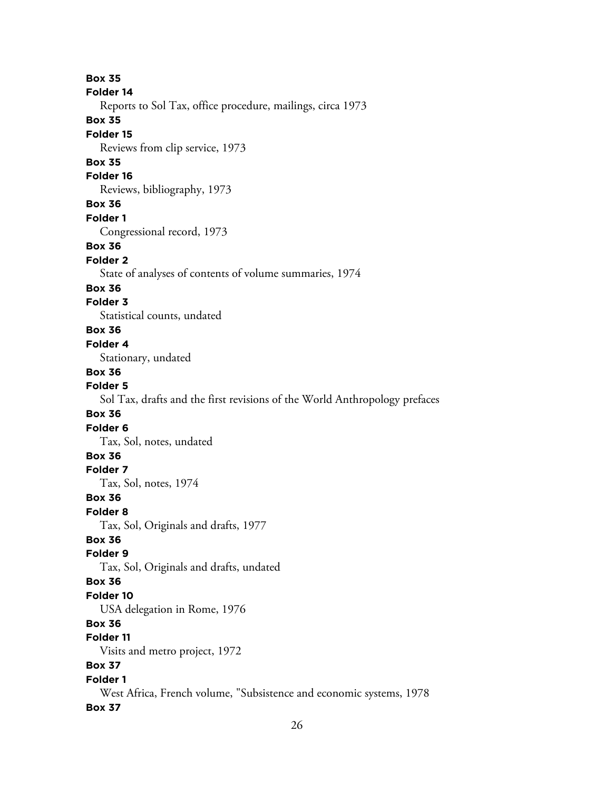**Box 35 Folder 14** Reports to Sol Tax, office procedure, mailings, circa 1973 **Box 35 Folder 15** Reviews from clip service, 1973 **Box 35 Folder 16** Reviews, bibliography, 1973 **Box 36 Folder 1** Congressional record, 1973 **Box 36 Folder 2** State of analyses of contents of volume summaries, 1974 **Box 36 Folder 3** Statistical counts, undated **Box 36 Folder 4** Stationary, undated **Box 36 Folder 5** Sol Tax, drafts and the first revisions of the World Anthropology prefaces **Box 36 Folder 6** Tax, Sol, notes, undated **Box 36 Folder 7** Tax, Sol, notes, 1974 **Box 36 Folder 8** Tax, Sol, Originals and drafts, 1977 **Box 36 Folder 9** Tax, Sol, Originals and drafts, undated **Box 36 Folder 10** USA delegation in Rome, 1976 **Box 36 Folder 11** Visits and metro project, 1972 **Box 37 Folder 1** West Africa, French volume, "Subsistence and economic systems, 1978 **Box 37**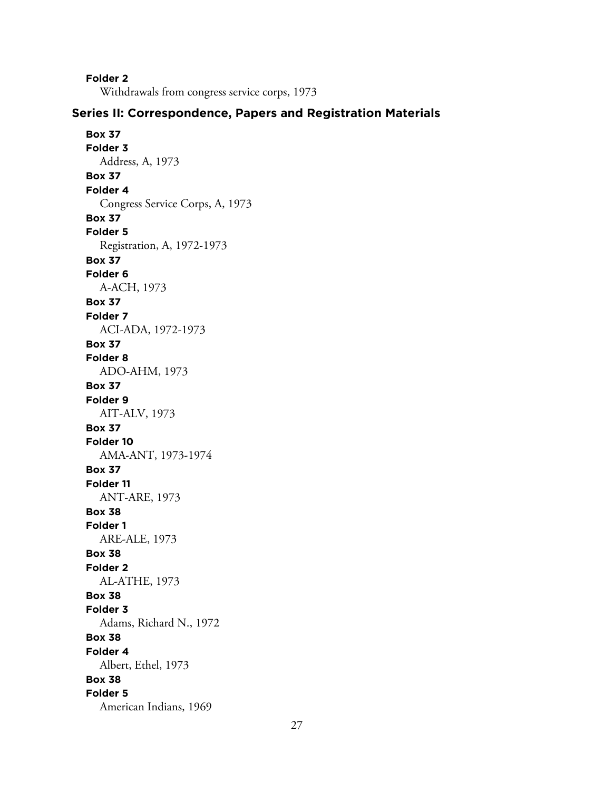**Folder 2**

Withdrawals from congress service corps, 1973

## **Series II: Correspondence, Papers and Registration Materials**

**Box 37 Folder 3** Address, A, 1973 **Box 37 Folder 4** Congress Service Corps, A, 1973 **Box 37 Folder 5** Registration, A, 1972-1973 **Box 37 Folder 6** A-ACH, 1973 **Box 37 Folder 7** ACI-ADA, 1972-1973 **Box 37 Folder 8** ADO-AHM, 1973 **Box 37 Folder 9** AIT-ALV, 1973 **Box 37 Folder 10** AMA-ANT, 1973-1974 **Box 37 Folder 11** ANT-ARE, 1973 **Box 38 Folder 1** ARE-ALE, 1973 **Box 38 Folder 2** AL-ATHE, 1973 **Box 38 Folder 3** Adams, Richard N., 1972 **Box 38 Folder 4** Albert, Ethel, 1973 **Box 38 Folder 5** American Indians, 1969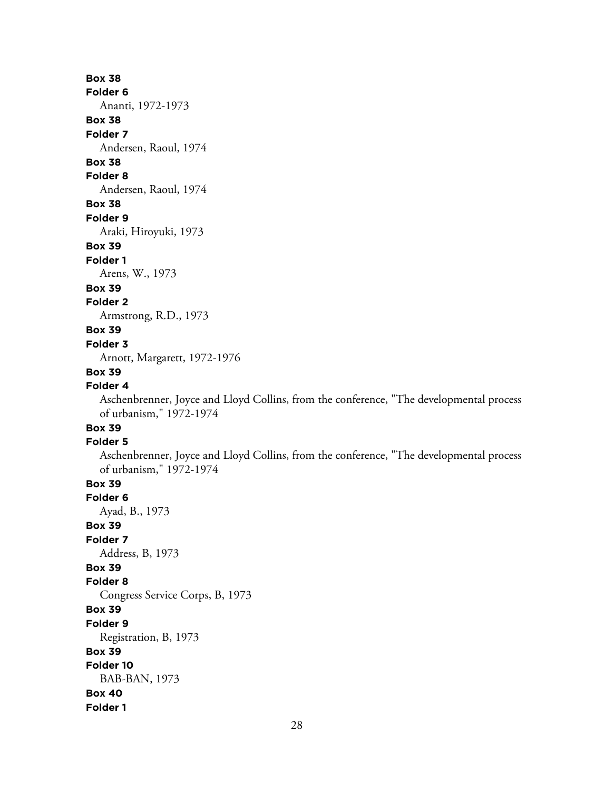## **Box 38**

#### **Folder 6**

Ananti, 1972-1973

## **Box 38**

**Folder 7**

Andersen, Raoul, 1974

# **Box 38**

## **Folder 8**

Andersen, Raoul, 1974

## **Box 38**

**Folder 9**

Araki, Hiroyuki, 1973

#### **Box 39**

**Folder 1**

Arens, W., 1973

#### **Box 39**

**Folder 2**

Armstrong, R.D., 1973

## **Box 39**

#### **Folder 3**

Arnott, Margarett, 1972-1976

## **Box 39**

## **Folder 4**

Aschenbrenner, Joyce and Lloyd Collins, from the conference, "The developmental process of urbanism," 1972-1974

# **Box 39**

## **Folder 5**

Aschenbrenner, Joyce and Lloyd Collins, from the conference, "The developmental process of urbanism," 1972-1974

# **Box 39**

**Folder 6**

Ayad, B., 1973

# **Box 39**

**Folder 7** Address, B, 1973

## **Box 39**

## **Folder 8**

Congress Service Corps, B, 1973

#### **Box 39**

**Folder 9**

#### Registration, B, 1973

**Box 39**

#### **Folder 10**

BAB-BAN, 1973

#### **Box 40 Folder 1**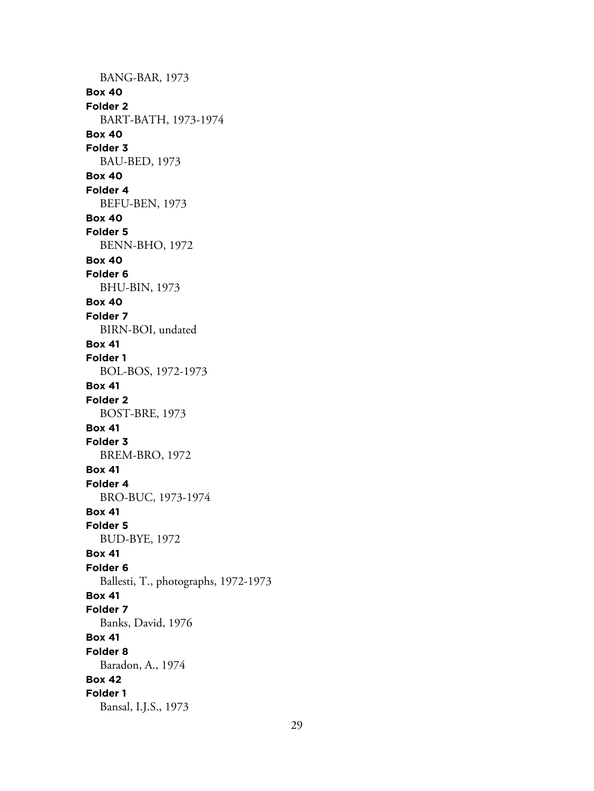BANG-BAR, 1973 **Box 40 Folder 2** BART-BATH, 1973-1974 **Box 40 Folder 3** BAU-BED, 1973 **Box 40 Folder 4** BEFU-BEN, 1973 **Box 40 Folder 5** BENN-BHO, 1972 **Box 40 Folder 6** BHU-BIN, 1973 **Box 40 Folder 7** BIRN-BOI, undated **Box 41 Folder 1** BOL-BOS, 1972-1973 **Box 41 Folder 2** BOST-BRE, 1973 **Box 41 Folder 3** BREM-BRO, 1972 **Box 41 Folder 4** BRO-BUC, 1973-1974 **Box 41 Folder 5** BUD-BYE, 1972 **Box 41 Folder 6** Ballesti, T., photographs, 1972-1973 **Box 41 Folder 7** Banks, David, 1976 **Box 41 Folder 8** Baradon, A., 1974 **Box 42 Folder 1** Bansal, I.J.S., 1973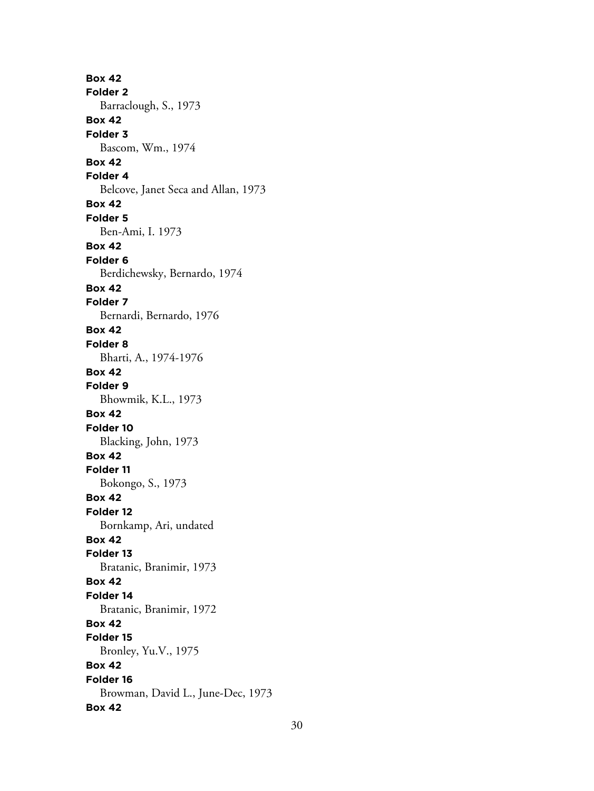**Box 42 Folder 2** Barraclough, S., 1973 **Box 42 Folder 3** Bascom, Wm., 1974 **Box 42 Folder 4** Belcove, Janet Seca and Allan, 1973 **Box 42 Folder 5** Ben-Ami, I. 1973 **Box 42 Folder 6** Berdichewsky, Bernardo, 1974 **Box 42 Folder 7** Bernardi, Bernardo, 1976 **Box 42 Folder 8** Bharti, A., 1974-1976 **Box 42 Folder 9** Bhowmik, K.L., 1973 **Box 42 Folder 10** Blacking, John, 1973 **Box 42 Folder 11** Bokongo, S., 1973 **Box 42 Folder 12** Bornkamp, Ari, undated **Box 42 Folder 13** Bratanic, Branimir, 1973 **Box 42 Folder 14** Bratanic, Branimir, 1972 **Box 42 Folder 15** Bronley, Yu.V., 1975 **Box 42 Folder 16** Browman, David L., June-Dec, 1973 **Box 42**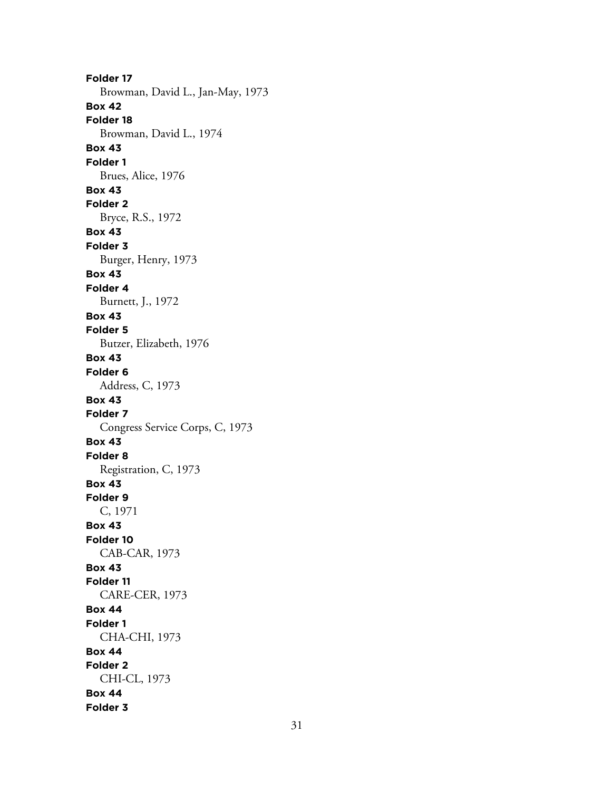**Folder 17** Browman, David L., Jan-May, 1973 **Box 42 Folder 18** Browman, David L., 1974 **Box 43 Folder 1** Brues, Alice, 1976 **Box 43 Folder 2** Bryce, R.S., 1972 **Box 43 Folder 3** Burger, Henry, 1973 **Box 43 Folder 4** Burnett, J., 1972 **Box 43 Folder 5** Butzer, Elizabeth, 1976 **Box 43 Folder 6** Address, C, 1973 **Box 43 Folder 7** Congress Service Corps, C, 1973 **Box 43 Folder 8** Registration, C, 1973 **Box 43 Folder 9** C, 1971 **Box 43 Folder 10** CAB-CAR, 1973 **Box 43 Folder 11** CARE-CER, 1973 **Box 44 Folder 1** CHA-CHI, 1973 **Box 44 Folder 2** CHI-CL, 1973 **Box 44 Folder 3**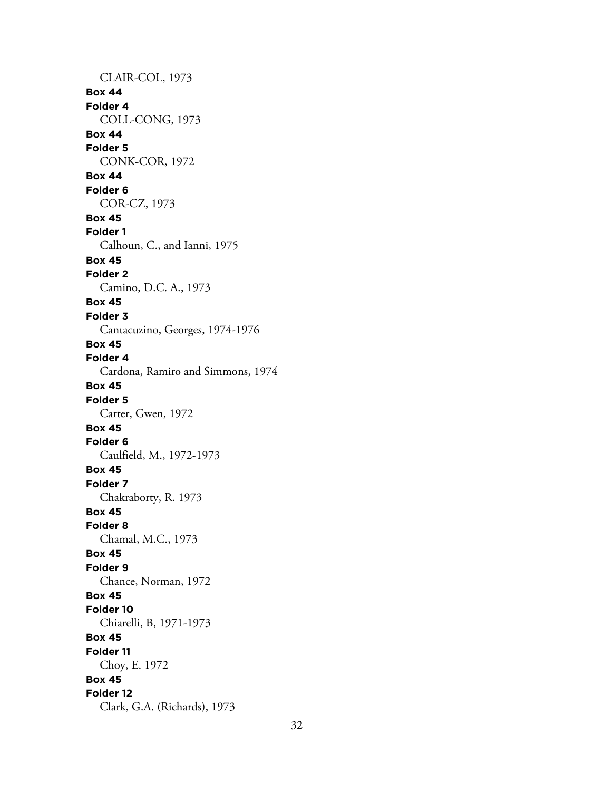CLAIR-COL, 1973 **Box 44 Folder 4** COLL-CONG, 1973 **Box 44 Folder 5** CONK-COR, 1972 **Box 44 Folder 6** COR-CZ, 1973 **Box 45 Folder 1** Calhoun, C., and Ianni, 1975 **Box 45 Folder 2** Camino, D.C. A., 1973 **Box 45 Folder 3** Cantacuzino, Georges, 1974-1976 **Box 45 Folder 4** Cardona, Ramiro and Simmons, 1974 **Box 45 Folder 5** Carter, Gwen, 1972 **Box 45 Folder 6** Caulfield, M., 1972-1973 **Box 45 Folder 7** Chakraborty, R. 1973 **Box 45 Folder 8** Chamal, M.C., 1973 **Box 45 Folder 9** Chance, Norman, 1972 **Box 45 Folder 10** Chiarelli, B, 1971-1973 **Box 45 Folder 11** Choy, E. 1972 **Box 45 Folder 12** Clark, G.A. (Richards), 1973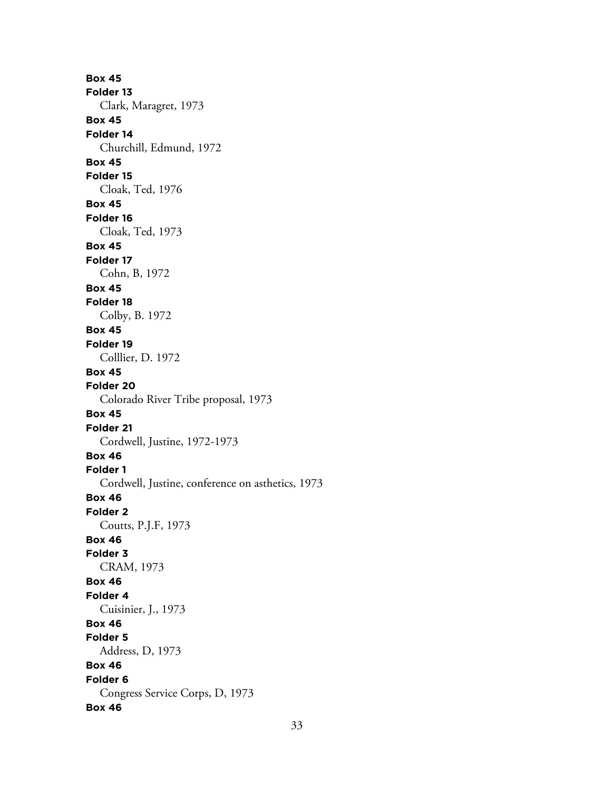**Box 45 Folder 13** Clark, Maragret, 1973 **Box 45 Folder 14** Churchill, Edmund, 1972 **Box 45 Folder 15** Cloak, Ted, 1976 **Box 45 Folder 16** Cloak, Ted, 1973 **Box 45 Folder 17** Cohn, B, 1972 **Box 45 Folder 18** Colby, B. 1972 **Box 45 Folder 19** Colllier, D. 1972 **Box 45 Folder 20** Colorado River Tribe proposal, 1973 **Box 45 Folder 21** Cordwell, Justine, 1972-1973 **Box 46 Folder 1** Cordwell, Justine, conference on asthetics, 1973 **Box 46 Folder 2** Coutts, P.J.F, 1973 **Box 46 Folder 3** CRAM, 1973 **Box 46 Folder 4** Cuisinier, J., 1973 **Box 46 Folder 5** Address, D, 1973 **Box 46 Folder 6** Congress Service Corps, D, 1973 **Box 46**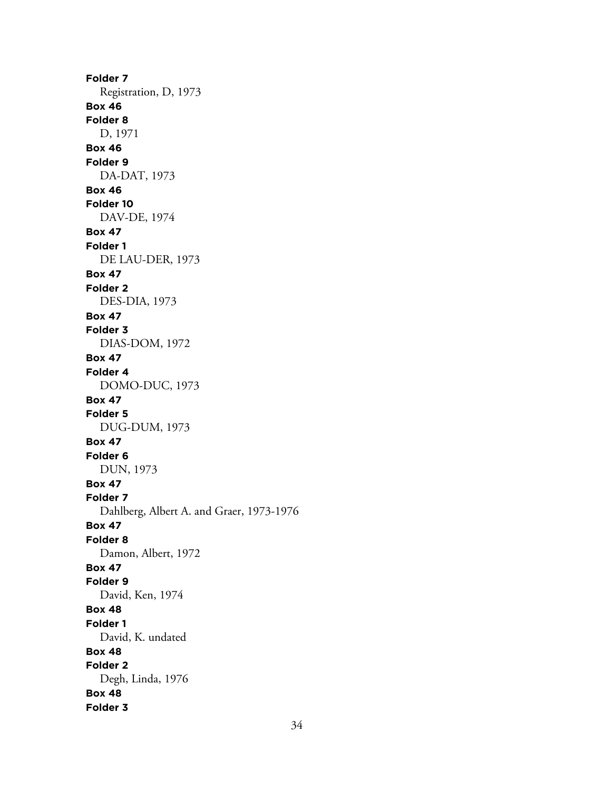**Folder 7** Registration, D, 1973 **Box 46 Folder 8** D, 1971 **Box 46 Folder 9** DA-DAT, 1973 **Box 46 Folder 10** DAV-DE, 1974 **Box 47 Folder 1** DE LAU-DER, 1973 **Box 47 Folder 2** DES-DIA, 1973 **Box 47 Folder 3** DIAS-DOM, 1972 **Box 47 Folder 4** DOMO-DUC, 1973 **Box 47 Folder 5** DUG-DUM, 1973 **Box 47 Folder 6** DUN, 1973 **Box 47 Folder 7** Dahlberg, Albert A. and Graer, 1973-1976 **Box 47 Folder 8** Damon, Albert, 1972 **Box 47 Folder 9** David, Ken, 1974 **Box 48 Folder 1** David, K. undated **Box 48 Folder 2** Degh, Linda, 1976 **Box 48 Folder 3**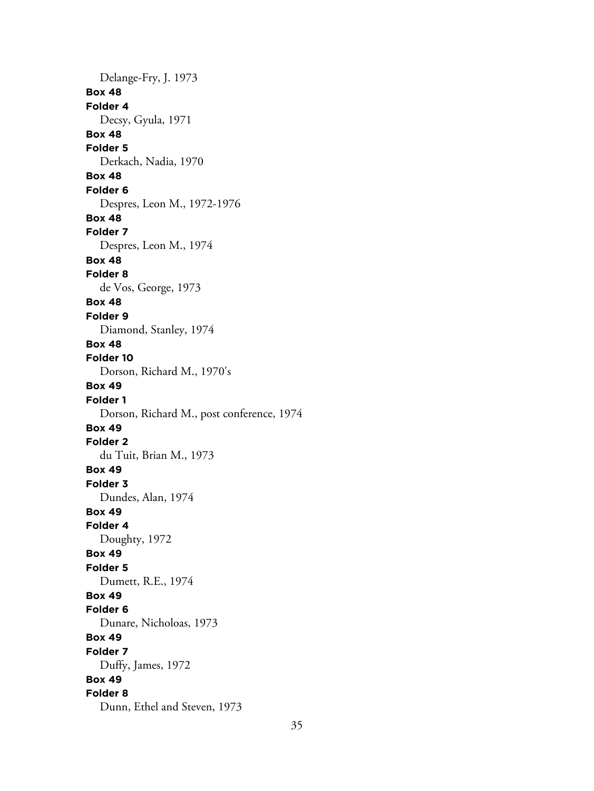Delange-Fry, J. 1973 **Box 48 Folder 4** Decsy, Gyula, 1971 **Box 48 Folder 5** Derkach, Nadia, 1970 **Box 48 Folder 6** Despres, Leon M., 1972-1976 **Box 48 Folder 7** Despres, Leon M., 1974 **Box 48 Folder 8** de Vos, George, 1973 **Box 48 Folder 9** Diamond, Stanley, 1974 **Box 48 Folder 10** Dorson, Richard M., 1970's **Box 49 Folder 1** Dorson, Richard M., post conference, 1974 **Box 49 Folder 2** du Tuit, Brian M., 1973 **Box 49 Folder 3** Dundes, Alan, 1974 **Box 49 Folder 4** Doughty, 1972 **Box 49 Folder 5** Dumett, R.E., 1974 **Box 49 Folder 6** Dunare, Nicholoas, 1973 **Box 49 Folder 7** Duffy, James, 1972 **Box 49 Folder 8** Dunn, Ethel and Steven, 1973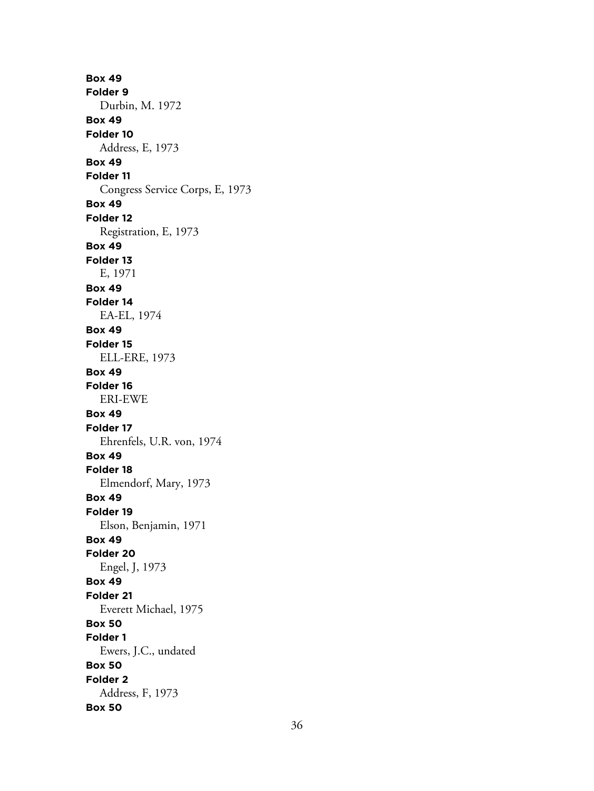**Box 49 Folder 9** Durbin, M. 1972 **Box 49 Folder 10** Address, E, 1973 **Box 49 Folder 11** Congress Service Corps, E, 1973 **Box 49 Folder 12** Registration, E, 1973 **Box 49 Folder 13** E, 1971 **Box 49 Folder 14** EA-EL, 1974 **Box 49 Folder 15** ELL-ERE, 1973 **Box 49 Folder 16** ERI-EWE **Box 49 Folder 17** Ehrenfels, U.R. von, 1974 **Box 49 Folder 18** Elmendorf, Mary, 1973 **Box 49 Folder 19** Elson, Benjamin, 1971 **Box 49 Folder 20** Engel, J, 1973 **Box 49 Folder 21** Everett Michael, 1975 **Box 50 Folder 1** Ewers, J.C., undated **Box 50 Folder 2** Address, F, 1973 **Box 50**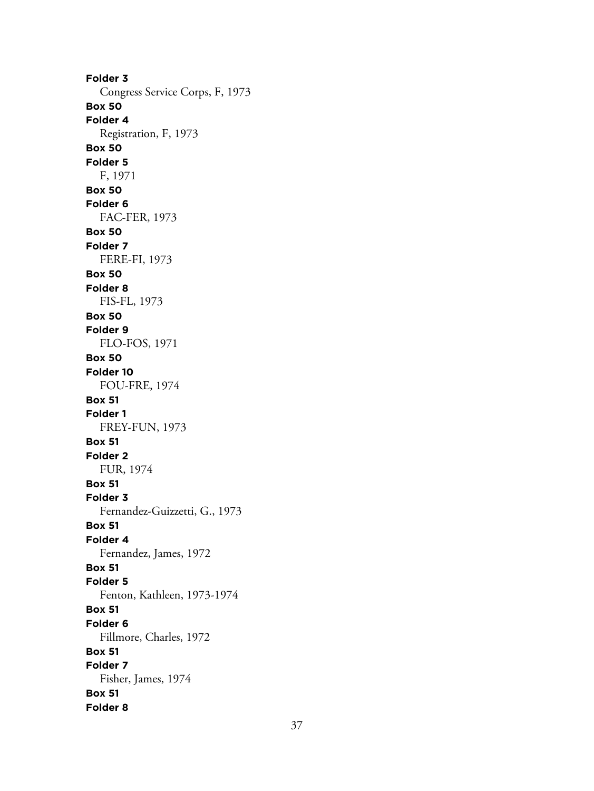**Folder 3** Congress Service Corps, F, 1973 **Box 50 Folder 4** Registration, F, 1973 **Box 50 Folder 5** F, 1971 **Box 50 Folder 6** FAC-FER, 1973 **Box 50 Folder 7** FERE-FI, 1973 **Box 50 Folder 8** FIS-FL, 1973 **Box 50 Folder 9** FLO-FOS, 1971 **Box 50 Folder 10** FOU-FRE, 1974 **Box 51 Folder 1** FREY-FUN, 1973 **Box 51 Folder 2** FUR, 1974 **Box 51 Folder 3** Fernandez-Guizzetti, G., 1973 **Box 51 Folder 4** Fernandez, James, 1972 **Box 51 Folder 5** Fenton, Kathleen, 1973-1974 **Box 51 Folder 6** Fillmore, Charles, 1972 **Box 51 Folder 7** Fisher, James, 1974 **Box 51 Folder 8**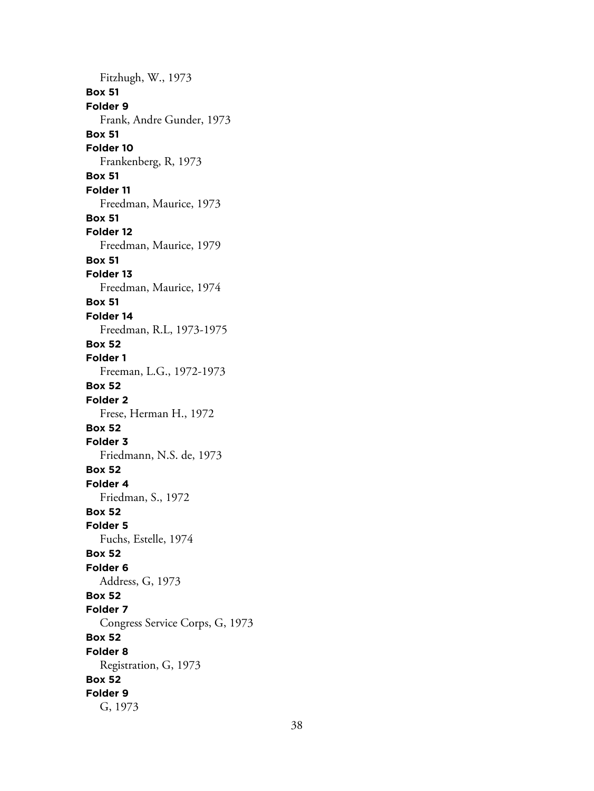Fitzhugh, W., 1973 **Box 51 Folder 9** Frank, Andre Gunder, 1973 **Box 51 Folder 10** Frankenberg, R, 1973 **Box 51 Folder 11** Freedman, Maurice, 1973 **Box 51 Folder 12** Freedman, Maurice, 1979 **Box 51 Folder 13** Freedman, Maurice, 1974 **Box 51 Folder 14** Freedman, R.L, 1973-1975 **Box 52 Folder 1** Freeman, L.G., 1972-1973 **Box 52 Folder 2** Frese, Herman H., 1972 **Box 52 Folder 3** Friedmann, N.S. de, 1973 **Box 52 Folder 4** Friedman, S., 1972 **Box 52 Folder 5** Fuchs, Estelle, 1974 **Box 52 Folder 6** Address, G, 1973 **Box 52 Folder 7** Congress Service Corps, G, 1973 **Box 52 Folder 8** Registration, G, 1973 **Box 52 Folder 9** G, 1973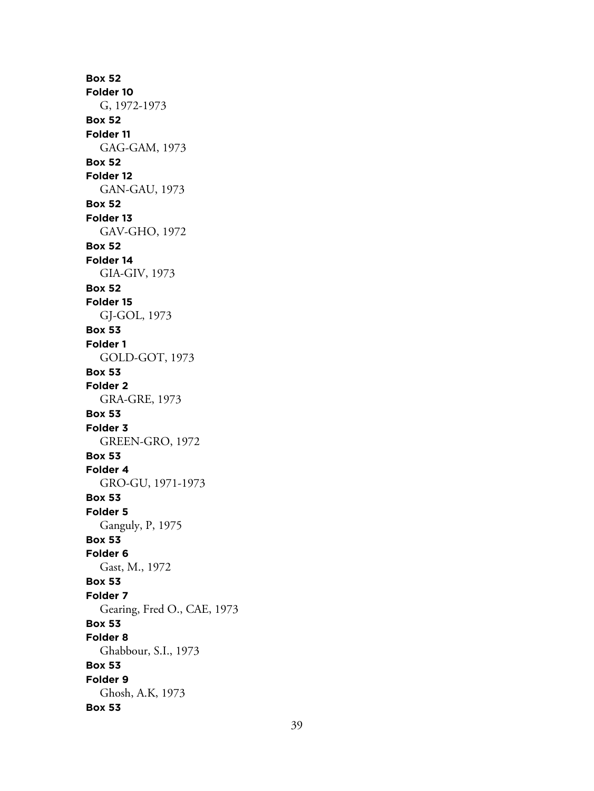**Box 52 Folder 10** G, 1972-1973 **Box 52 Folder 11** GAG-GAM, 1973 **Box 52 Folder 12** GAN-GAU, 1973 **Box 52 Folder 13** GAV-GHO, 1972 **Box 52 Folder 14** GIA-GIV, 1973 **Box 52 Folder 15** GJ-GOL, 1973 **Box 53 Folder 1** GOLD-GOT, 1973 **Box 53 Folder 2** GRA-GRE, 1973 **Box 53 Folder 3** GREEN-GRO, 1972 **Box 53 Folder 4** GRO-GU, 1971-1973 **Box 53 Folder 5** Ganguly, P, 1975 **Box 53 Folder 6** Gast, M., 1972 **Box 53 Folder 7** Gearing, Fred O., CAE, 1973 **Box 53 Folder 8** Ghabbour, S.I., 1973 **Box 53 Folder 9** Ghosh, A.K, 1973 **Box 53**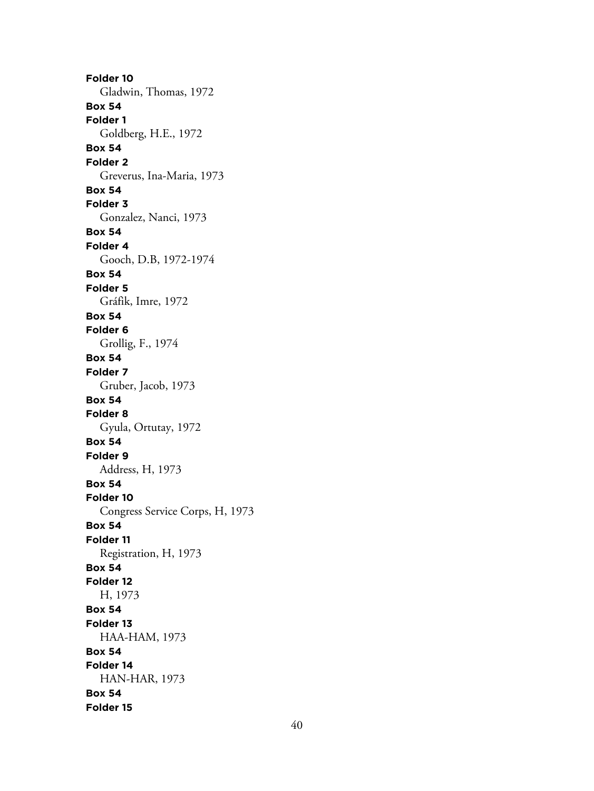**Folder 10** Gladwin, Thomas, 1972 **Box 54 Folder 1** Goldberg, H.E., 1972 **Box 54 Folder 2** Greverus, Ina-Maria, 1973 **Box 54 Folder 3** Gonzalez, Nanci, 1973 **Box 54 Folder 4** Gooch, D.B, 1972-1974 **Box 54 Folder 5** Gráfik, Imre, 1972 **Box 54 Folder 6** Grollig, F., 1974 **Box 54 Folder 7** Gruber, Jacob, 1973 **Box 54 Folder 8** Gyula, Ortutay, 1972 **Box 54 Folder 9** Address, H, 1973 **Box 54 Folder 10** Congress Service Corps, H, 1973 **Box 54 Folder 11** Registration, H, 1973 **Box 54 Folder 12** H, 1973 **Box 54 Folder 13** HAA-HAM, 1973 **Box 54 Folder 14** HAN-HAR, 1973 **Box 54 Folder 15**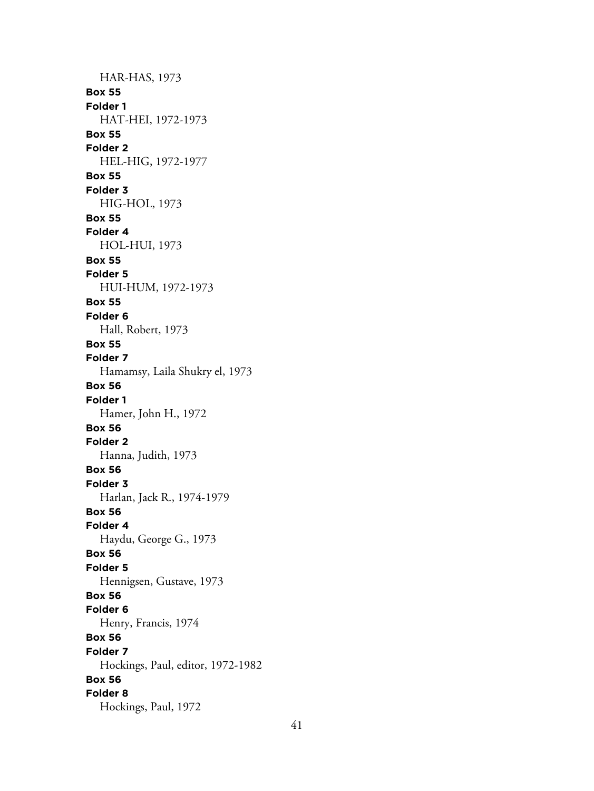HAR-HAS, 1973 **Box 55 Folder 1** HAT-HEI, 1972-1973 **Box 55 Folder 2** HEL-HIG, 1972-1977 **Box 55 Folder 3** HIG-HOL, 1973 **Box 55 Folder 4** HOL-HUI, 1973 **Box 55 Folder 5** HUI-HUM, 1972-1973 **Box 55 Folder 6** Hall, Robert, 1973 **Box 55 Folder 7** Hamamsy, Laila Shukry el, 1973 **Box 56 Folder 1** Hamer, John H., 1972 **Box 56 Folder 2** Hanna, Judith, 1973 **Box 56 Folder 3** Harlan, Jack R., 1974-1979 **Box 56 Folder 4** Haydu, George G., 1973 **Box 56 Folder 5** Hennigsen, Gustave, 1973 **Box 56 Folder 6** Henry, Francis, 1974 **Box 56 Folder 7** Hockings, Paul, editor, 1972-1982 **Box 56 Folder 8** Hockings, Paul, 1972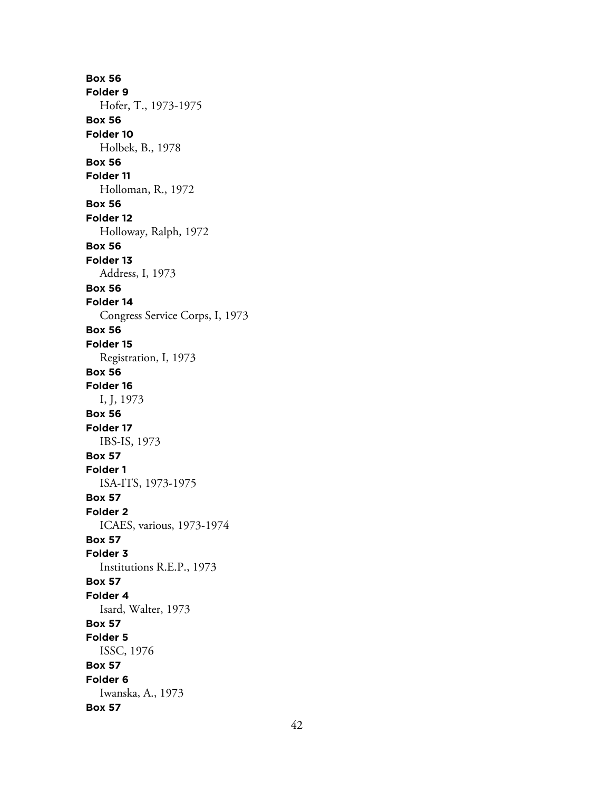**Box 56 Folder 9** Hofer, T., 1973-1975 **Box 56 Folder 10** Holbek, B., 1978 **Box 56 Folder 11** Holloman, R., 1972 **Box 56 Folder 12** Holloway, Ralph, 1972 **Box 56 Folder 13** Address, I, 1973 **Box 56 Folder 14** Congress Service Corps, I, 1973 **Box 56 Folder 15** Registration, I, 1973 **Box 56 Folder 16** I, J, 1973 **Box 56 Folder 17** IBS-IS, 1973 **Box 57 Folder 1** ISA-ITS, 1973-1975 **Box 57 Folder 2** ICAES, various, 1973-1974 **Box 57 Folder 3** Institutions R.E.P., 1973 **Box 57 Folder 4** Isard, Walter, 1973 **Box 57 Folder 5** ISSC, 1976 **Box 57 Folder 6** Iwanska, A., 1973 **Box 57**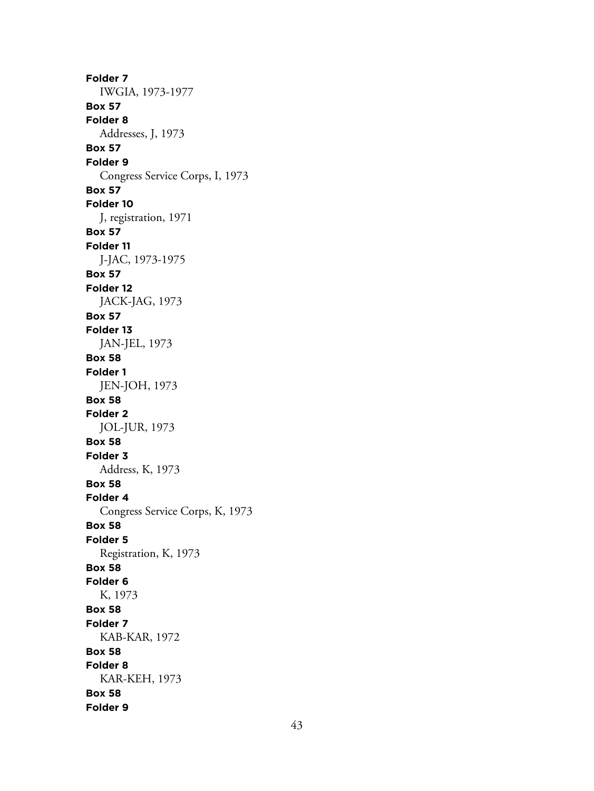**Folder 7** IWGIA, 1973-1977 **Box 57 Folder 8** Addresses, J, 1973 **Box 57 Folder 9** Congress Service Corps, I, 1973 **Box 57 Folder 10** J, registration, 1971 **Box 57 Folder 11** J-JAC, 1973-1975 **Box 57 Folder 12** JACK-JAG, 1973 **Box 57 Folder 13** JAN-JEL, 1973 **Box 58 Folder 1** JEN-JOH, 1973 **Box 58 Folder 2** JOL-JUR, 1973 **Box 58 Folder 3** Address, K, 1973 **Box 58 Folder 4** Congress Service Corps, K, 1973 **Box 58 Folder 5** Registration, K, 1973 **Box 58 Folder 6** K, 1973 **Box 58 Folder 7** KAB-KAR, 1972 **Box 58 Folder 8** KAR-KEH, 1973 **Box 58 Folder 9**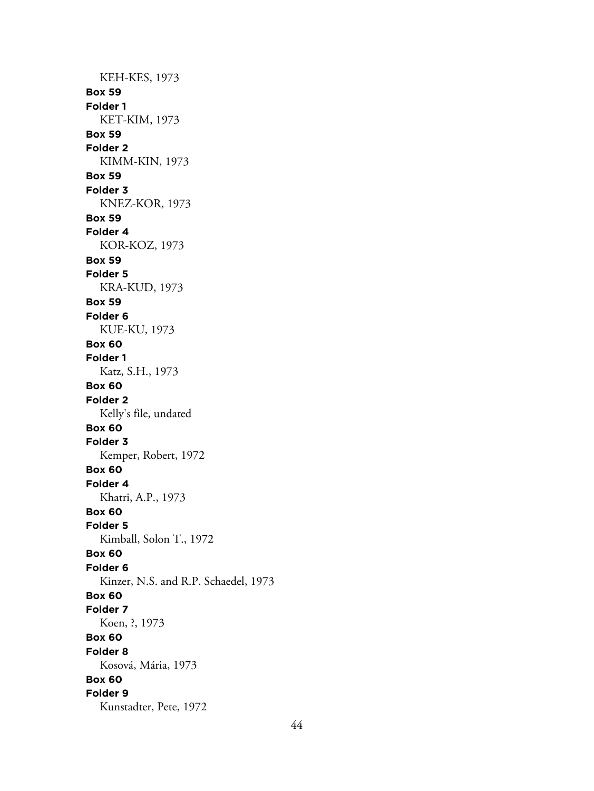KEH-KES, 1973 **Box 59 Folder 1** KET-KIM, 1973 **Box 59 Folder 2** KIMM-KIN, 1973 **Box 59 Folder 3** KNEZ-KOR, 1973 **Box 59 Folder 4** KOR-KOZ, 1973 **Box 59 Folder 5** KRA-KUD, 1973 **Box 59 Folder 6** KUE-KU, 1973 **Box 60 Folder 1** Katz, S.H., 1973 **Box 60 Folder 2** Kelly's file, undated **Box 60 Folder 3** Kemper, Robert, 1972 **Box 60 Folder 4** Khatri, A.P., 1973 **Box 60 Folder 5** Kimball, Solon T., 1972 **Box 60 Folder 6** Kinzer, N.S. and R.P. Schaedel, 1973 **Box 60 Folder 7** Koen, ?, 1973 **Box 60 Folder 8** Kosová, Mária, 1973 **Box 60 Folder 9** Kunstadter, Pete, 1972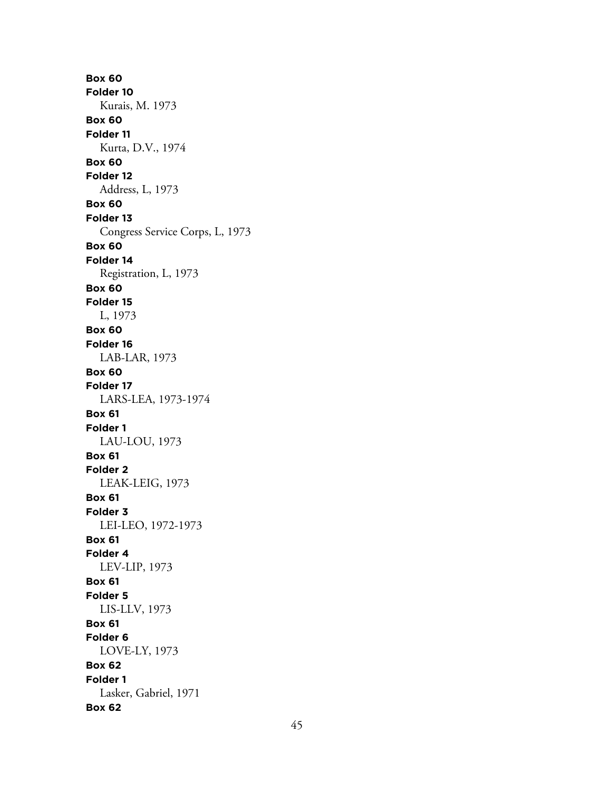**Box 60 Folder 10** Kurais, M. 1973 **Box 60 Folder 11** Kurta, D.V., 1974 **Box 60 Folder 12** Address, L, 1973 **Box 60 Folder 13** Congress Service Corps, L, 1973 **Box 60 Folder 14** Registration, L, 1973 **Box 60 Folder 15** L, 1973 **Box 60 Folder 16** LAB-LAR, 1973 **Box 60 Folder 17** LARS-LEA, 1973-1974 **Box 61 Folder 1** LAU-LOU, 1973 **Box 61 Folder 2** LEAK-LEIG, 1973 **Box 61 Folder 3** LEI-LEO, 1972-1973 **Box 61 Folder 4** LEV-LIP, 1973 **Box 61 Folder 5** LIS-LLV, 1973 **Box 61 Folder 6** LOVE-LY, 1973 **Box 62 Folder 1** Lasker, Gabriel, 1971 **Box 62**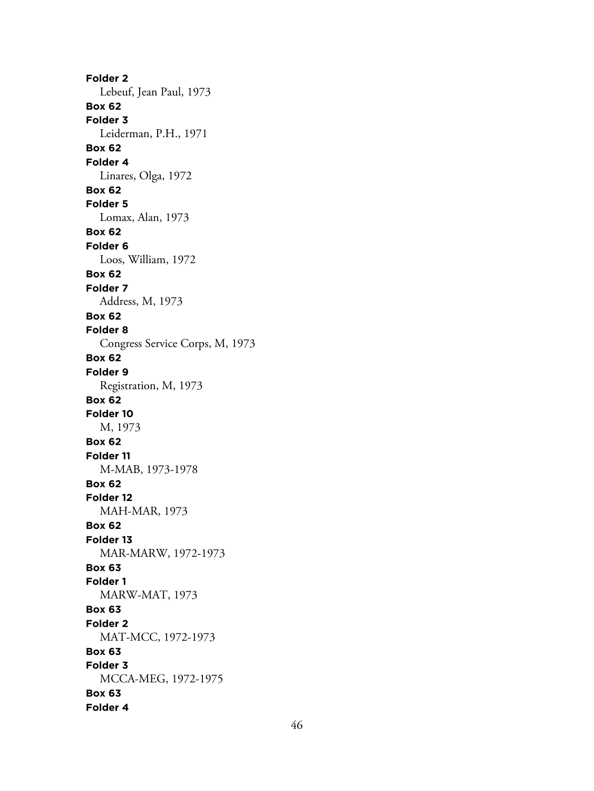**Folder 2** Lebeuf, Jean Paul, 1973 **Box 62 Folder 3** Leiderman, P.H., 1971 **Box 62 Folder 4** Linares, Olga, 1972 **Box 62 Folder 5** Lomax, Alan, 1973 **Box 62 Folder 6** Loos, William, 1972 **Box 62 Folder 7** Address, M, 1973 **Box 62 Folder 8** Congress Service Corps, M, 1973 **Box 62 Folder 9** Registration, M, 1973 **Box 62 Folder 10** M, 1973 **Box 62 Folder 11** M-MAB, 1973-1978 **Box 62 Folder 12** MAH-MAR, 1973 **Box 62 Folder 13** MAR-MARW, 1972-1973 **Box 63 Folder 1** MARW-MAT, 1973 **Box 63 Folder 2** MAT-MCC, 1972-1973 **Box 63 Folder 3** MCCA-MEG, 1972-1975 **Box 63 Folder 4**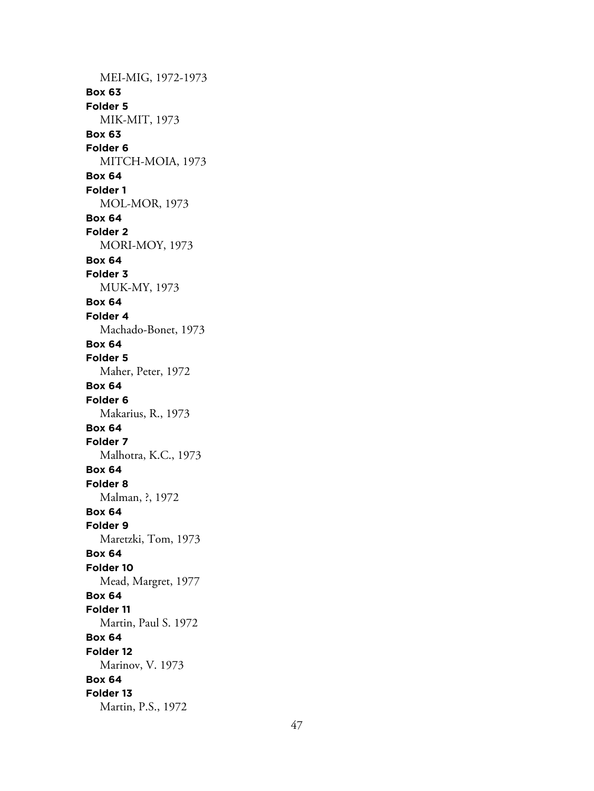MEI-MIG, 1972-1973 **Box 63 Folder 5** MIK-MIT, 1973 **Box 63 Folder 6** MITCH-MOIA, 1973 **Box 64 Folder 1** MOL-MOR, 1973 **Box 64 Folder 2** MORI-MOY, 1973 **Box 64 Folder 3** MUK-MY, 1973 **Box 64 Folder 4** Machado-Bonet, 1973 **Box 64 Folder 5** Maher, Peter, 1972 **Box 64 Folder 6** Makarius, R., 1973 **Box 64 Folder 7** Malhotra, K.C., 1973 **Box 64 Folder 8** Malman, ?, 1972 **Box 64 Folder 9** Maretzki, Tom, 1973 **Box 64 Folder 10** Mead, Margret, 1977 **Box 64 Folder 11** Martin, Paul S. 1972 **Box 64 Folder 12** Marinov, V. 1973 **Box 64 Folder 13** Martin, P.S., 1972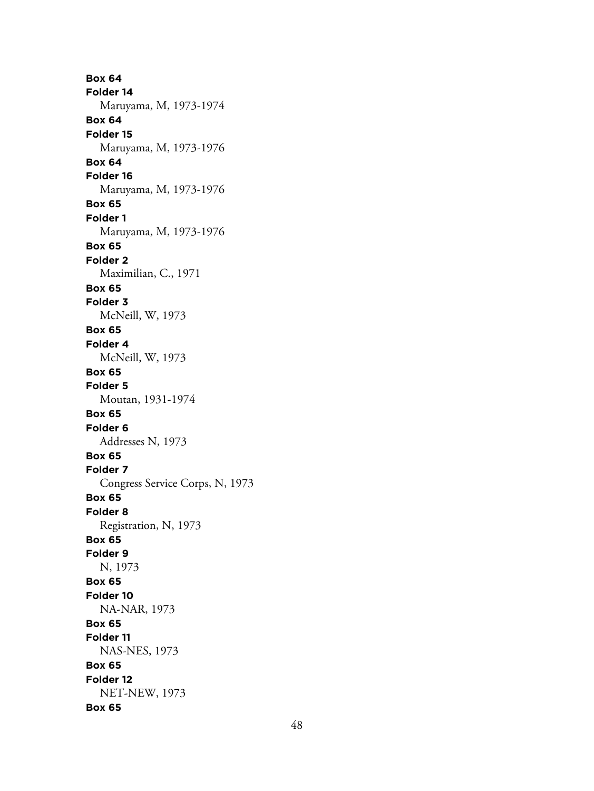**Box 64 Folder 14** Maruyama, M, 1973-1974 **Box 64 Folder 15** Maruyama, M, 1973-1976 **Box 64 Folder 16** Maruyama, M, 1973-1976 **Box 65 Folder 1** Maruyama, M, 1973-1976 **Box 65 Folder 2** Maximilian, C., 1971 **Box 65 Folder 3** McNeill, W, 1973 **Box 65 Folder 4** McNeill, W, 1973 **Box 65 Folder 5** Moutan, 1931-1974 **Box 65 Folder 6** Addresses N, 1973 **Box 65 Folder 7** Congress Service Corps, N, 1973 **Box 65 Folder 8** Registration, N, 1973 **Box 65 Folder 9** N, 1973 **Box 65 Folder 10** NA-NAR, 1973 **Box 65 Folder 11** NAS-NES, 1973 **Box 65 Folder 12** NET-NEW, 1973 **Box 65**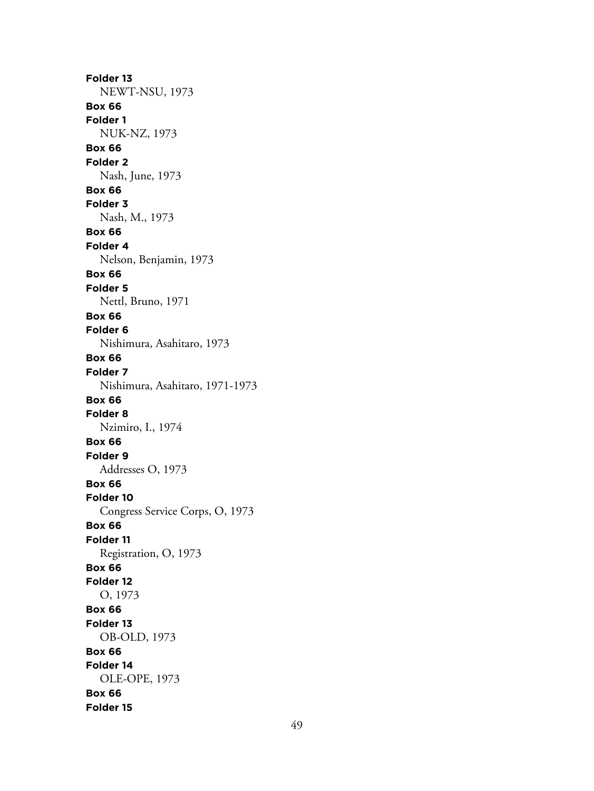**Folder 13** NEWT-NSU, 1973 **Box 66 Folder 1** NUK-NZ, 1973 **Box 66 Folder 2** Nash, June, 1973 **Box 66 Folder 3** Nash, M., 1973 **Box 66 Folder 4** Nelson, Benjamin, 1973 **Box 66 Folder 5** Nettl, Bruno, 1971 **Box 66 Folder 6** Nishimura, Asahitaro, 1973 **Box 66 Folder 7** Nishimura, Asahitaro, 1971-1973 **Box 66 Folder 8** Nzimiro, I., 1974 **Box 66 Folder 9** Addresses O, 1973 **Box 66 Folder 10** Congress Service Corps, O, 1973 **Box 66 Folder 11** Registration, O, 1973 **Box 66 Folder 12** O, 1973 **Box 66 Folder 13** OB-OLD, 1973 **Box 66 Folder 14** OLE-OPE, 1973 **Box 66 Folder 15**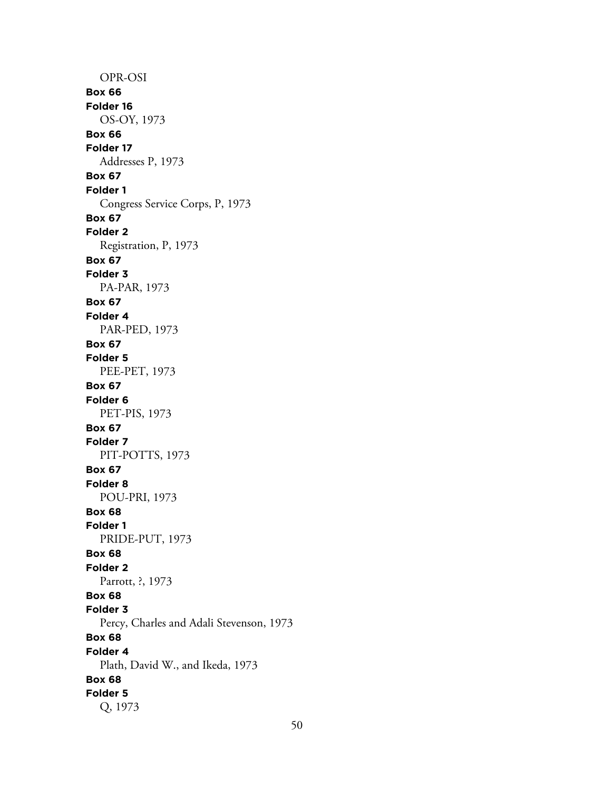OPR-OSI **Box 66 Folder 16** OS-OY, 1973 **Box 66 Folder 17** Addresses P, 1973 **Box 67 Folder 1** Congress Service Corps, P, 1973 **Box 67 Folder 2** Registration, P, 1973 **Box 67 Folder 3** PA-PAR, 1973 **Box 67 Folder 4** PAR-PED, 1973 **Box 67 Folder 5** PEE-PET, 1973 **Box 67 Folder 6** PET-PIS, 1973 **Box 67 Folder 7** PIT-POTTS, 1973 **Box 67 Folder 8** POU-PRI, 1973 **Box 68 Folder 1** PRIDE-PUT, 1973 **Box 68 Folder 2** Parrott, ?, 1973 **Box 68 Folder 3** Percy, Charles and Adali Stevenson, 1973 **Box 68 Folder 4** Plath, David W., and Ikeda, 1973 **Box 68 Folder 5** Q, 1973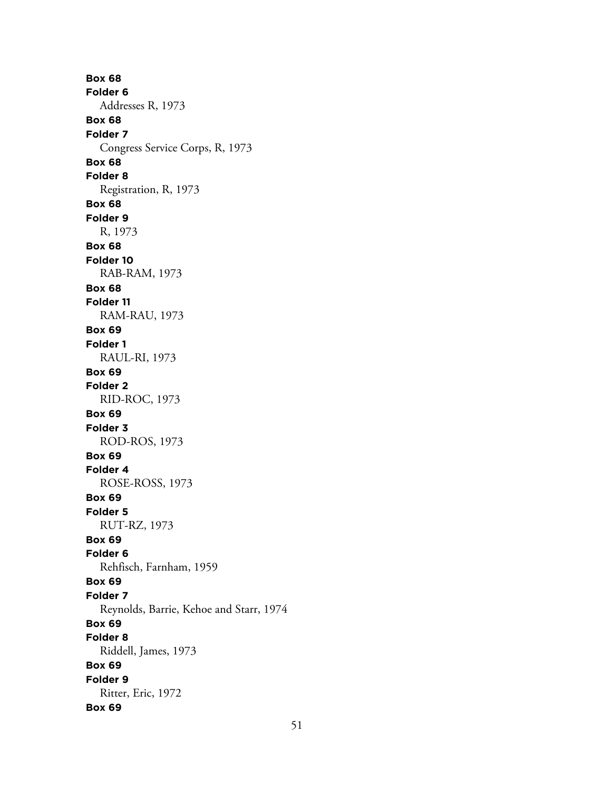**Box 68 Folder 6** Addresses R, 1973 **Box 68 Folder 7** Congress Service Corps, R, 1973 **Box 68 Folder 8** Registration, R, 1973 **Box 68 Folder 9** R, 1973 **Box 68 Folder 10** RAB-RAM, 1973 **Box 68 Folder 11** RAM-RAU, 1973 **Box 69 Folder 1** RAUL-RI, 1973 **Box 69 Folder 2** RID-ROC, 1973 **Box 69 Folder 3** ROD-ROS, 1973 **Box 69 Folder 4** ROSE-ROSS, 1973 **Box 69 Folder 5** RUT-RZ, 1973 **Box 69 Folder 6** Rehfisch, Farnham, 1959 **Box 69 Folder 7** Reynolds, Barrie, Kehoe and Starr, 1974 **Box 69 Folder 8** Riddell, James, 1973 **Box 69 Folder 9** Ritter, Eric, 1972 **Box 69**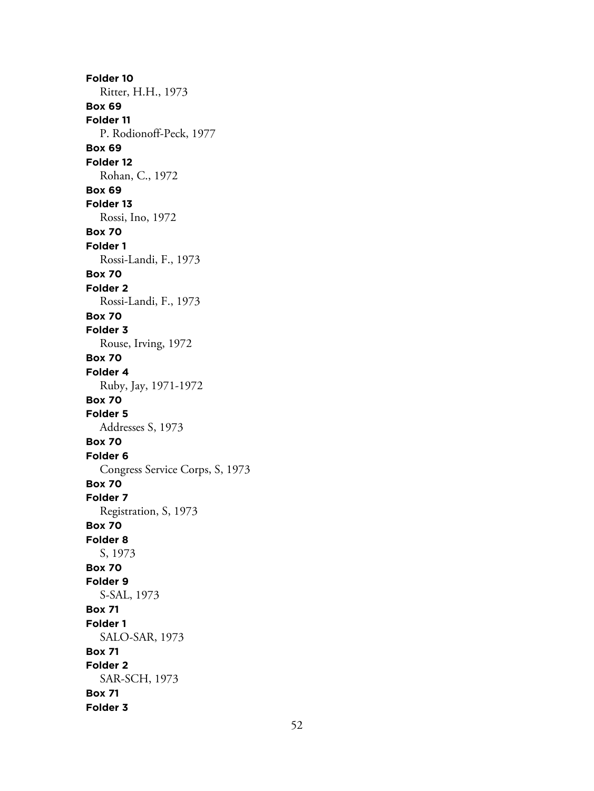**Folder 10** Ritter, H.H., 1973 **Box 69 Folder 11** P. Rodionoff-Peck, 1977 **Box 69 Folder 12** Rohan, C., 1972 **Box 69 Folder 13** Rossi, Ino, 1972 **Box 70 Folder 1** Rossi-Landi, F., 1973 **Box 70 Folder 2** Rossi-Landi, F., 1973 **Box 70 Folder 3** Rouse, Irving, 1972 **Box 70 Folder 4** Ruby, Jay, 1971-1972 **Box 70 Folder 5** Addresses S, 1973 **Box 70 Folder 6** Congress Service Corps, S, 1973 **Box 70 Folder 7** Registration, S, 1973 **Box 70 Folder 8** S, 1973 **Box 70 Folder 9** S-SAL, 1973 **Box 71 Folder 1** SALO-SAR, 1973 **Box 71 Folder 2** SAR-SCH, 1973 **Box 71 Folder 3**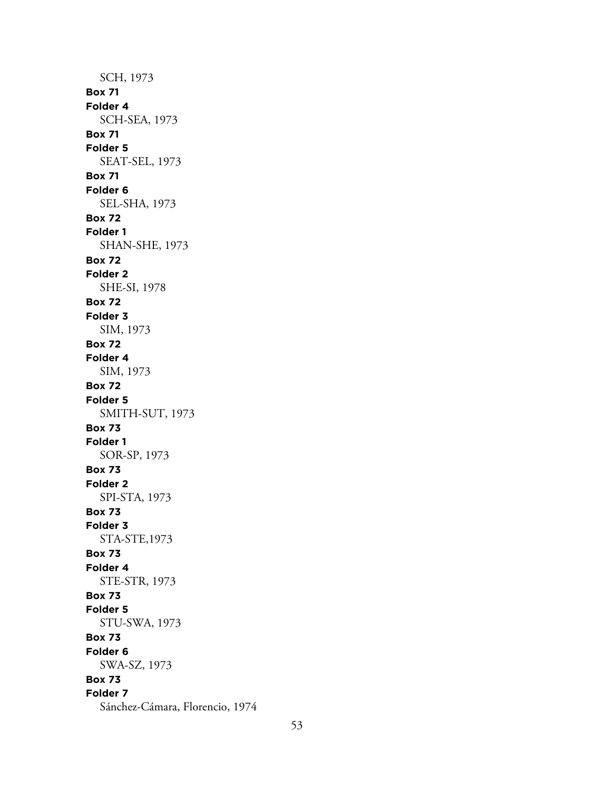SCH, 1973 **Box 71 Folder 4** SCH-SEA, 1973 **Box 71 Folder 5** SEAT-SEL, 1973 **Box 71 Folder 6** SEL-SHA, 1973 **Box 72 Folder 1** SHAN-SHE, 1973 **Box 72 Folder 2** SHE-SI, 1978 **Box 72 Folder 3** SIM, 1973 **Box 72 Folder 4** SIM, 1973 **Box 72 Folder 5** SMITH-SUT, 1973 **Box 73 Folder 1** SOR-SP, 1973 **Box 73 Folder 2** SPI-STA, 1973 **Box 73 Folder 3** STA-STE,1973 **Box 73 Folder 4** STE-STR, 1973 **Box 73 Folder 5** STU-SWA, 1973 **Box 73 Folder 6** SWA-SZ, 1973 **Box 73 Folder 7** Sánchez-Cámara, Florencio, 1974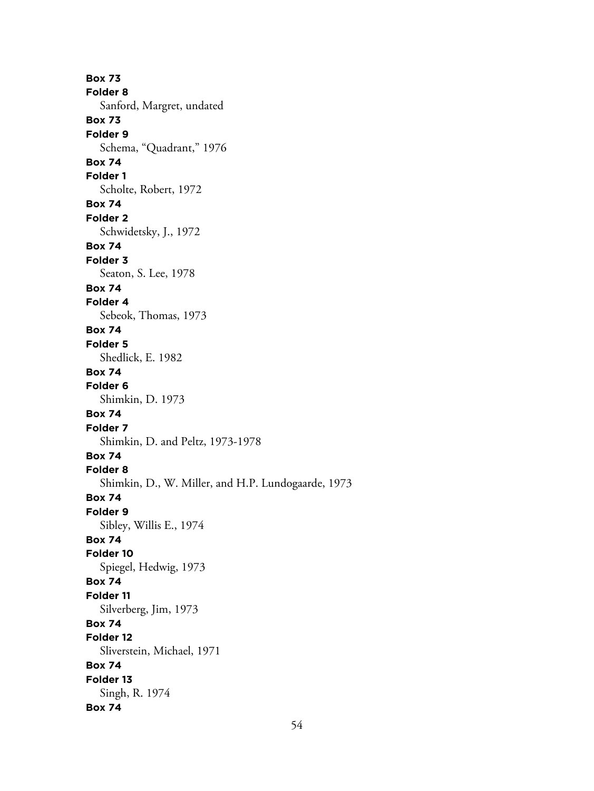**Box 73 Folder 8** Sanford, Margret, undated **Box 73 Folder 9** Schema, "Quadrant," 1976 **Box 74 Folder 1** Scholte, Robert, 1972 **Box 74 Folder 2** Schwidetsky, J., 1972 **Box 74 Folder 3** Seaton, S. Lee, 1978 **Box 74 Folder 4** Sebeok, Thomas, 1973 **Box 74 Folder 5** Shedlick, E. 1982 **Box 74 Folder 6** Shimkin, D. 1973 **Box 74 Folder 7** Shimkin, D. and Peltz, 1973-1978 **Box 74 Folder 8** Shimkin, D., W. Miller, and H.P. Lundogaarde, 1973 **Box 74 Folder 9** Sibley, Willis E., 1974 **Box 74 Folder 10** Spiegel, Hedwig, 1973 **Box 74 Folder 11** Silverberg, Jim, 1973 **Box 74 Folder 12** Sliverstein, Michael, 1971 **Box 74 Folder 13** Singh, R. 1974 **Box 74**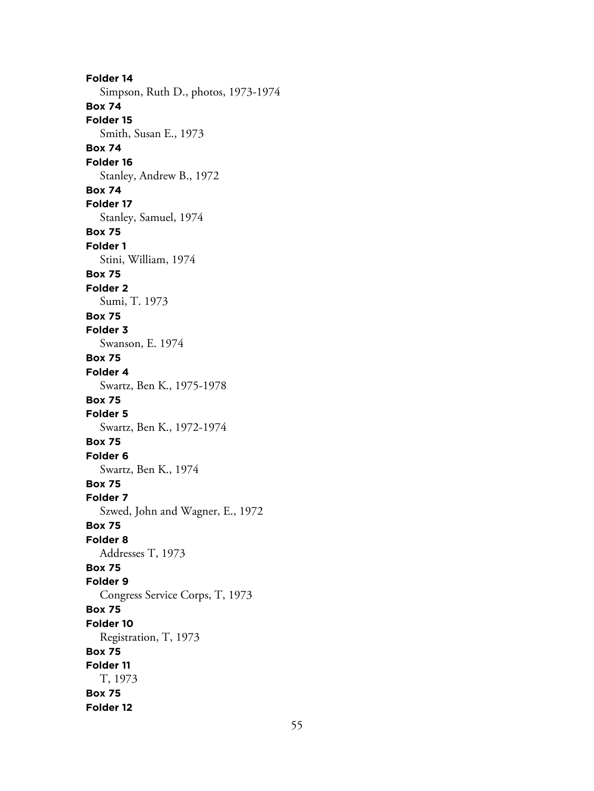**Folder 14** Simpson, Ruth D., photos, 1973-1974 **Box 74 Folder 15** Smith, Susan E., 1973 **Box 74 Folder 16** Stanley, Andrew B., 1972 **Box 74 Folder 17** Stanley, Samuel, 1974 **Box 75 Folder 1** Stini, William, 1974 **Box 75 Folder 2** Sumi, T. 1973 **Box 75 Folder 3** Swanson, E. 1974 **Box 75 Folder 4** Swartz, Ben K., 1975-1978 **Box 75 Folder 5** Swartz, Ben K., 1972-1974 **Box 75 Folder 6** Swartz, Ben K., 1974 **Box 75 Folder 7** Szwed, John and Wagner, E., 1972 **Box 75 Folder 8** Addresses T, 1973 **Box 75 Folder 9** Congress Service Corps, T, 1973 **Box 75 Folder 10** Registration, T, 1973 **Box 75 Folder 11** T, 1973 **Box 75 Folder 12**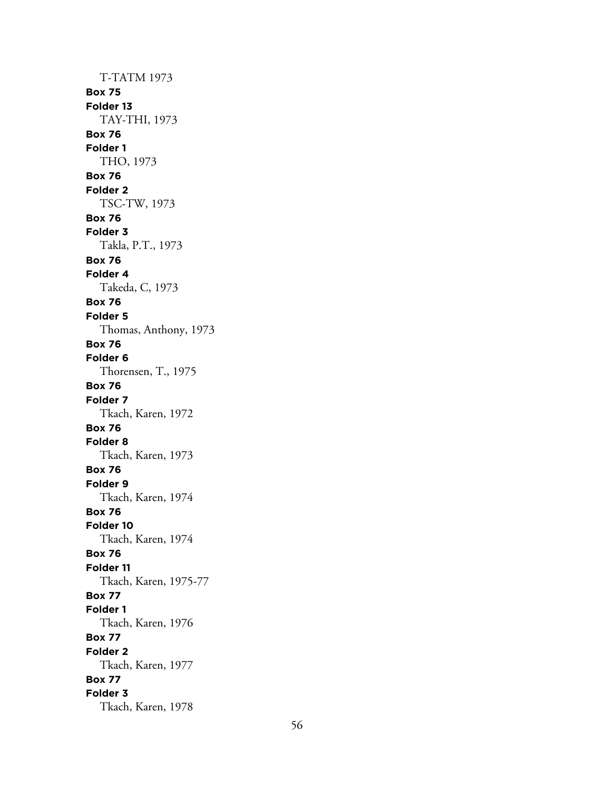T-TATM 1973 **Box 75 Folder 13** TAY-THI, 1973 **Box 76 Folder 1** THO, 1973 **Box 76 Folder 2** TSC-TW, 1973 **Box 76 Folder 3** Takla, P.T., 1973 **Box 76 Folder 4** Takeda, C, 1973 **Box 76 Folder 5** Thomas, Anthony, 1973 **Box 76 Folder 6** Thorensen, T., 1975 **Box 76 Folder 7** Tkach, Karen, 1972 **Box 76 Folder 8** Tkach, Karen, 1973 **Box 76 Folder 9** Tkach, Karen, 1974 **Box 76 Folder 10** Tkach, Karen, 1974 **Box 76 Folder 11** Tkach, Karen, 1975-77 **Box 77 Folder 1** Tkach, Karen, 1976 **Box 77 Folder 2** Tkach, Karen, 1977 **Box 77 Folder 3** Tkach, Karen, 1978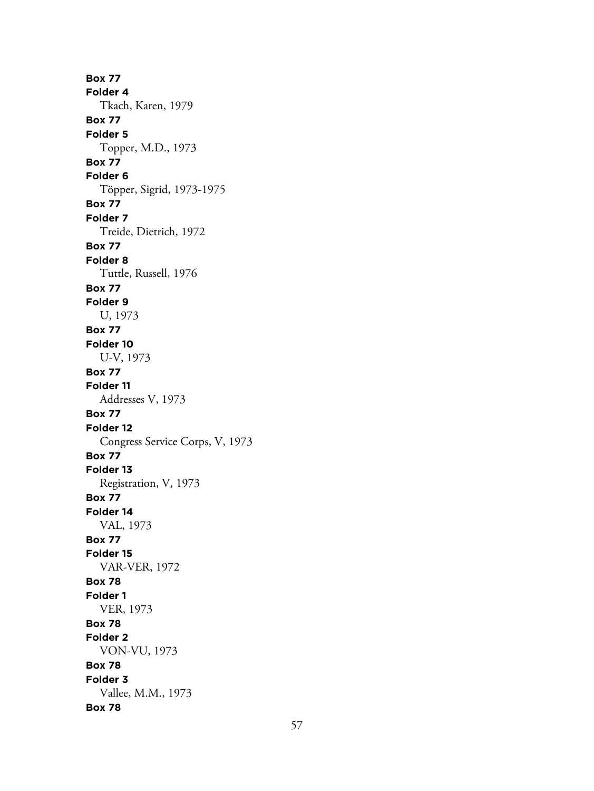**Box 77 Folder 4** Tkach, Karen, 1979 **Box 77 Folder 5** Topper, M.D., 1973 **Box 77 Folder 6** Töpper, Sigrid, 1973-1975 **Box 77 Folder 7** Treide, Dietrich, 1972 **Box 77 Folder 8** Tuttle, Russell, 1976 **Box 77 Folder 9** U, 1973 **Box 77 Folder 10** U-V, 1973 **Box 77 Folder 11** Addresses V, 1973 **Box 77 Folder 12** Congress Service Corps, V, 1973 **Box 77 Folder 13** Registration, V, 1973 **Box 77 Folder 14** VAL, 1973 **Box 77 Folder 15** VAR-VER, 1972 **Box 78 Folder 1** VER, 1973 **Box 78 Folder 2** VON-VU, 1973 **Box 78 Folder 3** Vallee, M.M., 1973 **Box 78**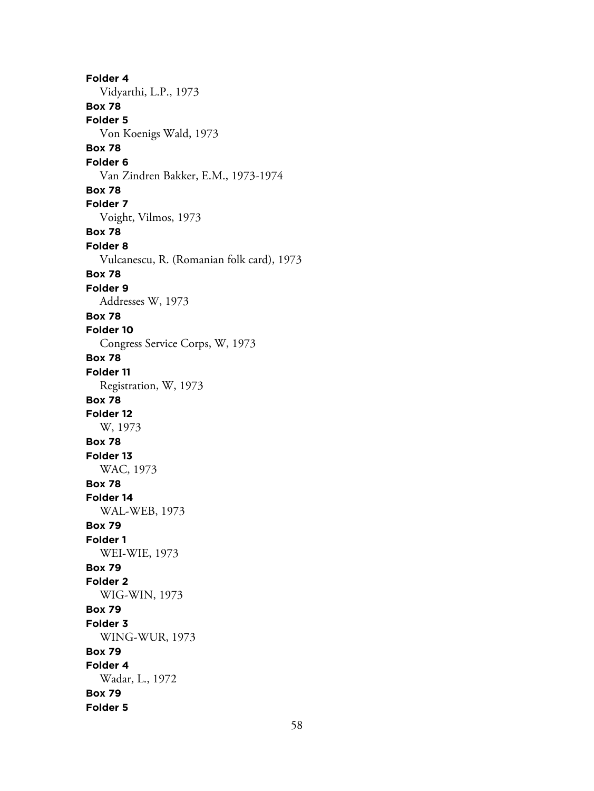**Folder 4** Vidyarthi, L.P., 1973 **Box 78 Folder 5** Von Koenigs Wald, 1973 **Box 78 Folder 6** Van Zindren Bakker, E.M., 1973-1974 **Box 78 Folder 7** Voight, Vilmos, 1973 **Box 78 Folder 8** Vulcanescu, R. (Romanian folk card), 1973 **Box 78 Folder 9** Addresses W, 1973 **Box 78 Folder 10** Congress Service Corps, W, 1973 **Box 78 Folder 11** Registration, W, 1973 **Box 78 Folder 12** W, 1973 **Box 78 Folder 13** WAC, 1973 **Box 78 Folder 14** WAL-WEB, 1973 **Box 79 Folder 1** WEI-WIE, 1973 **Box 79 Folder 2** WIG-WIN, 1973 **Box 79 Folder 3** WING-WUR, 1973 **Box 79 Folder 4** Wadar, L., 1972 **Box 79 Folder 5**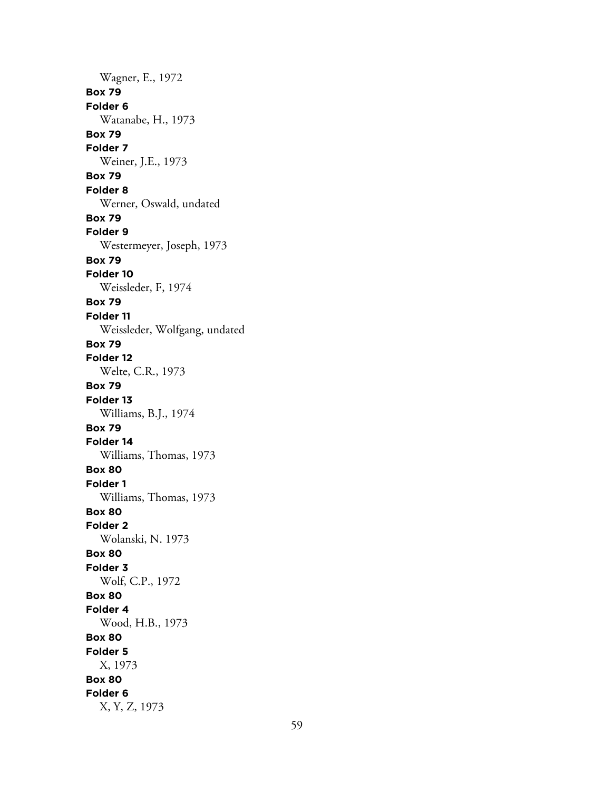Wagner, E., 1972 **Box 79 Folder 6** Watanabe, H., 1973 **Box 79 Folder 7** Weiner, J.E., 1973 **Box 79 Folder 8** Werner, Oswald, undated **Box 79 Folder 9** Westermeyer, Joseph, 1973 **Box 79 Folder 10** Weissleder, F, 1974 **Box 79 Folder 11** Weissleder, Wolfgang, undated **Box 79 Folder 12** Welte, C.R., 1973 **Box 79 Folder 13** Williams, B.J., 1974 **Box 79 Folder 14** Williams, Thomas, 1973 **Box 80 Folder 1** Williams, Thomas, 1973 **Box 80 Folder 2** Wolanski, N. 1973 **Box 80 Folder 3** Wolf, C.P., 1972 **Box 80 Folder 4** Wood, H.B., 1973 **Box 80 Folder 5** X, 1973 **Box 80 Folder 6** X, Y, Z, 1973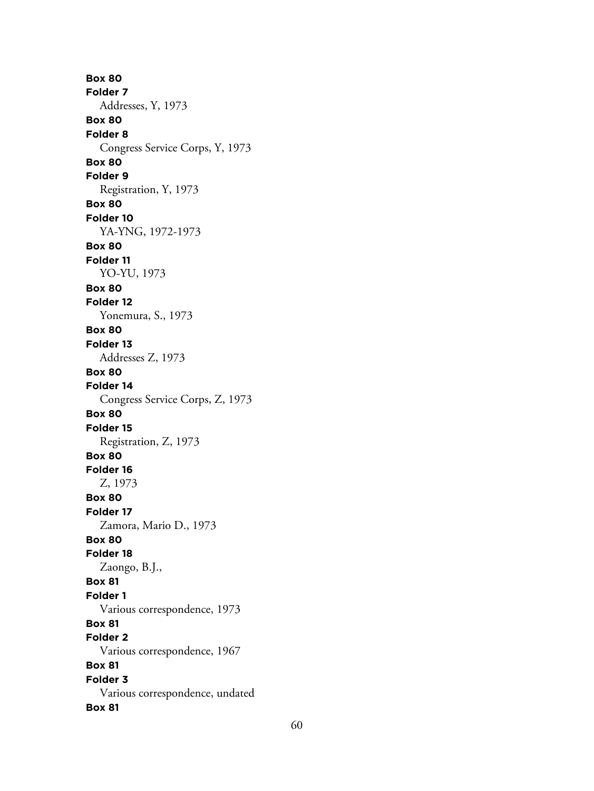**Box 80 Folder 7** Addresses, Y, 1973 **Box 80 Folder 8** Congress Service Corps, Y, 1973 **Box 80 Folder 9** Registration, Y, 1973 **Box 80 Folder 10** YA-YNG, 1972-1973 **Box 80 Folder 11** YO-YU, 1973 **Box 80 Folder 12** Yonemura, S., 1973 **Box 80 Folder 13** Addresses Z, 1973 **Box 80 Folder 14** Congress Service Corps, Z, 1973 **Box 80 Folder 15** Registration, Z, 1973 **Box 80 Folder 16** Z, 1973 **Box 80 Folder 17** Zamora, Mario D., 1973 **Box 80 Folder 18** Zaongo, B.J., **Box 81 Folder 1** Various correspondence, 1973 **Box 81 Folder 2** Various correspondence, 1967 **Box 81 Folder 3** Various correspondence, undated **Box 81**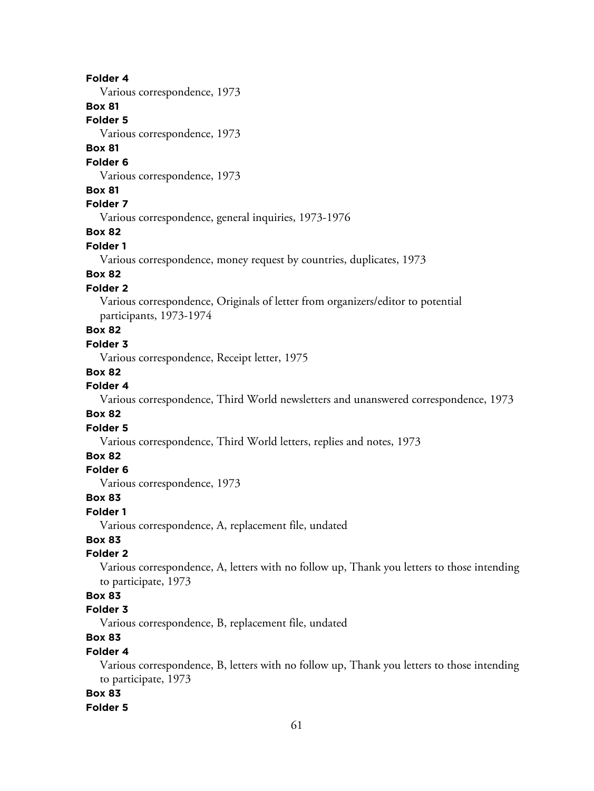#### **Folder 4**

Various correspondence, 1973

### **Box 81**

**Folder 5**

Various correspondence, 1973

## **Box 81**

#### **Folder 6**

Various correspondence, 1973

#### **Box 81**

## **Folder 7**

Various correspondence, general inquiries, 1973-1976

# **Box 82**

## **Folder 1**

Various correspondence, money request by countries, duplicates, 1973

# **Box 82**

## **Folder 2**

Various correspondence, Originals of letter from organizers/editor to potential participants, 1973-1974

# **Box 82**

### **Folder 3**

Various correspondence, Receipt letter, 1975

#### **Box 82**

### **Folder 4**

Various correspondence, Third World newsletters and unanswered correspondence, 1973

## **Box 82**

#### **Folder 5**

Various correspondence, Third World letters, replies and notes, 1973

# **Box 82**

# **Folder 6**

Various correspondence, 1973

#### **Box 83**

#### **Folder 1**

Various correspondence, A, replacement file, undated

# **Box 83**

## **Folder 2**

Various correspondence, A, letters with no follow up, Thank you letters to those intending to participate, 1973

# **Box 83**

# **Folder 3**

Various correspondence, B, replacement file, undated

# **Box 83**

## **Folder 4**

Various correspondence, B, letters with no follow up, Thank you letters to those intending to participate, 1973

# **Box 83**

#### **Folder 5**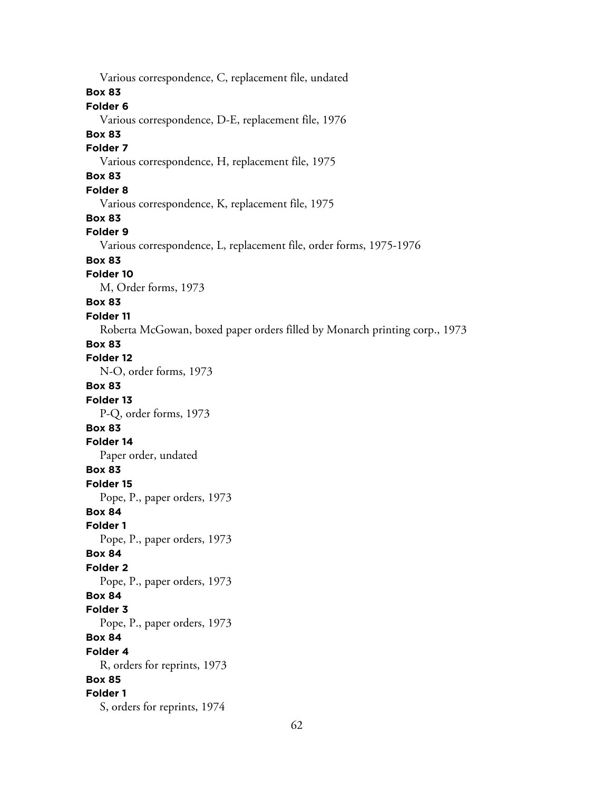Various correspondence, C, replacement file, undated **Box 83 Folder 6** Various correspondence, D-E, replacement file, 1976 **Box 83 Folder 7** Various correspondence, H, replacement file, 1975 **Box 83 Folder 8** Various correspondence, K, replacement file, 1975 **Box 83 Folder 9** Various correspondence, L, replacement file, order forms, 1975-1976 **Box 83 Folder 10** M, Order forms, 1973 **Box 83 Folder 11** Roberta McGowan, boxed paper orders filled by Monarch printing corp., 1973 **Box 83 Folder 12** N-O, order forms, 1973 **Box 83 Folder 13** P-Q, order forms, 1973 **Box 83 Folder 14** Paper order, undated **Box 83 Folder 15** Pope, P., paper orders, 1973 **Box 84 Folder 1** Pope, P., paper orders, 1973 **Box 84 Folder 2** Pope, P., paper orders, 1973 **Box 84 Folder 3** Pope, P., paper orders, 1973 **Box 84 Folder 4** R, orders for reprints, 1973 **Box 85 Folder 1** S, orders for reprints, 1974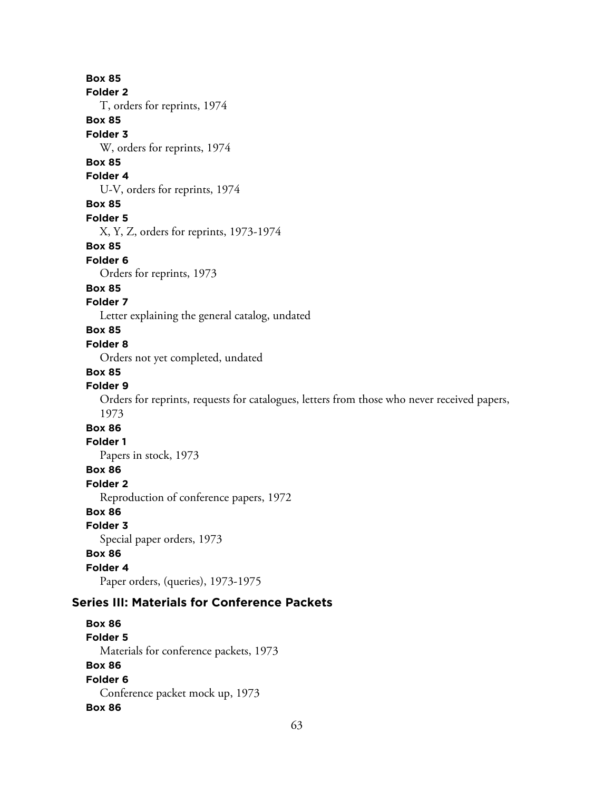## **Box 85**

#### **Folder 2**

T, orders for reprints, 1974

# **Box 85**

**Folder 3**

W, orders for reprints, 1974

# **Box 85**

**Folder 4**

U-V, orders for reprints, 1974

### **Box 85**

**Folder 5**

X, Y, Z, orders for reprints, 1973-1974

### **Box 85**

**Folder 6**

Orders for reprints, 1973

### **Box 85**

### **Folder 7**

Letter explaining the general catalog, undated

## **Box 85**

### **Folder 8**

Orders not yet completed, undated

## **Box 85**

## **Folder 9**

Orders for reprints, requests for catalogues, letters from those who never received papers, 1973

# **Box 86**

# **Folder 1**

Papers in stock, 1973

# **Box 86**

**Folder 2**

Reproduction of conference papers, 1972

# **Box 86**

#### **Folder 3**

Special paper orders, 1973

## **Box 86**

# **Folder 4**

Paper orders, (queries), 1973-1975

# **Series III: Materials for Conference Packets**

# **Box 86 Folder 5** Materials for conference packets, 1973 **Box 86 Folder 6** Conference packet mock up, 1973 **Box 86**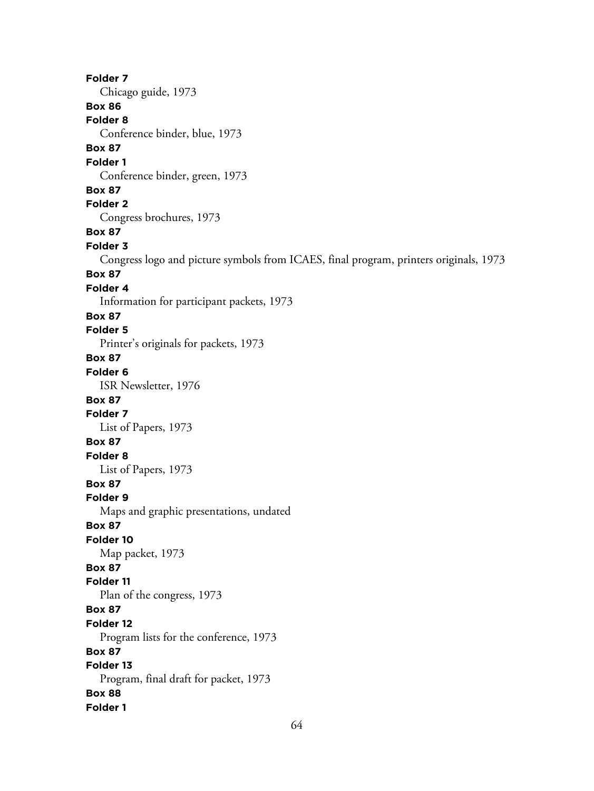**Folder 7** Chicago guide, 1973 **Box 86 Folder 8** Conference binder, blue, 1973 **Box 87 Folder 1** Conference binder, green, 1973 **Box 87 Folder 2** Congress brochures, 1973 **Box 87 Folder 3** Congress logo and picture symbols from ICAES, final program, printers originals, 1973 **Box 87 Folder 4** Information for participant packets, 1973 **Box 87 Folder 5** Printer's originals for packets, 1973 **Box 87 Folder 6** ISR Newsletter, 1976 **Box 87 Folder 7** List of Papers, 1973 **Box 87 Folder 8** List of Papers, 1973 **Box 87 Folder 9** Maps and graphic presentations, undated **Box 87 Folder 10** Map packet, 1973 **Box 87 Folder 11** Plan of the congress, 1973 **Box 87 Folder 12** Program lists for the conference, 1973 **Box 87 Folder 13** Program, final draft for packet, 1973 **Box 88 Folder 1**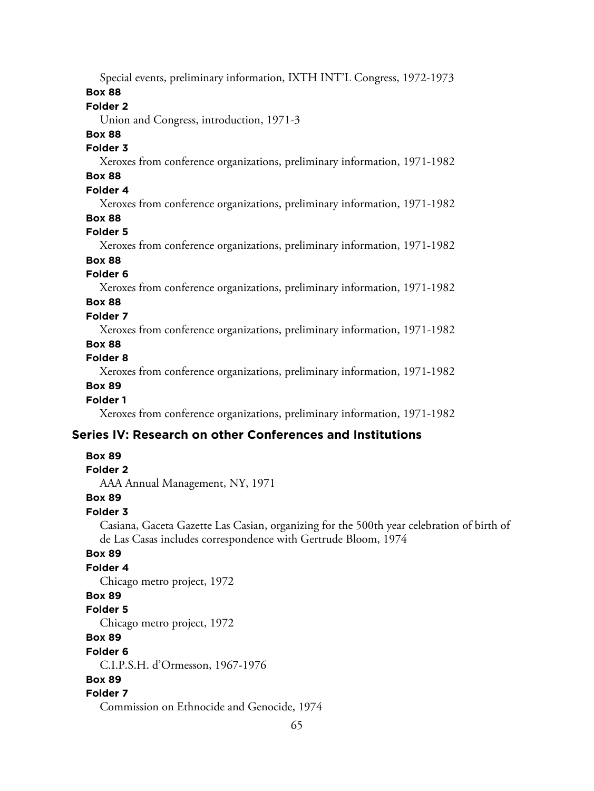Special events, preliminary information, IXTH INT'L Congress, 1972-1973

## **Box 88**

## **Folder 2**

Union and Congress, introduction, 1971-3

# **Box 88**

# **Folder 3**

Xeroxes from conference organizations, preliminary information, 1971-1982

# **Box 88**

# **Folder 4**

Xeroxes from conference organizations, preliminary information, 1971-1982

## **Box 88**

# **Folder 5**

Xeroxes from conference organizations, preliminary information, 1971-1982

# **Box 88**

## **Folder 6**

Xeroxes from conference organizations, preliminary information, 1971-1982

# **Box 88**

# **Folder 7**

Xeroxes from conference organizations, preliminary information, 1971-1982

# **Box 88**

# **Folder 8**

Xeroxes from conference organizations, preliminary information, 1971-1982

# **Box 89**

## **Folder 1**

Xeroxes from conference organizations, preliminary information, 1971-1982

# **Series IV: Research on other Conferences and Institutions**

## **Box 89**

## **Folder 2**

AAA Annual Management, NY, 1971

## **Box 89**

## **Folder 3**

Casiana, Gaceta Gazette Las Casian, organizing for the 500th year celebration of birth of de Las Casas includes correspondence with Gertrude Bloom, 1974

## **Box 89**

# **Folder 4**

Chicago metro project, 1972

## **Box 89**

# **Folder 5**

Chicago metro project, 1972

# **Box 89**

#### **Folder 6**

C.I.P.S.H. d'Ormesson, 1967-1976

## **Box 89**

# **Folder 7**

Commission on Ethnocide and Genocide, 1974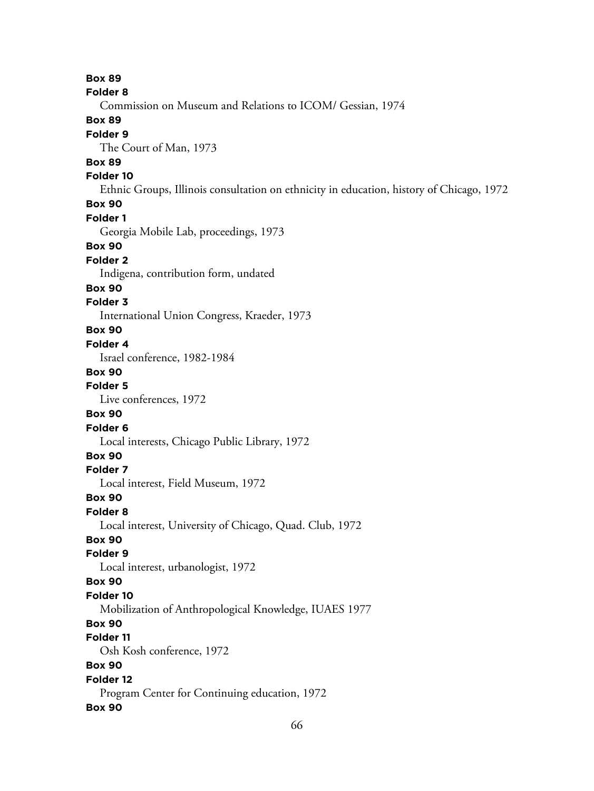**Box 89 Folder 8** Commission on Museum and Relations to ICOM/ Gessian, 1974 **Box 89 Folder 9** The Court of Man, 1973 **Box 89 Folder 10** Ethnic Groups, Illinois consultation on ethnicity in education, history of Chicago, 1972 **Box 90 Folder 1** Georgia Mobile Lab, proceedings, 1973 **Box 90 Folder 2** Indigena, contribution form, undated **Box 90 Folder 3** International Union Congress, Kraeder, 1973 **Box 90 Folder 4** Israel conference, 1982-1984 **Box 90 Folder 5** Live conferences, 1972 **Box 90 Folder 6** Local interests, Chicago Public Library, 1972 **Box 90 Folder 7** Local interest, Field Museum, 1972 **Box 90 Folder 8** Local interest, University of Chicago, Quad. Club, 1972 **Box 90 Folder 9** Local interest, urbanologist, 1972 **Box 90 Folder 10** Mobilization of Anthropological Knowledge, IUAES 1977 **Box 90 Folder 11** Osh Kosh conference, 1972 **Box 90 Folder 12** Program Center for Continuing education, 1972 **Box 90**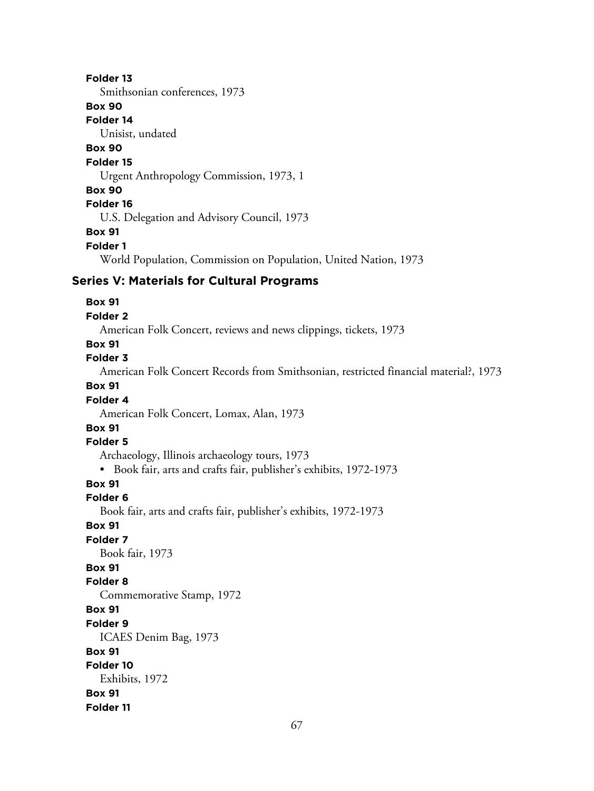### **Folder 13**

Smithsonian conferences, 1973

## **Box 90**

**Folder 14**

Unisist, undated

# **Box 90**

## **Folder 15**

Urgent Anthropology Commission, 1973, 1

#### **Box 90**

## **Folder 16**

U.S. Delegation and Advisory Council, 1973

**Box 91**

#### **Folder 1**

World Population, Commission on Population, United Nation, 1973

## **Series V: Materials for Cultural Programs**

#### **Box 91**

#### **Folder 2**

American Folk Concert, reviews and news clippings, tickets, 1973

# **Box 91**

# **Folder 3**

American Folk Concert Records from Smithsonian, restricted financial material?, 1973

### **Box 91**

#### **Folder 4**

American Folk Concert, Lomax, Alan, 1973

# **Box 91**

#### **Folder 5**

Archaeology, Illinois archaeology tours, 1973

• Book fair, arts and crafts fair, publisher's exhibits, 1972-1973

## **Box 91**

#### **Folder 6**

Book fair, arts and crafts fair, publisher's exhibits, 1972-1973

## **Box 91**

### **Folder 7**

Book fair, 1973

## **Box 91**

#### **Folder 8**

Commemorative Stamp, 1972

# **Box 91**

**Folder 9**

ICAES Denim Bag, 1973

#### **Box 91**

**Folder 10**

#### Exhibits, 1972

**Box 91**

#### **Folder 11**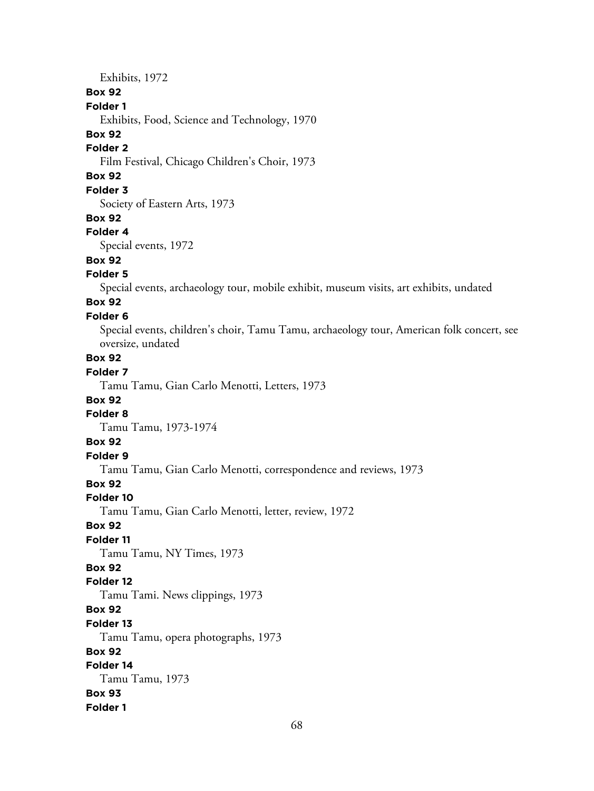Exhibits, 1972

#### **Box 92**

#### **Folder 1**

Exhibits, Food, Science and Technology, 1970

#### **Box 92**

#### **Folder 2**

Film Festival, Chicago Children's Choir, 1973

# **Box 92**

# **Folder 3**

Society of Eastern Arts, 1973

#### **Box 92**

#### **Folder 4**

Special events, 1972

# **Box 92**

## **Folder 5**

Special events, archaeology tour, mobile exhibit, museum visits, art exhibits, undated

#### **Box 92 Folder 6**

# Special events, children's choir, Tamu Tamu, archaeology tour, American folk concert, see oversize, undated

**Box 92**

#### **Folder 7**

Tamu Tamu, Gian Carlo Menotti, Letters, 1973

#### **Box 92**

#### **Folder 8**

Tamu Tamu, 1973-1974

# **Box 92**

# **Folder 9**

Tamu Tamu, Gian Carlo Menotti, correspondence and reviews, 1973

# **Box 92**

#### **Folder 10**

Tamu Tamu, Gian Carlo Menotti, letter, review, 1972

#### **Box 92**

#### **Folder 11**

Tamu Tamu, NY Times, 1973

#### **Box 92**

#### **Folder 12**

Tamu Tami. News clippings, 1973

## **Box 92**

# **Folder 13**

Tamu Tamu, opera photographs, 1973

# **Box 92**

# **Folder 14**

Tamu Tamu, 1973 **Box 93**

## **Folder 1**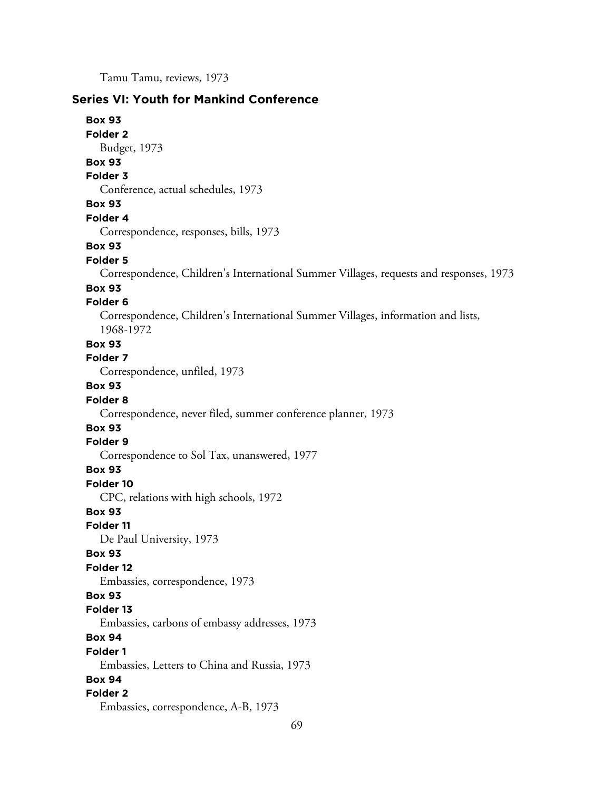Tamu Tamu, reviews, 1973

# **Series VI: Youth for Mankind Conference**

**Box 93 Folder 2** Budget, 1973

**Box 93**

#### **Folder 3**

Conference, actual schedules, 1973

### **Box 93**

**Folder 4**

Correspondence, responses, bills, 1973

#### **Box 93**

#### **Folder 5**

Correspondence, Children's International Summer Villages, requests and responses, 1973

#### **Box 93**

#### **Folder 6**

Correspondence, Children's International Summer Villages, information and lists, 1968-1972

# **Box 93**

**Folder 7**

Correspondence, unfiled, 1973

# **Box 93**

#### **Folder 8**

Correspondence, never filed, summer conference planner, 1973

# **Box 93**

### **Folder 9**

Correspondence to Sol Tax, unanswered, 1977

#### **Box 93**

**Folder 10**

CPC, relations with high schools, 1972

#### **Box 93**

**Folder 11**

De Paul University, 1973

#### **Box 93**

#### **Folder 12**

Embassies, correspondence, 1973

#### **Box 93**

#### **Folder 13**

Embassies, carbons of embassy addresses, 1973

# **Box 94**

#### **Folder 1**

Embassies, Letters to China and Russia, 1973

### **Box 94**

## **Folder 2**

Embassies, correspondence, A-B, 1973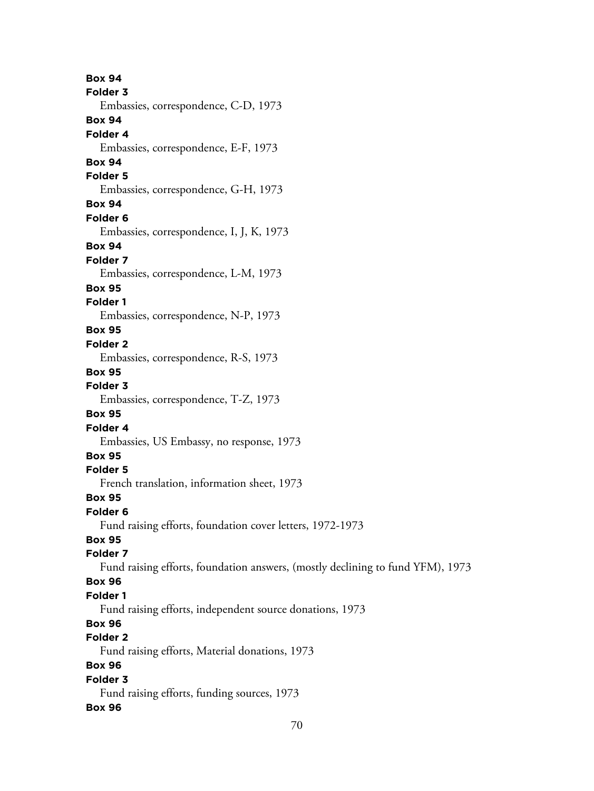**Box 94 Folder 3** Embassies, correspondence, C-D, 1973 **Box 94 Folder 4** Embassies, correspondence, E-F, 1973 **Box 94 Folder 5** Embassies, correspondence, G-H, 1973 **Box 94 Folder 6** Embassies, correspondence, I, J, K, 1973 **Box 94 Folder 7** Embassies, correspondence, L-M, 1973 **Box 95 Folder 1** Embassies, correspondence, N-P, 1973 **Box 95 Folder 2** Embassies, correspondence, R-S, 1973 **Box 95 Folder 3** Embassies, correspondence, T-Z, 1973 **Box 95 Folder 4** Embassies, US Embassy, no response, 1973 **Box 95 Folder 5** French translation, information sheet, 1973 **Box 95 Folder 6** Fund raising efforts, foundation cover letters, 1972-1973 **Box 95 Folder 7** Fund raising efforts, foundation answers, (mostly declining to fund YFM), 1973 **Box 96 Folder 1** Fund raising efforts, independent source donations, 1973 **Box 96 Folder 2** Fund raising efforts, Material donations, 1973 **Box 96 Folder 3** Fund raising efforts, funding sources, 1973 **Box 96**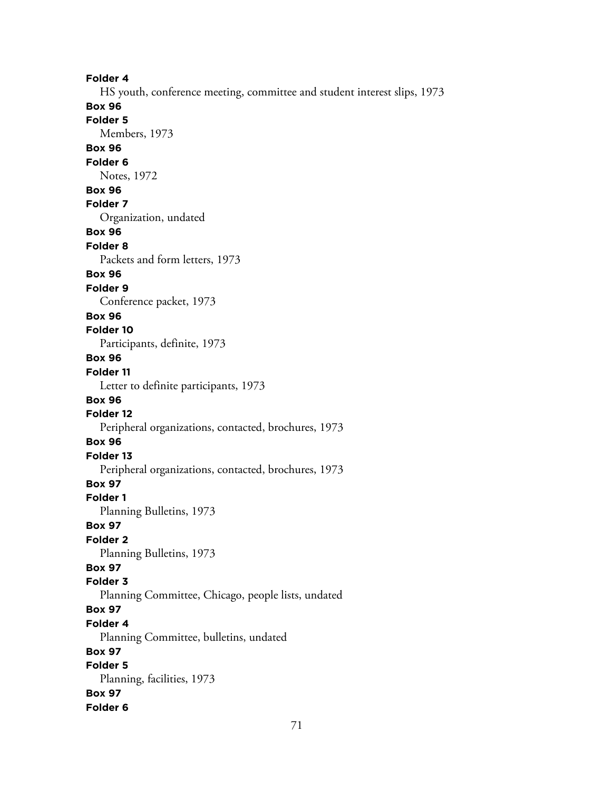**Folder 4** HS youth, conference meeting, committee and student interest slips, 1973 **Box 96 Folder 5** Members, 1973 **Box 96 Folder 6** Notes, 1972 **Box 96 Folder 7** Organization, undated **Box 96 Folder 8** Packets and form letters, 1973 **Box 96 Folder 9** Conference packet, 1973 **Box 96 Folder 10** Participants, definite, 1973 **Box 96 Folder 11** Letter to definite participants, 1973 **Box 96 Folder 12** Peripheral organizations, contacted, brochures, 1973 **Box 96 Folder 13** Peripheral organizations, contacted, brochures, 1973 **Box 97 Folder 1** Planning Bulletins, 1973 **Box 97 Folder 2** Planning Bulletins, 1973 **Box 97 Folder 3** Planning Committee, Chicago, people lists, undated **Box 97 Folder 4** Planning Committee, bulletins, undated **Box 97 Folder 5** Planning, facilities, 1973 **Box 97 Folder 6**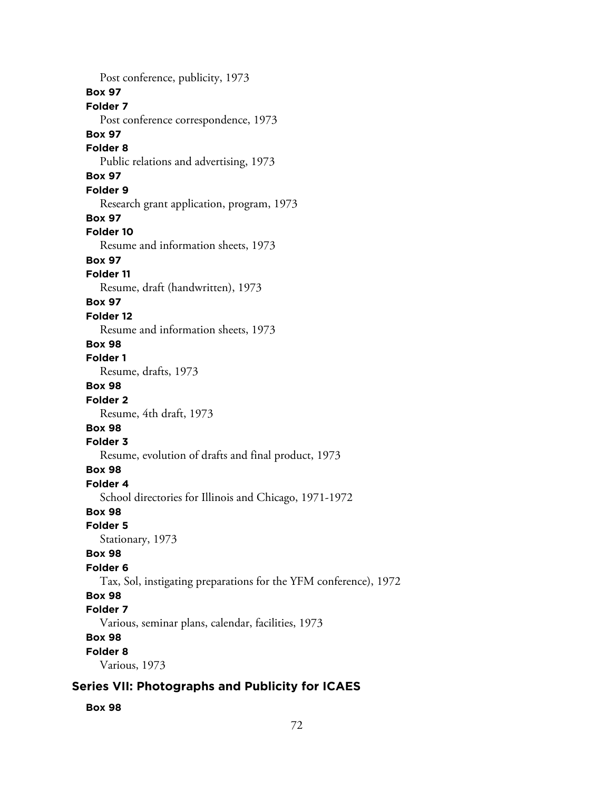Post conference, publicity, 1973 **Box 97 Folder 7** Post conference correspondence, 1973 **Box 97 Folder 8** Public relations and advertising, 1973 **Box 97 Folder 9** Research grant application, program, 1973 **Box 97 Folder 10** Resume and information sheets, 1973 **Box 97 Folder 11** Resume, draft (handwritten), 1973 **Box 97 Folder 12** Resume and information sheets, 1973 **Box 98 Folder 1** Resume, drafts, 1973 **Box 98 Folder 2** Resume, 4th draft, 1973 **Box 98 Folder 3** Resume, evolution of drafts and final product, 1973 **Box 98 Folder 4** School directories for Illinois and Chicago, 1971-1972 **Box 98 Folder 5** Stationary, 1973 **Box 98 Folder 6** Tax, Sol, instigating preparations for the YFM conference), 1972 **Box 98 Folder 7** Various, seminar plans, calendar, facilities, 1973 **Box 98 Folder 8** Various, 1973

# **Series VII: Photographs and Publicity for ICAES**

**Box 98**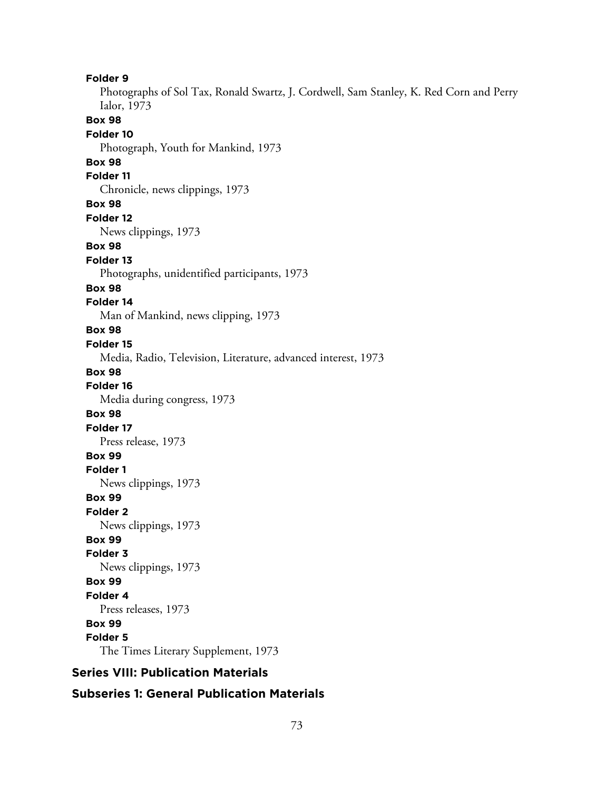**Folder 9** Photographs of Sol Tax, Ronald Swartz, J. Cordwell, Sam Stanley, K. Red Corn and Perry Ialor, 1973 **Box 98 Folder 10** Photograph, Youth for Mankind, 1973 **Box 98 Folder 11** Chronicle, news clippings, 1973 **Box 98 Folder 12** News clippings, 1973 **Box 98 Folder 13** Photographs, unidentified participants, 1973 **Box 98 Folder 14** Man of Mankind, news clipping, 1973 **Box 98 Folder 15** Media, Radio, Television, Literature, advanced interest, 1973 **Box 98 Folder 16** Media during congress, 1973 **Box 98 Folder 17** Press release, 1973 **Box 99 Folder 1** News clippings, 1973 **Box 99 Folder 2** News clippings, 1973 **Box 99 Folder 3** News clippings, 1973 **Box 99 Folder 4** Press releases, 1973 **Box 99 Folder 5** The Times Literary Supplement, 1973 **Series VIII: Publication Materials**

## **Subseries 1: General Publication Materials**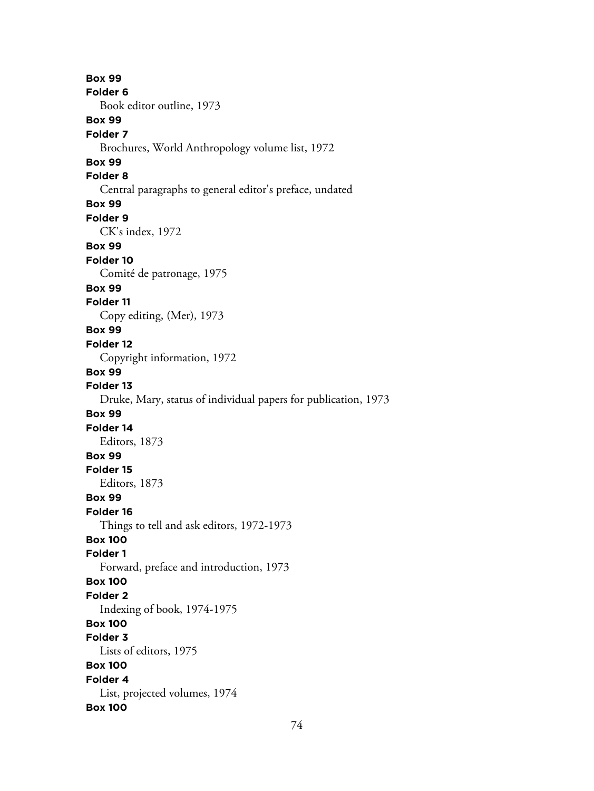**Box 99 Folder 6** Book editor outline, 1973 **Box 99 Folder 7** Brochures, World Anthropology volume list, 1972 **Box 99 Folder 8** Central paragraphs to general editor's preface, undated **Box 99 Folder 9** CK's index, 1972 **Box 99 Folder 10** Comité de patronage, 1975 **Box 99 Folder 11** Copy editing, (Mer), 1973 **Box 99 Folder 12** Copyright information, 1972 **Box 99 Folder 13** Druke, Mary, status of individual papers for publication, 1973 **Box 99 Folder 14** Editors, 1873 **Box 99 Folder 15** Editors, 1873 **Box 99 Folder 16** Things to tell and ask editors, 1972-1973 **Box 100 Folder 1** Forward, preface and introduction, 1973 **Box 100 Folder 2** Indexing of book, 1974-1975 **Box 100 Folder 3** Lists of editors, 1975 **Box 100 Folder 4** List, projected volumes, 1974 **Box 100**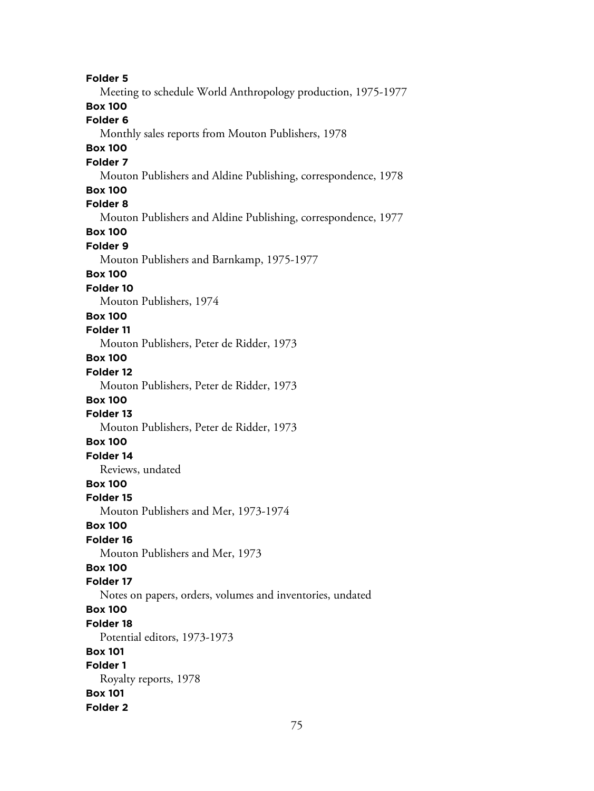**Folder 5** Meeting to schedule World Anthropology production, 1975-1977 **Box 100 Folder 6** Monthly sales reports from Mouton Publishers, 1978 **Box 100 Folder 7** Mouton Publishers and Aldine Publishing, correspondence, 1978 **Box 100 Folder 8** Mouton Publishers and Aldine Publishing, correspondence, 1977 **Box 100 Folder 9** Mouton Publishers and Barnkamp, 1975-1977 **Box 100 Folder 10** Mouton Publishers, 1974 **Box 100 Folder 11** Mouton Publishers, Peter de Ridder, 1973 **Box 100 Folder 12** Mouton Publishers, Peter de Ridder, 1973 **Box 100 Folder 13** Mouton Publishers, Peter de Ridder, 1973 **Box 100 Folder 14** Reviews, undated **Box 100 Folder 15** Mouton Publishers and Mer, 1973-1974 **Box 100 Folder 16** Mouton Publishers and Mer, 1973 **Box 100 Folder 17** Notes on papers, orders, volumes and inventories, undated **Box 100 Folder 18** Potential editors, 1973-1973 **Box 101 Folder 1** Royalty reports, 1978 **Box 101 Folder 2**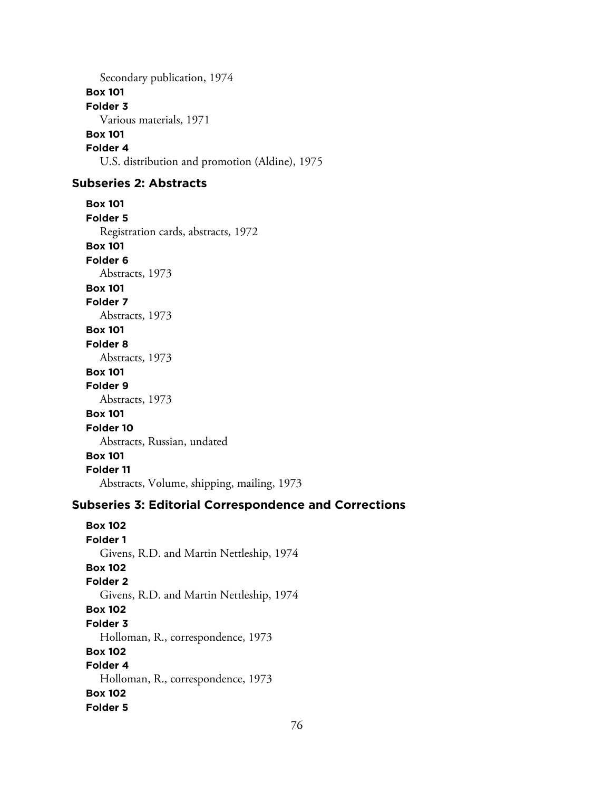Secondary publication, 1974 **Box 101 Folder 3** Various materials, 1971 **Box 101 Folder 4** U.S. distribution and promotion (Aldine), 1975

## **Subseries 2: Abstracts**

**Box 101 Folder 5** Registration cards, abstracts, 1972 **Box 101 Folder 6** Abstracts, 1973 **Box 101 Folder 7** Abstracts, 1973 **Box 101 Folder 8** Abstracts, 1973 **Box 101 Folder 9** Abstracts, 1973 **Box 101 Folder 10** Abstracts, Russian, undated

#### **Box 101 Folder 11**

Abstracts, Volume, shipping, mailing, 1973

## **Subseries 3: Editorial Correspondence and Corrections**

**Box 102 Folder 1** Givens, R.D. and Martin Nettleship, 1974 **Box 102 Folder 2** Givens, R.D. and Martin Nettleship, 1974 **Box 102 Folder 3** Holloman, R., correspondence, 1973 **Box 102 Folder 4** Holloman, R., correspondence, 1973 **Box 102 Folder 5**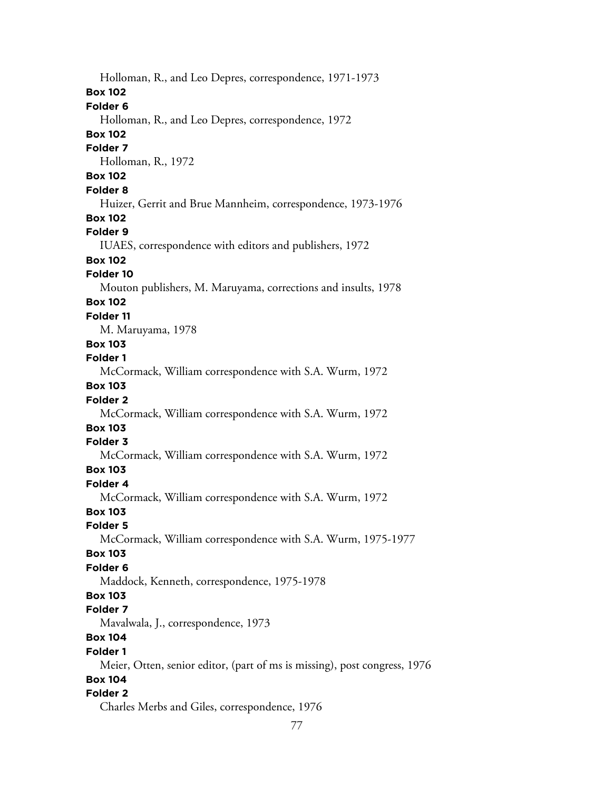Holloman, R., and Leo Depres, correspondence, 1971-1973 **Box 102 Folder 6** Holloman, R., and Leo Depres, correspondence, 1972 **Box 102 Folder 7** Holloman, R., 1972 **Box 102 Folder 8** Huizer, Gerrit and Brue Mannheim, correspondence, 1973-1976 **Box 102 Folder 9** IUAES, correspondence with editors and publishers, 1972 **Box 102 Folder 10** Mouton publishers, M. Maruyama, corrections and insults, 1978 **Box 102 Folder 11** M. Maruyama, 1978 **Box 103 Folder 1** McCormack, William correspondence with S.A. Wurm, 1972 **Box 103 Folder 2** McCormack, William correspondence with S.A. Wurm, 1972 **Box 103 Folder 3** McCormack, William correspondence with S.A. Wurm, 1972 **Box 103 Folder 4** McCormack, William correspondence with S.A. Wurm, 1972 **Box 103 Folder 5** McCormack, William correspondence with S.A. Wurm, 1975-1977 **Box 103 Folder 6** Maddock, Kenneth, correspondence, 1975-1978 **Box 103 Folder 7** Mavalwala, J., correspondence, 1973 **Box 104 Folder 1** Meier, Otten, senior editor, (part of ms is missing), post congress, 1976 **Box 104 Folder 2** Charles Merbs and Giles, correspondence, 1976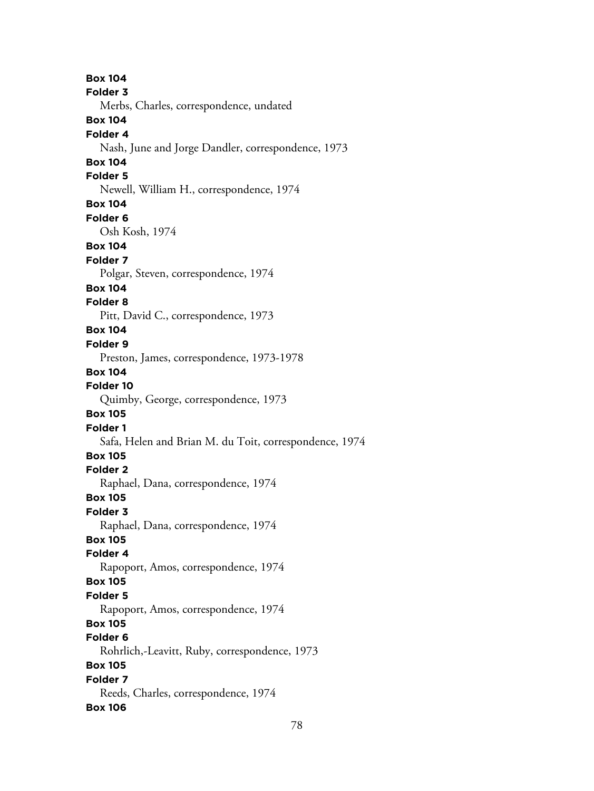**Box 104 Folder 3** Merbs, Charles, correspondence, undated **Box 104 Folder 4** Nash, June and Jorge Dandler, correspondence, 1973 **Box 104 Folder 5** Newell, William H., correspondence, 1974 **Box 104 Folder 6** Osh Kosh, 1974 **Box 104 Folder 7** Polgar, Steven, correspondence, 1974 **Box 104 Folder 8** Pitt, David C., correspondence, 1973 **Box 104 Folder 9** Preston, James, correspondence, 1973-1978 **Box 104 Folder 10** Quimby, George, correspondence, 1973 **Box 105 Folder 1** Safa, Helen and Brian M. du Toit, correspondence, 1974 **Box 105 Folder 2** Raphael, Dana, correspondence, 1974 **Box 105 Folder 3** Raphael, Dana, correspondence, 1974 **Box 105 Folder 4** Rapoport, Amos, correspondence, 1974 **Box 105 Folder 5** Rapoport, Amos, correspondence, 1974 **Box 105 Folder 6** Rohrlich,-Leavitt, Ruby, correspondence, 1973 **Box 105 Folder 7** Reeds, Charles, correspondence, 1974 **Box 106**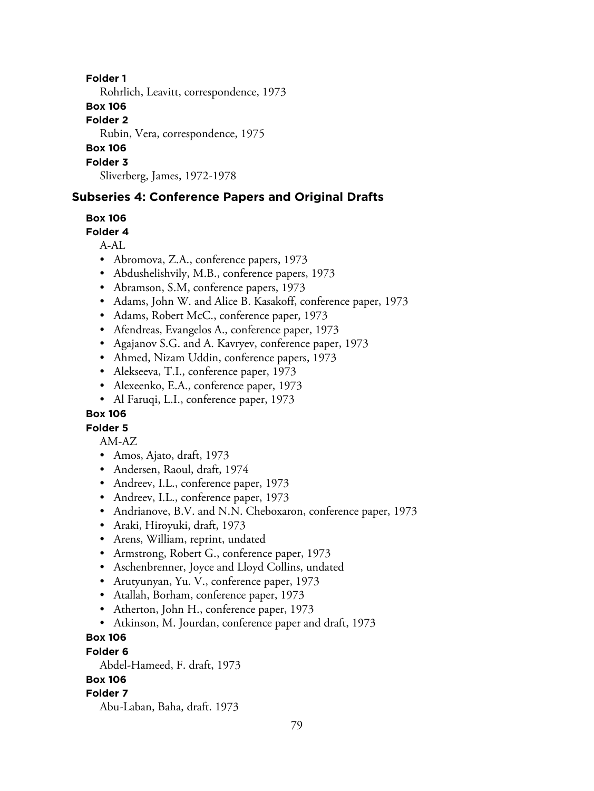### **Folder 1**

Rohrlich, Leavitt, correspondence, 1973

### **Box 106**

**Folder 2**

Rubin, Vera, correspondence, 1975

## **Box 106**

#### **Folder 3**

Sliverberg, James, 1972-1978

## **Subseries 4: Conference Papers and Original Drafts**

## **Box 106**

## **Folder 4**

 $A-AI$ .

- Abromova, Z.A., conference papers, 1973
- Abdushelishvily, M.B., conference papers, 1973
- Abramson, S.M, conference papers, 1973
- Adams, John W. and Alice B. Kasakoff, conference paper, 1973
- Adams, Robert McC., conference paper, 1973
- Afendreas, Evangelos A., conference paper, 1973
- Agajanov S.G. and A. Kavryev, conference paper, 1973
- Ahmed, Nizam Uddin, conference papers, 1973
- Alekseeva, T.I., conference paper, 1973
- Alexeenko, E.A., conference paper, 1973
- Al Faruqi, L.I., conference paper, 1973

## **Box 106**

# **Folder 5**

AM-AZ

- Amos, Ajato, draft, 1973
- Andersen, Raoul, draft, 1974
- Andreev, I.L., conference paper, 1973
- Andreev, I.L., conference paper, 1973
- Andrianove, B.V. and N.N. Cheboxaron, conference paper, 1973
- Araki, Hiroyuki, draft, 1973
- Arens, William, reprint, undated
- Armstrong, Robert G., conference paper, 1973
- Aschenbrenner, Joyce and Lloyd Collins, undated
- Arutyunyan, Yu. V., conference paper, 1973
- Atallah, Borham, conference paper, 1973
- Atherton, John H., conference paper, 1973
- Atkinson, M. Jourdan, conference paper and draft, 1973

# **Box 106**

## **Folder 6**

Abdel-Hameed, F. draft, 1973

## **Box 106**

## **Folder 7**

Abu-Laban, Baha, draft. 1973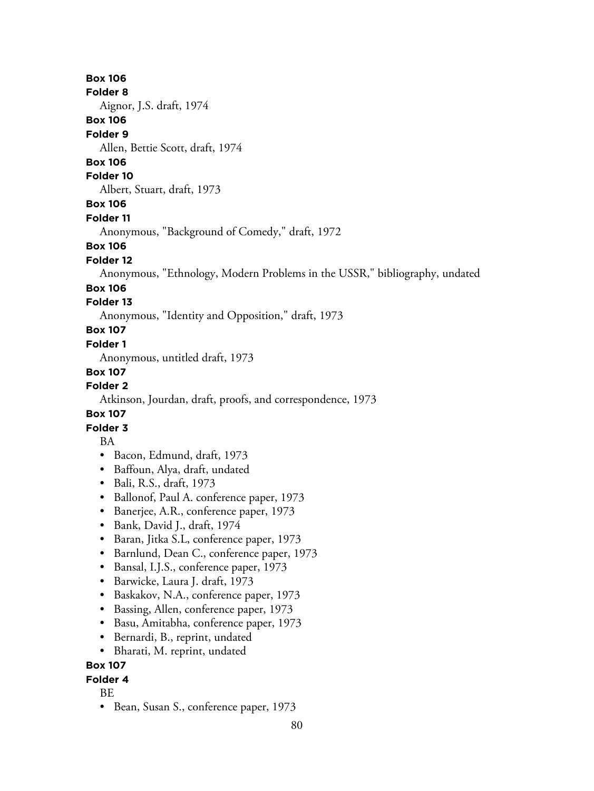#### **Folder 8**

Aignor, J.S. draft, 1974

## **Box 106**

#### **Folder 9**

Allen, Bettie Scott, draft, 1974

# **Box 106**

#### **Folder 10**

Albert, Stuart, draft, 1973

## **Box 106**

### **Folder 11**

Anonymous, "Background of Comedy," draft, 1972

## **Box 106**

## **Folder 12**

Anonymous, "Ethnology, Modern Problems in the USSR," bibliography, undated

## **Box 106**

## **Folder 13**

Anonymous, "Identity and Opposition," draft, 1973

# **Box 107**

## **Folder 1**

Anonymous, untitled draft, 1973

## **Box 107**

## **Folder 2**

Atkinson, Jourdan, draft, proofs, and correspondence, 1973

## **Box 107**

## **Folder 3**

## BA

- Bacon, Edmund, draft, 1973
- Baffoun, Alya, draft, undated
- Bali, R.S., draft, 1973
- Ballonof, Paul A. conference paper, 1973
- Banerjee, A.R., conference paper, 1973
- Bank, David J., draft, 1974
- Baran, Jitka S.L, conference paper, 1973
- Barnlund, Dean C., conference paper, 1973
- Bansal, I.J.S., conference paper, 1973
- Barwicke, Laura J. draft, 1973
- Baskakov, N.A., conference paper, 1973
- Bassing, Allen, conference paper, 1973
- Basu, Amitabha, conference paper, 1973
- Bernardi, B., reprint, undated
- Bharati, M. reprint, undated

## **Box 107**

## **Folder 4**

## BE

• Bean, Susan S., conference paper, 1973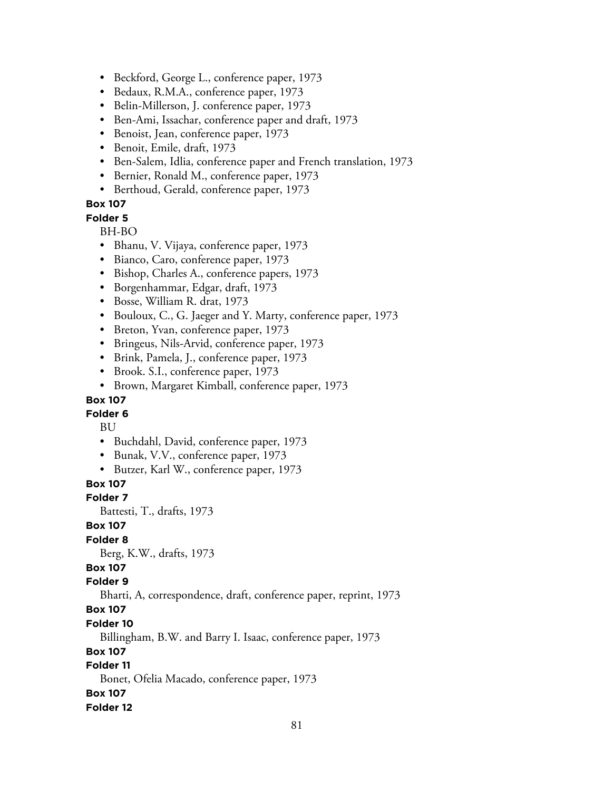- Beckford, George L., conference paper, 1973
- Bedaux, R.M.A., conference paper, 1973
- Belin-Millerson, J. conference paper, 1973
- Ben-Ami, Issachar, conference paper and draft, 1973
- Benoist, Jean, conference paper, 1973
- Benoit, Emile, draft, 1973
- Ben-Salem, Idlia, conference paper and French translation, 1973
- Bernier, Ronald M., conference paper, 1973
- Berthoud, Gerald, conference paper, 1973

#### **Folder 5**

BH-BO

- Bhanu, V. Vijaya, conference paper, 1973
- Bianco, Caro, conference paper, 1973
- Bishop, Charles A., conference papers, 1973
- Borgenhammar, Edgar, draft, 1973
- Bosse, William R. drat, 1973
- Bouloux, C., G. Jaeger and Y. Marty, conference paper, 1973
- Breton, Yvan, conference paper, 1973
- Bringeus, Nils-Arvid, conference paper, 1973
- Brink, Pamela, J., conference paper, 1973
- Brook. S.I., conference paper, 1973
- Brown, Margaret Kimball, conference paper, 1973

#### **Box 107**

### **Folder 6**

BU

- Buchdahl, David, conference paper, 1973
- Bunak, V.V., conference paper, 1973
- Butzer, Karl W., conference paper, 1973

## **Box 107**

#### **Folder 7**

Battesti, T., drafts, 1973

#### **Box 107**

### **Folder 8**

Berg, K.W., drafts, 1973

## **Box 107**

## **Folder 9**

Bharti, A, correspondence, draft, conference paper, reprint, 1973

## **Box 107**

#### **Folder 10**

Billingham, B.W. and Barry I. Isaac, conference paper, 1973

### **Box 107**

## **Folder 11**

Bonet, Ofelia Macado, conference paper, 1973

#### **Box 107**

#### **Folder 12**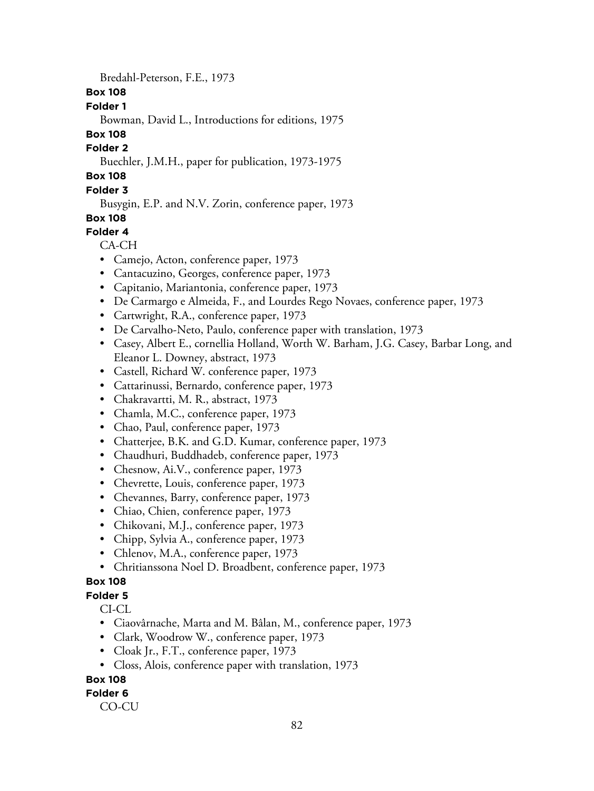Bredahl-Peterson, F.E., 1973

## **Box 108**

## **Folder 1**

Bowman, David L., Introductions for editions, 1975

# **Box 108**

## **Folder 2**

Buechler, J.M.H., paper for publication, 1973-1975

# **Box 108**

## **Folder 3**

Busygin, E.P. and N.V. Zorin, conference paper, 1973

## **Box 108**

# **Folder 4**

## CA-CH

- Camejo, Acton, conference paper, 1973
- Cantacuzino, Georges, conference paper, 1973
- Capitanio, Mariantonia, conference paper, 1973
- De Carmargo e Almeida, F., and Lourdes Rego Novaes, conference paper, 1973
- Cartwright, R.A., conference paper, 1973
- De Carvalho-Neto, Paulo, conference paper with translation, 1973
- Casey, Albert E., cornellia Holland, Worth W. Barham, J.G. Casey, Barbar Long, and Eleanor L. Downey, abstract, 1973
- Castell, Richard W. conference paper, 1973
- Cattarinussi, Bernardo, conference paper, 1973
- Chakravartti, M. R., abstract, 1973
- Chamla, M.C., conference paper, 1973
- Chao, Paul, conference paper, 1973
- Chatterjee, B.K. and G.D. Kumar, conference paper, 1973
- Chaudhuri, Buddhadeb, conference paper, 1973
- Chesnow, Ai.V., conference paper, 1973
- Chevrette, Louis, conference paper, 1973
- Chevannes, Barry, conference paper, 1973
- Chiao, Chien, conference paper, 1973
- Chikovani, M.J., conference paper, 1973
- Chipp, Sylvia A., conference paper, 1973
- Chlenov, M.A., conference paper, 1973
- Chritianssona Noel D. Broadbent, conference paper, 1973

## **Box 108**

## **Folder 5**

CI-CL

- Ciaovârnache, Marta and M. Bâlan, M., conference paper, 1973
- Clark, Woodrow W., conference paper, 1973
- Cloak Jr., F.T., conference paper, 1973
- Closs, Alois, conference paper with translation, 1973

## **Box 108**

## **Folder 6**

CO-CU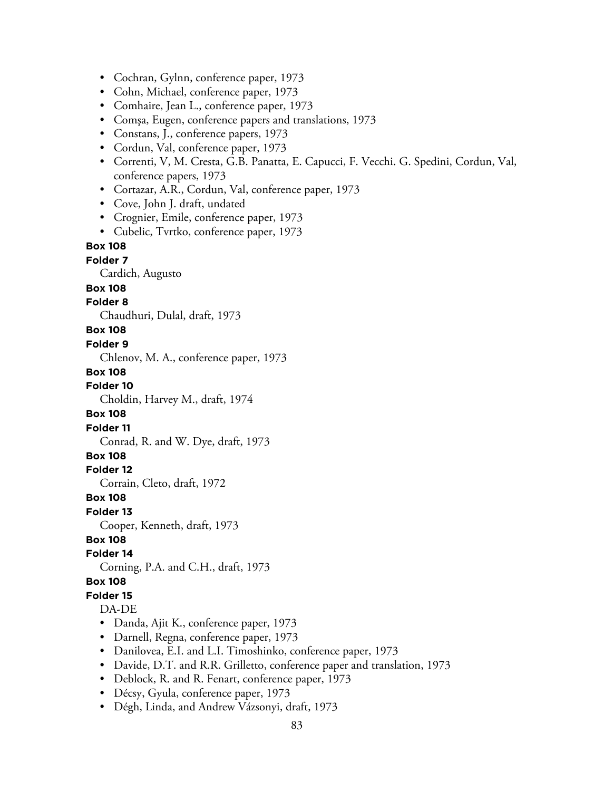• Cochran, Gylnn, conference paper, 1973

- Cohn, Michael, conference paper, 1973
- Comhaire, Jean L., conference paper, 1973
- Comşa, Eugen, conference papers and translations, 1973
- Constans, J., conference papers, 1973
- Cordun, Val, conference paper, 1973
- Correnti, V, M. Cresta, G.B. Panatta, E. Capucci, F. Vecchi. G. Spedini, Cordun, Val, conference papers, 1973
- Cortazar, A.R., Cordun, Val, conference paper, 1973
- Cove, John J. draft, undated
- Crognier, Emile, conference paper, 1973
- Cubelic, Tvrtko, conference paper, 1973

# **Box 108**

## **Folder 7**

Cardich, Augusto

# **Box 108**

# **Folder 8**

Chaudhuri, Dulal, draft, 1973

## **Box 108**

#### **Folder 9**

Chlenov, M. A., conference paper, 1973

#### **Box 108**

**Folder 10**

Choldin, Harvey M., draft, 1974

### **Box 108**

**Folder 11**

Conrad, R. and W. Dye, draft, 1973

### **Box 108**

## **Folder 12**

Corrain, Cleto, draft, 1972

#### **Box 108**

**Folder 13**

Cooper, Kenneth, draft, 1973

#### **Box 108**

#### **Folder 14**

Corning, P.A. and C.H., draft, 1973

### **Box 108**

# **Folder 15**

#### DA-DE

- Danda, Ajit K., conference paper, 1973
- Darnell, Regna, conference paper, 1973
- Danilovea, E.I. and L.I. Timoshinko, conference paper, 1973
- Davide, D.T. and R.R. Grilletto, conference paper and translation, 1973
- Deblock, R. and R. Fenart, conference paper, 1973
- Décsy, Gyula, conference paper, 1973
- Dégh, Linda, and Andrew Vázsonyi, draft, 1973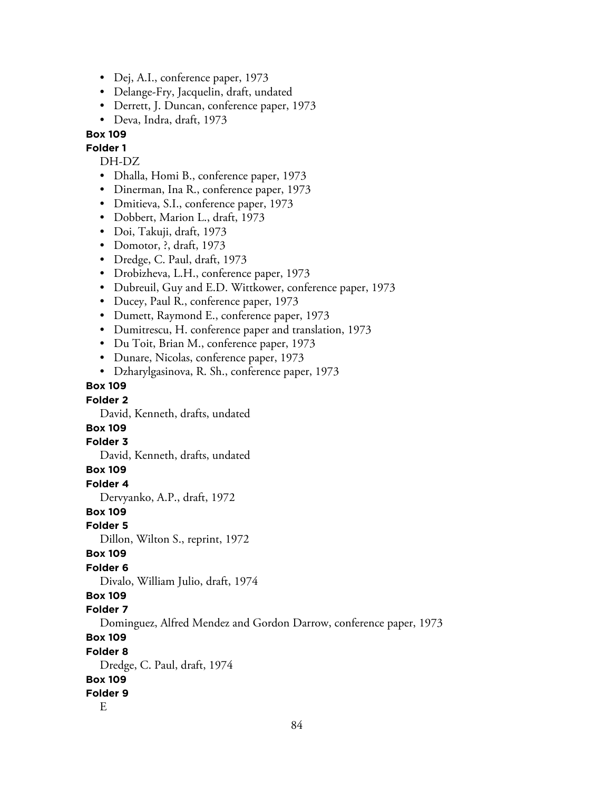- Dej, A.I., conference paper, 1973
- Delange-Fry, Jacquelin, draft, undated
- Derrett, J. Duncan, conference paper, 1973
- Deva, Indra, draft, 1973

# **Folder 1**

#### DH-DZ

- Dhalla, Homi B., conference paper, 1973
- Dinerman, Ina R., conference paper, 1973
- Dmitieva, S.I., conference paper, 1973
- Dobbert, Marion L., draft, 1973
- Doi, Takuji, draft, 1973
- Domotor, ?, draft, 1973
- Dredge, C. Paul, draft, 1973
- Drobizheva, L.H., conference paper, 1973
- Dubreuil, Guy and E.D. Wittkower, conference paper, 1973
- Ducey, Paul R., conference paper, 1973
- Dumett, Raymond E., conference paper, 1973
- Dumitrescu, H. conference paper and translation, 1973
- Du Toit, Brian M., conference paper, 1973
- Dunare, Nicolas, conference paper, 1973
- Dzharylgasinova, R. Sh., conference paper, 1973

### **Box 109**

#### **Folder 2**

David, Kenneth, drafts, undated

## **Box 109**

#### **Folder 3**

David, Kenneth, drafts, undated

#### **Box 109**

**Folder 4**

Dervyanko, A.P., draft, 1972

#### **Box 109**

**Folder 5**

Dillon, Wilton S., reprint, 1972

#### **Box 109**

### **Folder 6**

Divalo, William Julio, draft, 1974

#### **Box 109**

#### **Folder 7**

Dominguez, Alfred Mendez and Gordon Darrow, conference paper, 1973

#### **Box 109**

#### **Folder 8**

Dredge, C. Paul, draft, 1974 **Box 109**

# **Folder 9**

E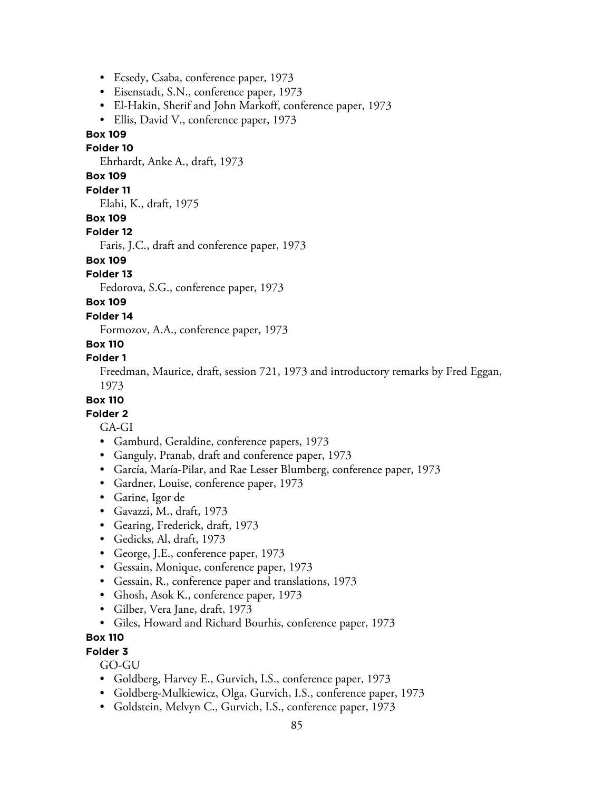- Ecsedy, Csaba, conference paper, 1973
- Eisenstadt, S.N., conference paper, 1973
- El-Hakin, Sherif and John Markoff, conference paper, 1973
- Ellis, David V., conference paper, 1973

#### **Folder 10**

Ehrhardt, Anke A., draft, 1973

## **Box 109**

### **Folder 11**

Elahi, K., draft, 1975

### **Box 109**

#### **Folder 12**

Faris, J.C., draft and conference paper, 1973

# **Box 109**

## **Folder 13**

Fedorova, S.G., conference paper, 1973

## **Box 109**

#### **Folder 14**

Formozov, A.A., conference paper, 1973

## **Box 110**

## **Folder 1**

Freedman, Maurice, draft, session 721, 1973 and introductory remarks by Fred Eggan, 1973

#### **Box 110**

### **Folder 2**

## GA-GI

- Gamburd, Geraldine, conference papers, 1973
- Ganguly, Pranab, draft and conference paper, 1973
- García, María-Pilar, and Rae Lesser Blumberg, conference paper, 1973
- Gardner, Louise, conference paper, 1973
- Garine, Igor de
- Gavazzi, M., draft, 1973
- Gearing, Frederick, draft, 1973
- Gedicks, Al, draft, 1973
- George, J.E., conference paper, 1973
- Gessain, Monique, conference paper, 1973
- Gessain, R., conference paper and translations, 1973
- Ghosh, Asok K., conference paper, 1973
- Gilber, Vera Jane, draft, 1973
- Giles, Howard and Richard Bourhis, conference paper, 1973

## **Box 110**

### **Folder 3**

GO-GU

- Goldberg, Harvey E., Gurvich, I.S., conference paper, 1973
- Goldberg-Mulkiewicz, Olga, Gurvich, I.S., conference paper, 1973
- Goldstein, Melvyn C., Gurvich, I.S., conference paper, 1973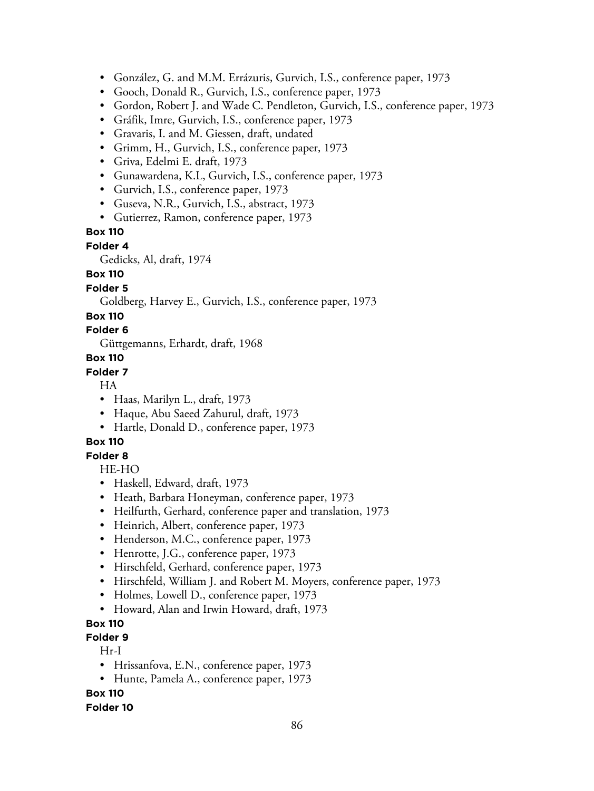- González, G. and M.M. Errázuris, Gurvich, I.S., conference paper, 1973
- Gooch, Donald R., Gurvich, I.S., conference paper, 1973
- Gordon, Robert J. and Wade C. Pendleton, Gurvich, I.S., conference paper, 1973
- Gráfik, Imre, Gurvich, I.S., conference paper, 1973
- Gravaris, I. and M. Giessen, draft, undated
- Grimm, H., Gurvich, I.S., conference paper, 1973
- Griva, Edelmi E. draft, 1973
- Gunawardena, K.L, Gurvich, I.S., conference paper, 1973
- Gurvich, I.S., conference paper, 1973
- Guseva, N.R., Gurvich, I.S., abstract, 1973
- Gutierrez, Ramon, conference paper, 1973

#### **Folder 4**

Gedicks, Al, draft, 1974

### **Box 110**

#### **Folder 5**

Goldberg, Harvey E., Gurvich, I.S., conference paper, 1973

#### **Box 110**

## **Folder 6**

Güttgemanns, Erhardt, draft, 1968

#### **Box 110**

### **Folder 7**

HA

- Haas, Marilyn L., draft, 1973
- Haque, Abu Saeed Zahurul, draft, 1973
- Hartle, Donald D., conference paper, 1973

## **Box 110**

## **Folder 8**

HE-HO

- Haskell, Edward, draft, 1973
- Heath, Barbara Honeyman, conference paper, 1973
- Heilfurth, Gerhard, conference paper and translation, 1973
- Heinrich, Albert, conference paper, 1973
- Henderson, M.C., conference paper, 1973
- Henrotte, J.G., conference paper, 1973
- Hirschfeld, Gerhard, conference paper, 1973
- Hirschfeld, William J. and Robert M. Moyers, conference paper, 1973
- Holmes, Lowell D., conference paper, 1973
- Howard, Alan and Irwin Howard, draft, 1973

## **Box 110**

## **Folder 9**

Hr-I

- Hrissanfova, E.N., conference paper, 1973
- Hunte, Pamela A., conference paper, 1973

**Box 110**

#### **Folder 10**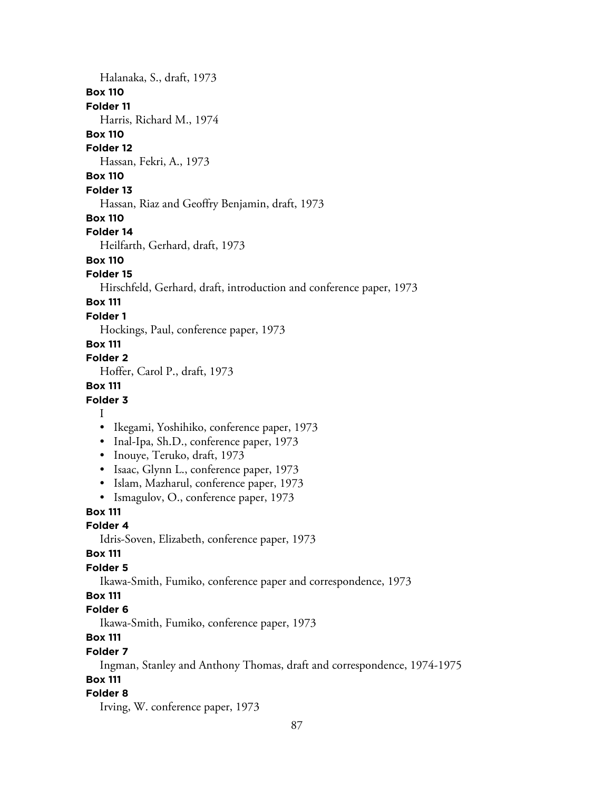### Halanaka, S., draft, 1973

## **Box 110**

**Folder 11**

Harris, Richard M., 1974

## **Box 110**

### **Folder 12**

Hassan, Fekri, A., 1973

# **Box 110**

## **Folder 13**

Hassan, Riaz and Geoffry Benjamin, draft, 1973

### **Box 110**

## **Folder 14**

Heilfarth, Gerhard, draft, 1973

# **Box 110**

## **Folder 15**

Hirschfeld, Gerhard, draft, introduction and conference paper, 1973

# **Box 111**

## **Folder 1**

Hockings, Paul, conference paper, 1973

## **Box 111**

## **Folder 2**

Hoffer, Carol P., draft, 1973

## **Box 111**

## **Folder 3**

### I

- Ikegami, Yoshihiko, conference paper, 1973
- Inal-Ipa, Sh.D., conference paper, 1973
- Inouye, Teruko, draft, 1973
- Isaac, Glynn L., conference paper, 1973
- Islam, Mazharul, conference paper, 1973
- Ismagulov, O., conference paper, 1973

## **Box 111**

## **Folder 4**

Idris-Soven, Elizabeth, conference paper, 1973

## **Box 111**

## **Folder 5**

Ikawa-Smith, Fumiko, conference paper and correspondence, 1973

## **Box 111**

## **Folder 6**

Ikawa-Smith, Fumiko, conference paper, 1973

# **Box 111**

## **Folder 7**

Ingman, Stanley and Anthony Thomas, draft and correspondence, 1974-1975

# **Box 111**

## **Folder 8**

Irving, W. conference paper, 1973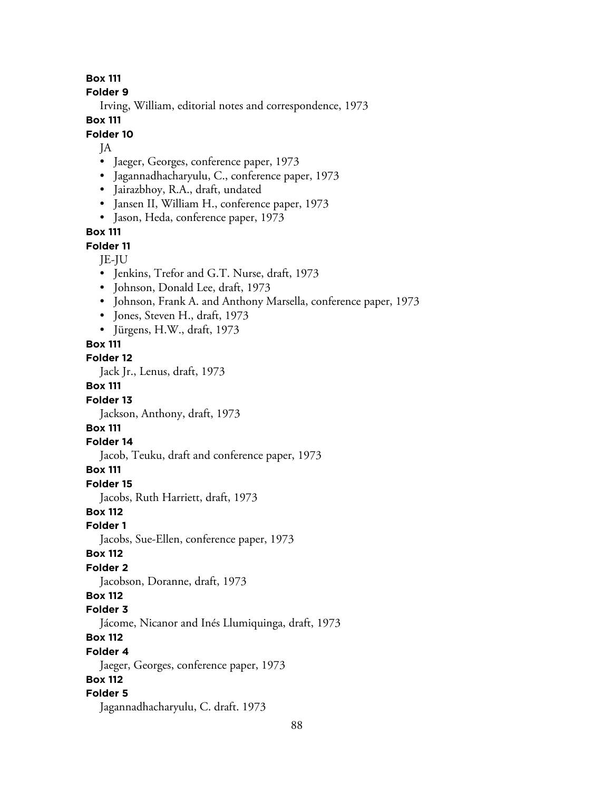**Folder 9**

Irving, William, editorial notes and correspondence, 1973

**Box 111**

### **Folder 10**

JA

- Jaeger, Georges, conference paper, 1973
- Jagannadhacharyulu, C., conference paper, 1973
- Jairazbhoy, R.A., draft, undated
- Jansen II, William H., conference paper, 1973
- Jason, Heda, conference paper, 1973

**Box 111**

**Folder 11**

- JE-JU
- Jenkins, Trefor and G.T. Nurse, draft, 1973
- Johnson, Donald Lee, draft, 1973
- Johnson, Frank A. and Anthony Marsella, conference paper, 1973
- Jones, Steven H., draft, 1973
- Jürgens, H.W., draft, 1973

#### **Box 111**

#### **Folder 12**

Jack Jr., Lenus, draft, 1973

#### **Box 111**

#### **Folder 13**

Jackson, Anthony, draft, 1973

## **Box 111**

#### **Folder 14**

Jacob, Teuku, draft and conference paper, 1973

### **Box 111**

**Folder 15**

Jacobs, Ruth Harriett, draft, 1973

## **Box 112**

**Folder 1**

Jacobs, Sue-Ellen, conference paper, 1973

#### **Box 112**

## **Folder 2**

Jacobson, Doranne, draft, 1973

#### **Box 112**

#### **Folder 3**

Jácome, Nicanor and Inés Llumiquinga, draft, 1973

## **Box 112**

**Folder 4**

Jaeger, Georges, conference paper, 1973

## **Box 112**

## **Folder 5**

Jagannadhacharyulu, C. draft. 1973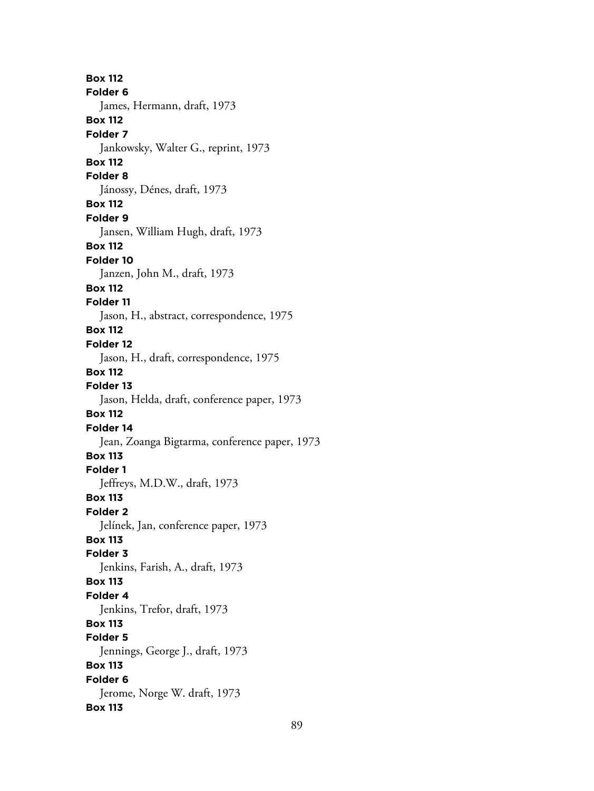**Box 112 Folder 6** James, Hermann, draft, 1973 **Box 112 Folder 7** Jankowsky, Walter G., reprint, 1973 **Box 112 Folder 8** Jánossy, Dénes, draft, 1973 **Box 112 Folder 9** Jansen, William Hugh, draft, 1973 **Box 112 Folder 10** Janzen, John M., draft, 1973 **Box 112 Folder 11** Jason, H., abstract, correspondence, 1975 **Box 112 Folder 12** Jason, H., draft, correspondence, 1975 **Box 112 Folder 13** Jason, Helda, draft, conference paper, 1973 **Box 112 Folder 14** Jean, Zoanga Bigtarma, conference paper, 1973 **Box 113 Folder 1** Jeffreys, M.D.W., draft, 1973 **Box 113 Folder 2** Jelínek, Jan, conference paper, 1973 **Box 113 Folder 3** Jenkins, Farish, A., draft, 1973 **Box 113 Folder 4** Jenkins, Trefor, draft, 1973 **Box 113 Folder 5** Jennings, George J., draft, 1973 **Box 113 Folder 6** Jerome, Norge W. draft, 1973 **Box 113**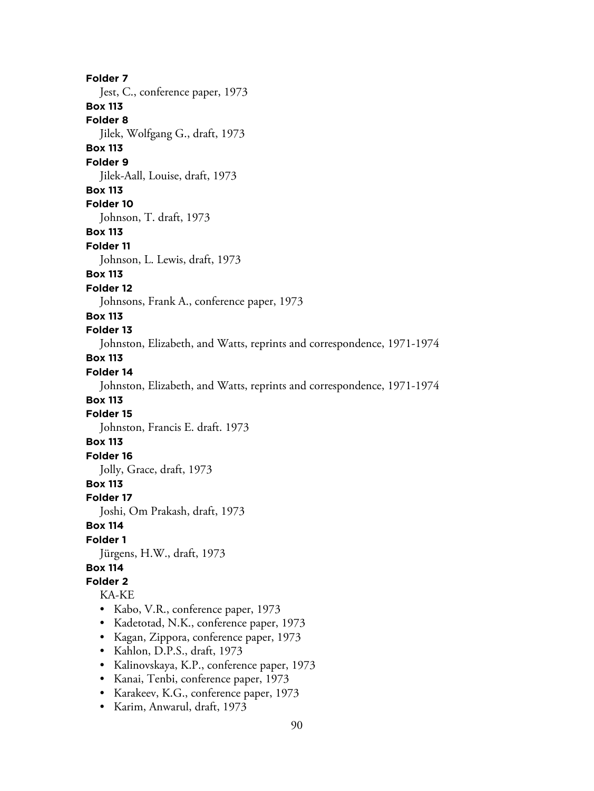**Folder 7** Jest, C., conference paper, 1973 **Box 113 Folder 8** Jilek, Wolfgang G., draft, 1973 **Box 113 Folder 9** Jilek-Aall, Louise, draft, 1973 **Box 113 Folder 10** Johnson, T. draft, 1973 **Box 113 Folder 11** Johnson, L. Lewis, draft, 1973 **Box 113 Folder 12** Johnsons, Frank A., conference paper, 1973 **Box 113 Folder 13** Johnston, Elizabeth, and Watts, reprints and correspondence, 1971-1974 **Box 113 Folder 14** Johnston, Elizabeth, and Watts, reprints and correspondence, 1971-1974 **Box 113 Folder 15** Johnston, Francis E. draft. 1973 **Box 113 Folder 16** Jolly, Grace, draft, 1973 **Box 113 Folder 17** Joshi, Om Prakash, draft, 1973 **Box 114 Folder 1** Jürgens, H.W., draft, 1973 **Box 114 Folder 2** KA-KE • Kabo, V.R., conference paper, 1973 • Kadetotad, N.K., conference paper, 1973 • Kagan, Zippora, conference paper, 1973 • Kahlon, D.P.S., draft, 1973 • Kalinovskaya, K.P., conference paper, 1973 • Kanai, Tenbi, conference paper, 1973 • Karakeev, K.G., conference paper, 1973 • Karim, Anwarul, draft, 1973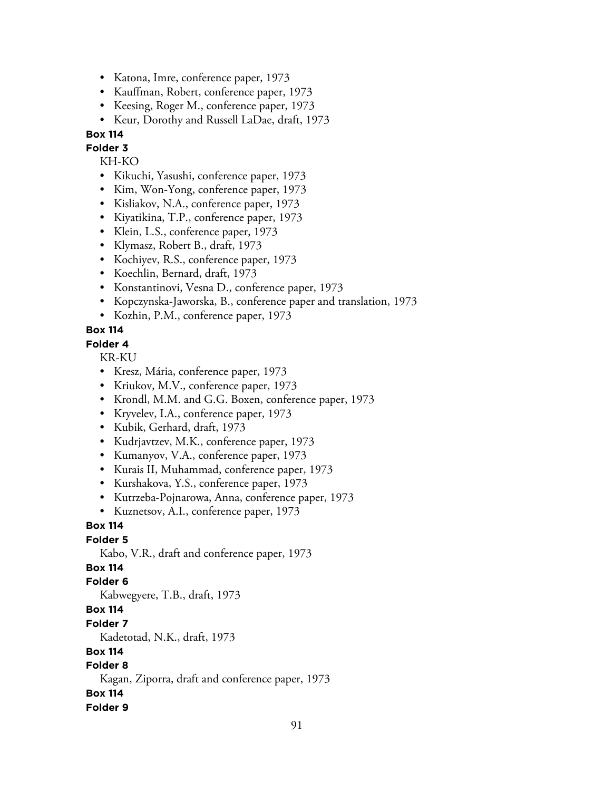- Katona, Imre, conference paper, 1973
- Kauffman, Robert, conference paper, 1973
- Keesing, Roger M., conference paper, 1973
- Keur, Dorothy and Russell LaDae, draft, 1973

### **Folder 3**

KH-KO

- Kikuchi, Yasushi, conference paper, 1973
- Kim, Won-Yong, conference paper, 1973
- Kisliakov, N.A., conference paper, 1973
- Kiyatikina, T.P., conference paper, 1973
- Klein, L.S., conference paper, 1973
- Klymasz, Robert B., draft, 1973
- Kochiyev, R.S., conference paper, 1973
- Koechlin, Bernard, draft, 1973
- Konstantinovi, Vesna D., conference paper, 1973
- Kopczynska-Jaworska, B., conference paper and translation, 1973
- Kozhin, P.M., conference paper, 1973

### **Box 114**

#### **Folder 4**

KR-KU

- Kresz, Mária, conference paper, 1973
- Kriukov, M.V., conference paper, 1973
- Krondl, M.M. and G.G. Boxen, conference paper, 1973
- Kryvelev, I.A., conference paper, 1973
- Kubik, Gerhard, draft, 1973
- Kudrjavtzev, M.K., conference paper, 1973
- Kumanyov, V.A., conference paper, 1973
- Kurais II, Muhammad, conference paper, 1973
- Kurshakova, Y.S., conference paper, 1973
- Kutrzeba-Pojnarowa, Anna, conference paper, 1973
- Kuznetsov, A.I., conference paper, 1973

## **Box 114**

### **Folder 5**

Kabo, V.R., draft and conference paper, 1973

## **Box 114**

#### **Folder 6**

Kabwegyere, T.B., draft, 1973

## **Box 114**

#### **Folder 7**

Kadetotad, N.K., draft, 1973

### **Box 114**

### **Folder 8**

Kagan, Ziporra, draft and conference paper, 1973

#### **Box 114**

#### **Folder 9**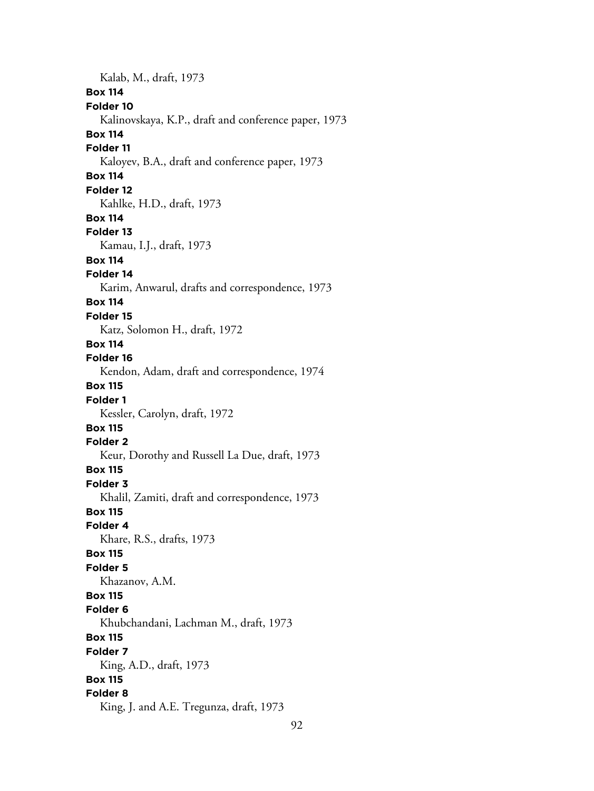Kalab, M., draft, 1973 **Box 114 Folder 10** Kalinovskaya, K.P., draft and conference paper, 1973 **Box 114 Folder 11** Kaloyev, B.A., draft and conference paper, 1973 **Box 114 Folder 12** Kahlke, H.D., draft, 1973 **Box 114 Folder 13** Kamau, I.J., draft, 1973 **Box 114 Folder 14** Karim, Anwarul, drafts and correspondence, 1973 **Box 114 Folder 15** Katz, Solomon H., draft, 1972 **Box 114 Folder 16** Kendon, Adam, draft and correspondence, 1974 **Box 115 Folder 1** Kessler, Carolyn, draft, 1972 **Box 115 Folder 2** Keur, Dorothy and Russell La Due, draft, 1973 **Box 115 Folder 3** Khalil, Zamiti, draft and correspondence, 1973 **Box 115 Folder 4** Khare, R.S., drafts, 1973 **Box 115 Folder 5** Khazanov, A.M. **Box 115 Folder 6** Khubchandani, Lachman M., draft, 1973 **Box 115 Folder 7** King, A.D., draft, 1973 **Box 115 Folder 8** King, J. and A.E. Tregunza, draft, 1973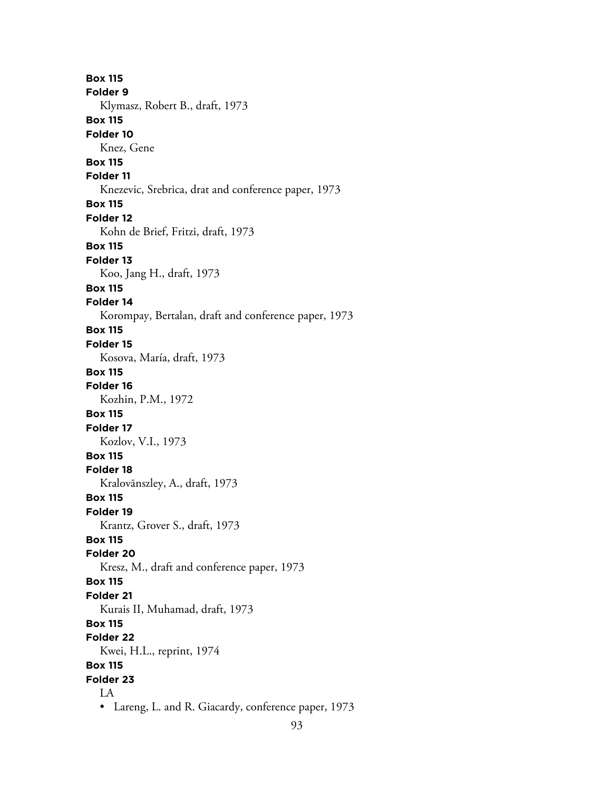**Box 115 Folder 9** Klymasz, Robert B., draft, 1973 **Box 115 Folder 10** Knez, Gene **Box 115 Folder 11** Knezevic, Srebrica, drat and conference paper, 1973 **Box 115 Folder 12** Kohn de Brief, Fritzi, draft, 1973 **Box 115 Folder 13** Koo, Jang H., draft, 1973 **Box 115 Folder 14** Korompay, Bertalan, draft and conference paper, 1973 **Box 115 Folder 15** Kosova, María, draft, 1973 **Box 115 Folder 16** Kozhin, P.M., 1972 **Box 115 Folder 17** Kozlov, V.I., 1973 **Box 115 Folder 18** Kralovānszley, A., draft, 1973 **Box 115 Folder 19** Krantz, Grover S., draft, 1973 **Box 115 Folder 20** Kresz, M., draft and conference paper, 1973 **Box 115 Folder 21** Kurais II, Muhamad, draft, 1973 **Box 115 Folder 22** Kwei, H.L., reprint, 1974 **Box 115 Folder 23** LA • Lareng, L. and R. Giacardy, conference paper, 1973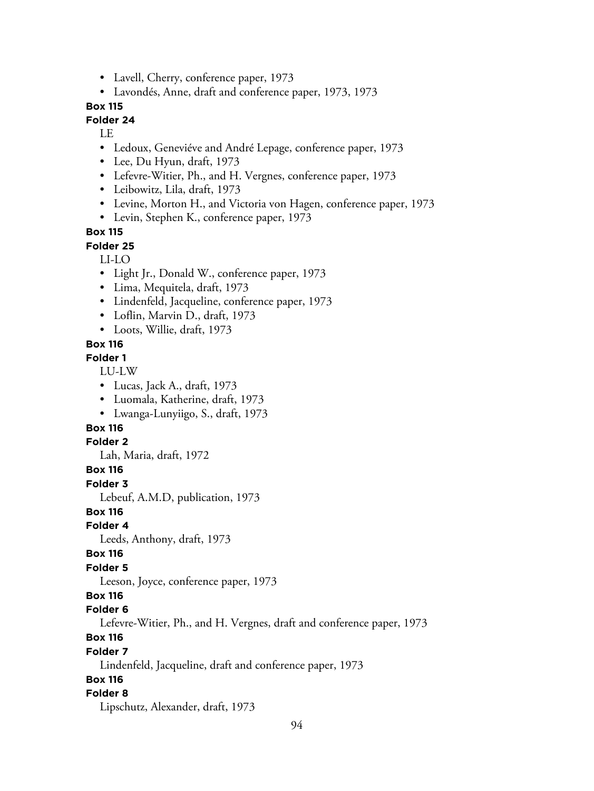- Lavell, Cherry, conference paper, 1973
- Lavondés, Anne, draft and conference paper, 1973, 1973

## **Folder 24**

LE

- Ledoux, Geneviéve and André Lepage, conference paper, 1973
- Lee, Du Hyun, draft, 1973
- Lefevre-Witier, Ph., and H. Vergnes, conference paper, 1973
- Leibowitz, Lila, draft, 1973
- Levine, Morton H., and Victoria von Hagen, conference paper, 1973
- Levin, Stephen K., conference paper, 1973

### **Box 115**

**Folder 25**

### LI-LO

- Light Jr., Donald W., conference paper, 1973
- Lima, Mequitela, draft, 1973
- Lindenfeld, Jacqueline, conference paper, 1973
- Loflin, Marvin D., draft, 1973
- Loots, Willie, draft, 1973

#### **Box 116**

#### **Folder 1**

LU-LW

- Lucas, Jack A., draft, 1973
- Luomala, Katherine, draft, 1973
- Lwanga-Lunyiigo, S., draft, 1973

## **Box 116**

#### **Folder 2**

Lah, Maria, draft, 1972

### **Box 116**

**Folder 3**

Lebeuf, A.M.D, publication, 1973

**Box 116**

## **Folder 4**

Leeds, Anthony, draft, 1973

#### **Box 116**

#### **Folder 5**

Leeson, Joyce, conference paper, 1973

### **Box 116**

#### **Folder 6**

Lefevre-Witier, Ph., and H. Vergnes, draft and conference paper, 1973

## **Box 116**

#### **Folder 7**

Lindenfeld, Jacqueline, draft and conference paper, 1973

## **Box 116**

#### **Folder 8**

Lipschutz, Alexander, draft, 1973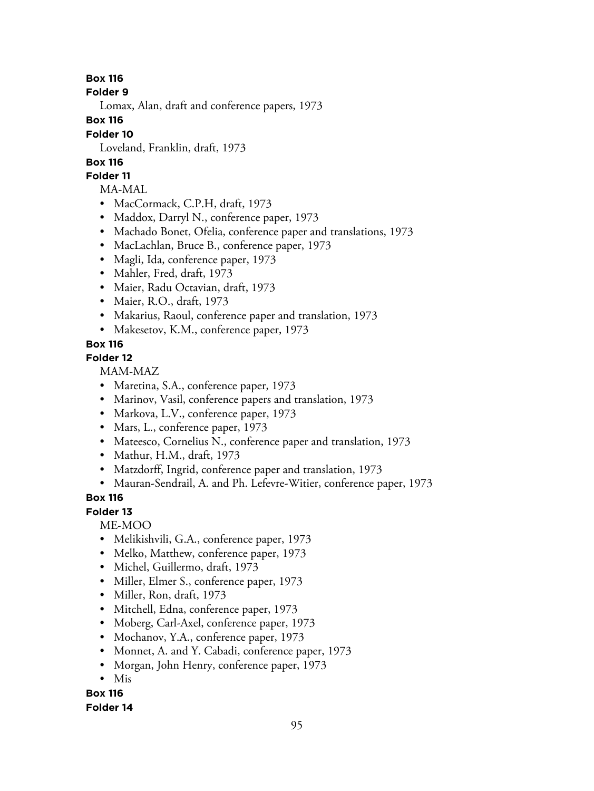**Folder 9**

Lomax, Alan, draft and conference papers, 1973

**Box 116**

## **Folder 10**

Loveland, Franklin, draft, 1973

# **Box 116**

## **Folder 11**

MA-MAL

- MacCormack, C.P.H, draft, 1973
- Maddox, Darryl N., conference paper, 1973
- Machado Bonet, Ofelia, conference paper and translations, 1973
- MacLachlan, Bruce B., conference paper, 1973
- Magli, Ida, conference paper, 1973
- Mahler, Fred, draft, 1973
- Maier, Radu Octavian, draft, 1973
- Maier, R.O., draft, 1973
- Makarius, Raoul, conference paper and translation, 1973
- Makesetov, K.M., conference paper, 1973

# **Box 116**

## **Folder 12**

MAM-MAZ

- Maretina, S.A., conference paper, 1973
- Marinov, Vasil, conference papers and translation, 1973
- Markova, L.V., conference paper, 1973
- Mars, L., conference paper, 1973
- Mateesco, Cornelius N., conference paper and translation, 1973
- Mathur, H.M., draft, 1973
- Matzdorff, Ingrid, conference paper and translation, 1973
- Mauran-Sendrail, A. and Ph. Lefevre-Witier, conference paper, 1973

## **Box 116**

## **Folder 13**

ME-MOO

- Melikishvili, G.A., conference paper, 1973
- Melko, Matthew, conference paper, 1973
- Michel, Guillermo, draft, 1973
- Miller, Elmer S., conference paper, 1973
- Miller, Ron, draft, 1973
- Mitchell, Edna, conference paper, 1973
- Moberg, Carl-Axel, conference paper, 1973
- Mochanov, Y.A., conference paper, 1973
- Monnet, A. and Y. Cabadi, conference paper, 1973
- Morgan, John Henry, conference paper, 1973
- Mis

#### **Box 116 Folder 14**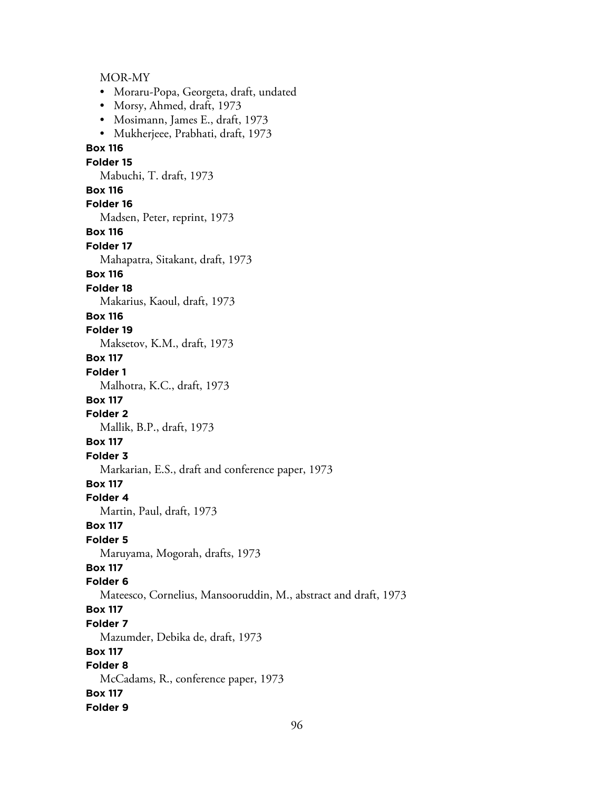MOR-MY • Moraru-Popa, Georgeta, draft, undated • Morsy, Ahmed, draft, 1973 • Mosimann, James E., draft, 1973 • Mukherjeee, Prabhati, draft, 1973 **Box 116 Folder 15** Mabuchi, T. draft, 1973 **Box 116 Folder 16** Madsen, Peter, reprint, 1973 **Box 116 Folder 17** Mahapatra, Sitakant, draft, 1973 **Box 116 Folder 18** Makarius, Kaoul, draft, 1973 **Box 116 Folder 19** Maksetov, K.M., draft, 1973 **Box 117 Folder 1** Malhotra, K.C., draft, 1973 **Box 117 Folder 2** Mallik, B.P., draft, 1973 **Box 117 Folder 3** Markarian, E.S., draft and conference paper, 1973 **Box 117 Folder 4** Martin, Paul, draft, 1973 **Box 117 Folder 5** Maruyama, Mogorah, drafts, 1973 **Box 117 Folder 6** Mateesco, Cornelius, Mansooruddin, M., abstract and draft, 1973 **Box 117 Folder 7** Mazumder, Debika de, draft, 1973 **Box 117 Folder 8** McCadams, R., conference paper, 1973 **Box 117 Folder 9**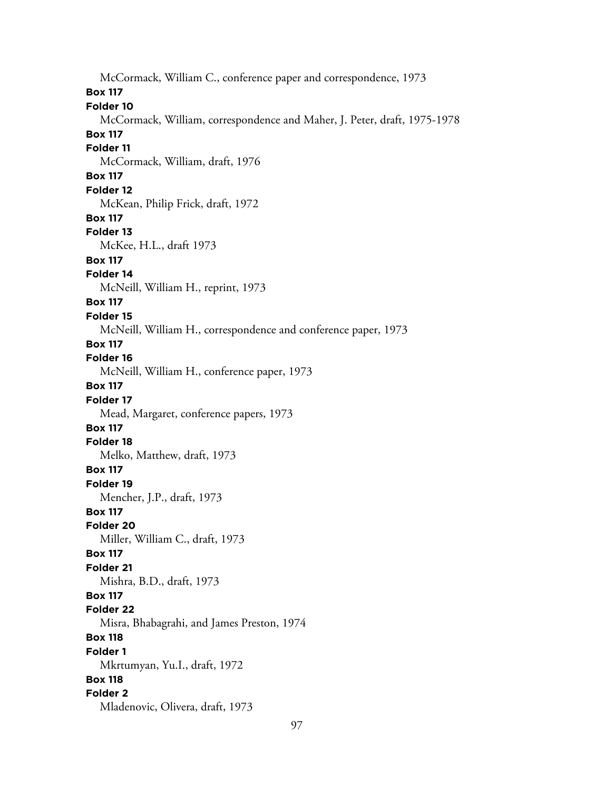McCormack, William C., conference paper and correspondence, 1973 **Box 117 Folder 10** McCormack, William, correspondence and Maher, J. Peter, draft, 1975-1978 **Box 117 Folder 11** McCormack, William, draft, 1976 **Box 117 Folder 12** McKean, Philip Frick, draft, 1972 **Box 117 Folder 13** McKee, H.L., draft 1973 **Box 117 Folder 14** McNeill, William H., reprint, 1973 **Box 117 Folder 15** McNeill, William H., correspondence and conference paper, 1973 **Box 117 Folder 16** McNeill, William H., conference paper, 1973 **Box 117 Folder 17** Mead, Margaret, conference papers, 1973 **Box 117 Folder 18** Melko, Matthew, draft, 1973 **Box 117 Folder 19** Mencher, J.P., draft, 1973 **Box 117 Folder 20** Miller, William C., draft, 1973 **Box 117 Folder 21** Mishra, B.D., draft, 1973 **Box 117 Folder 22** Misra, Bhabagrahi, and James Preston, 1974 **Box 118 Folder 1** Mkrtumyan, Yu.I., draft, 1972 **Box 118 Folder 2** Mladenovic, Olivera, draft, 1973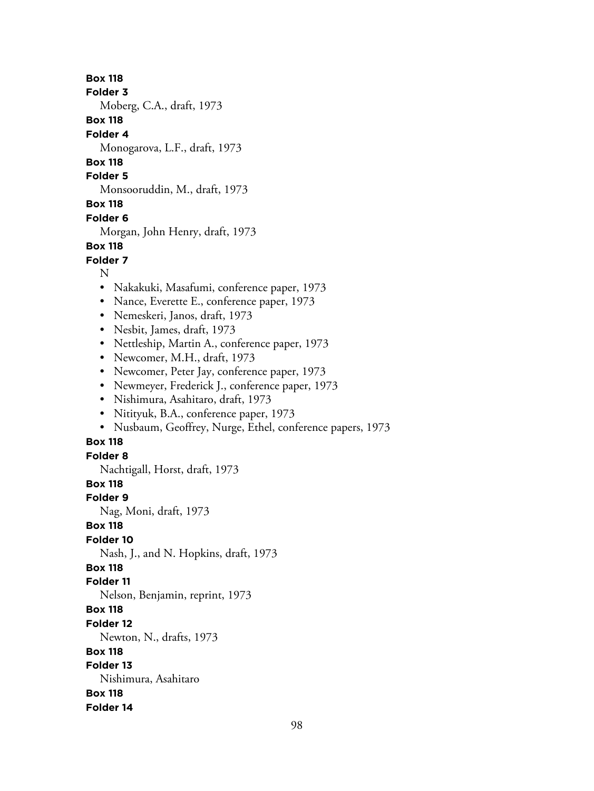**Folder 3**

Moberg, C.A., draft, 1973

**Box 118**

**Folder 4**

Monogarova, L.F., draft, 1973

**Box 118**

**Folder 5**

Monsooruddin, M., draft, 1973

**Box 118**

### **Folder 6**

Morgan, John Henry, draft, 1973

## **Box 118**

**Folder 7**

N

- Nakakuki, Masafumi, conference paper, 1973
- Nance, Everette E., conference paper, 1973
- Nemeskeri, Janos, draft, 1973
- Nesbit, James, draft, 1973
- Nettleship, Martin A., conference paper, 1973
- Newcomer, M.H., draft, 1973
- Newcomer, Peter Jay, conference paper, 1973
- Newmeyer, Frederick J., conference paper, 1973
- Nishimura, Asahitaro, draft, 1973
- Nitityuk, B.A., conference paper, 1973
- Nusbaum, Geoffrey, Nurge, Ethel, conference papers, 1973

# **Box 118**

**Folder 8**

Nachtigall, Horst, draft, 1973

## **Box 118**

**Folder 9**

Nag, Moni, draft, 1973

## **Box 118**

**Folder 10**

Nash, J., and N. Hopkins, draft, 1973

## **Box 118**

**Folder 11**

Nelson, Benjamin, reprint, 1973

- **Box 118**
- **Folder 12**

Newton, N., drafts, 1973

## **Box 118**

**Folder 13**

Nishimura, Asahitaro

**Box 118**

**Folder 14**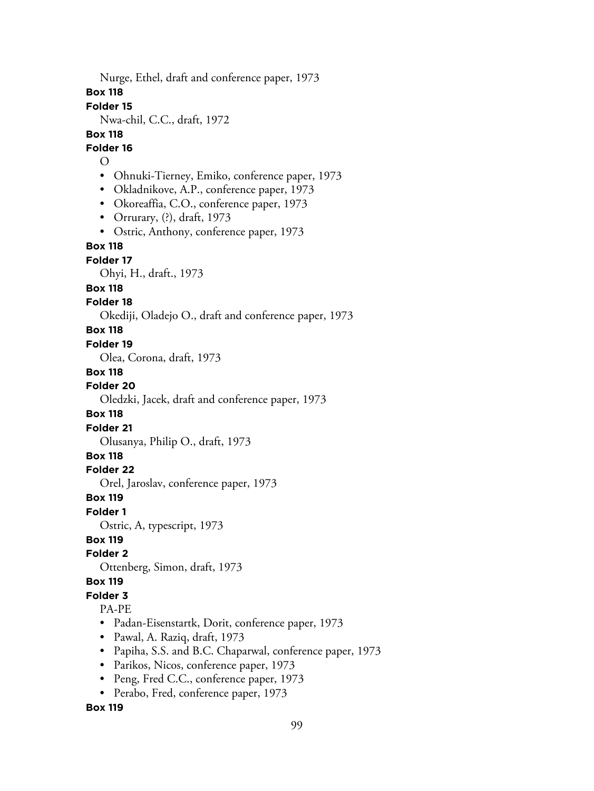Nurge, Ethel, draft and conference paper, 1973

**Box 118**

**Folder 15**

Nwa-chil, C.C., draft, 1972

### **Box 118**

**Folder 16**

- $\Omega$
- Ohnuki-Tierney, Emiko, conference paper, 1973
- Okladnikove, A.P., conference paper, 1973
- Okoreaffia, C.O., conference paper, 1973
- Orrurary, (?), draft, 1973
- Ostric, Anthony, conference paper, 1973

## **Box 118**

**Folder 17**

Ohyi, H., draft., 1973

#### **Box 118**

### **Folder 18**

Okediji, Oladejo O., draft and conference paper, 1973

#### **Box 118**

#### **Folder 19**

Olea, Corona, draft, 1973

### **Box 118**

**Folder 20**

Oledzki, Jacek, draft and conference paper, 1973

### **Box 118**

#### **Folder 21**

Olusanya, Philip O., draft, 1973

## **Box 118**

#### **Folder 22**

Orel, Jaroslav, conference paper, 1973

#### **Box 119**

#### **Folder 1**

Ostric, A, typescript, 1973

## **Box 119**

### **Folder 2**

Ottenberg, Simon, draft, 1973

### **Box 119**

# **Folder 3**

### PA-PE

- Padan-Eisenstartk, Dorit, conference paper, 1973
- Pawal, A. Raziq, draft, 1973
- Papiha, S.S. and B.C. Chaparwal, conference paper, 1973
- Parikos, Nicos, conference paper, 1973
- Peng, Fred C.C., conference paper, 1973
- Perabo, Fred, conference paper, 1973

#### **Box 119**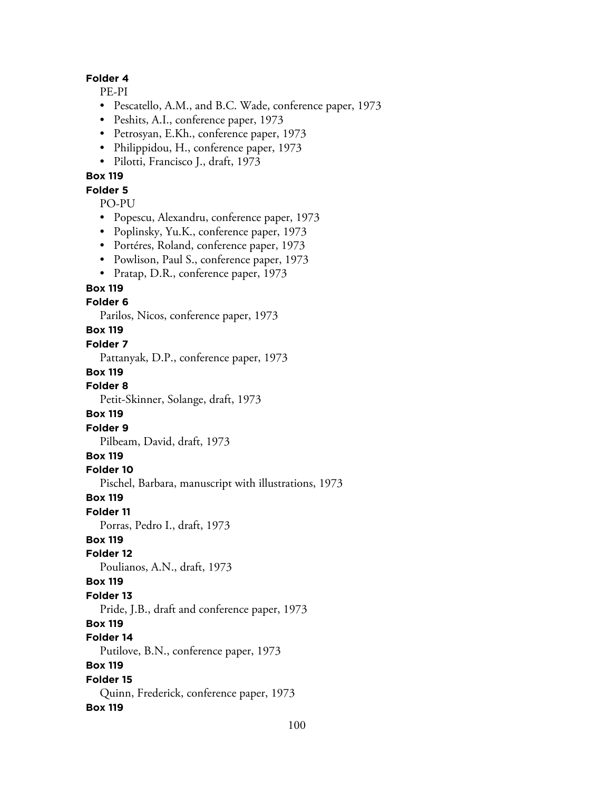### **Folder 4**

PE-PI

- Pescatello, A.M., and B.C. Wade, conference paper, 1973
- Peshits, A.I., conference paper, 1973
- Petrosyan, E.Kh., conference paper, 1973
- Philippidou, H., conference paper, 1973
- Pilotti, Francisco J., draft, 1973

### **Box 119**

#### **Folder 5**

PO-PU

- Popescu, Alexandru, conference paper, 1973
- Poplinsky, Yu.K., conference paper, 1973
- Portéres, Roland, conference paper, 1973
- Powlison, Paul S., conference paper, 1973
- Pratap, D.R., conference paper, 1973

#### **Box 119**

#### **Folder 6**

Parilos, Nicos, conference paper, 1973

### **Box 119**

#### **Folder 7**

Pattanyak, D.P., conference paper, 1973

#### **Box 119**

**Folder 8**

Petit-Skinner, Solange, draft, 1973

#### **Box 119**

**Folder 9**

Pilbeam, David, draft, 1973

#### **Box 119**

**Folder 10**

Pischel, Barbara, manuscript with illustrations, 1973

#### **Box 119**

**Folder 11**

Porras, Pedro I., draft, 1973

### **Box 119**

**Folder 12**

Poulianos, A.N., draft, 1973

#### **Box 119**

#### **Folder 13**

Pride, J.B., draft and conference paper, 1973

## **Box 119**

### **Folder 14**

Putilove, B.N., conference paper, 1973

#### **Box 119**

#### **Folder 15** Quinn, Frederick, conference paper, 1973 **Box 119**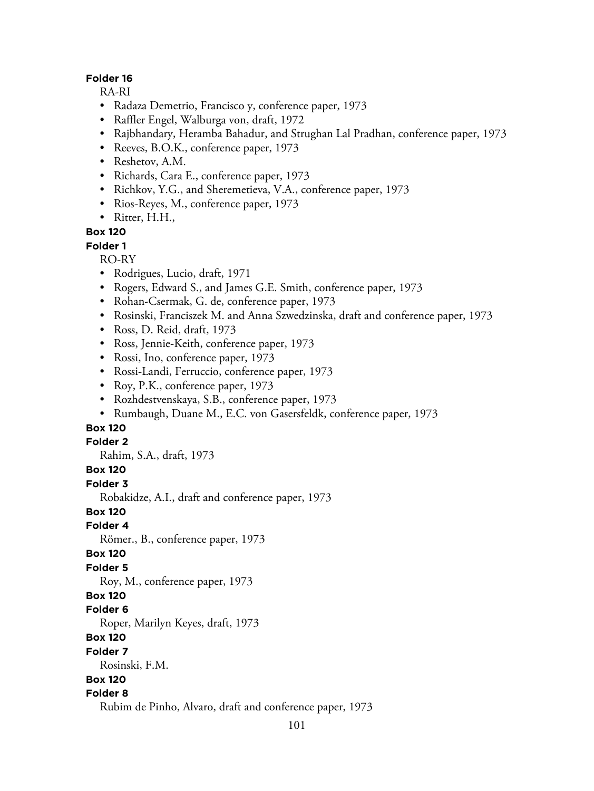### **Folder 16**

RA-RI

- Radaza Demetrio, Francisco y, conference paper, 1973
- Raffler Engel, Walburga von, draft, 1972
- Rajbhandary, Heramba Bahadur, and Strughan Lal Pradhan, conference paper, 1973
- Reeves, B.O.K., conference paper, 1973
- Reshetov, A.M.
- Richards, Cara E., conference paper, 1973
- Richkov, Y.G., and Sheremetieva, V.A., conference paper, 1973
- Rios-Reyes, M., conference paper, 1973
- Ritter, H.H.,

### **Box 120**

**Folder 1**

RO-RY

- Rodrigues, Lucio, draft, 1971
- Rogers, Edward S., and James G.E. Smith, conference paper, 1973
- Rohan-Csermak, G. de, conference paper, 1973
- Rosinski, Franciszek M. and Anna Szwedzinska, draft and conference paper, 1973
- Ross, D. Reid, draft, 1973
- Ross, Jennie-Keith, conference paper, 1973
- Rossi, Ino, conference paper, 1973
- Rossi-Landi, Ferruccio, conference paper, 1973
- Roy, P.K., conference paper, 1973
- Rozhdestvenskaya, S.B., conference paper, 1973
- Rumbaugh, Duane M., E.C. von Gasersfeldk, conference paper, 1973

## **Box 120**

#### **Folder 2**

Rahim, S.A., draft, 1973

#### **Box 120**

**Folder 3**

Robakidze, A.I., draft and conference paper, 1973

**Box 120**

## **Folder 4**

Römer., B., conference paper, 1973

#### **Box 120**

#### **Folder 5**

Roy, M., conference paper, 1973

#### **Box 120**

**Folder 6**

Roper, Marilyn Keyes, draft, 1973

- **Box 120**
- **Folder 7**

Rosinski, F.M.

## **Box 120**

## **Folder 8**

Rubim de Pinho, Alvaro, draft and conference paper, 1973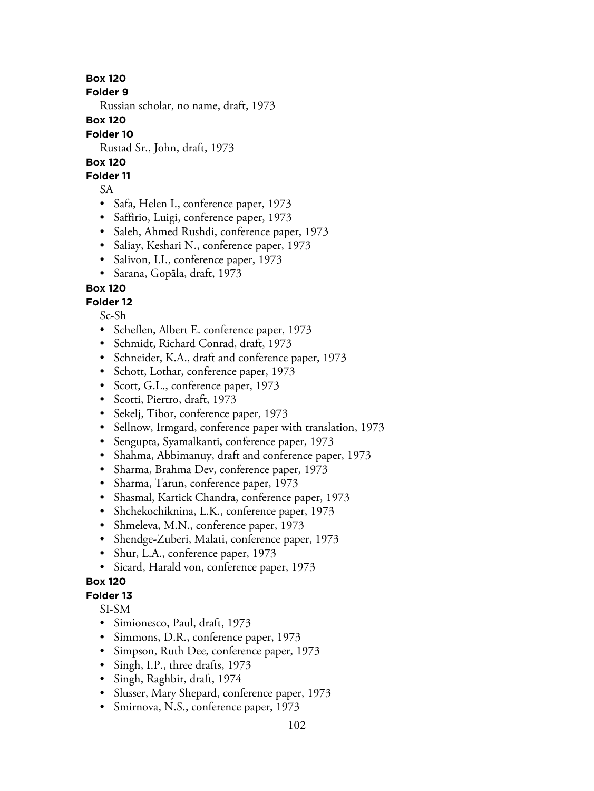**Folder 9**

Russian scholar, no name, draft, 1973

**Box 120**

### **Folder 10**

Rustad Sr., John, draft, 1973

## **Box 120**

## **Folder 11**

SA

- Safa, Helen I., conference paper, 1973
- Saffirio, Luigi, conference paper, 1973
- Saleh, Ahmed Rushdi, conference paper, 1973
- Saliay, Keshari N., conference paper, 1973
- Salivon, I.I., conference paper, 1973
- Sarana, Gopāla, draft, 1973

# **Box 120**

## **Folder 12**

Sc-Sh

- Scheflen, Albert E. conference paper, 1973
- Schmidt, Richard Conrad, draft, 1973
- Schneider, K.A., draft and conference paper, 1973
- Schott, Lothar, conference paper, 1973
- Scott, G.L., conference paper, 1973
- Scotti, Piertro, draft, 1973
- Sekelj, Tibor, conference paper, 1973
- Sellnow, Irmgard, conference paper with translation, 1973
- Sengupta, Syamalkanti, conference paper, 1973
- Shahma, Abbimanuy, draft and conference paper, 1973
- Sharma, Brahma Dev, conference paper, 1973
- Sharma, Tarun, conference paper, 1973
- Shasmal, Kartick Chandra, conference paper, 1973
- Shchekochiknina, L.K., conference paper, 1973
- Shmeleva, M.N., conference paper, 1973
- Shendge-Zuberi, Malati, conference paper, 1973
- Shur, L.A., conference paper, 1973
- Sicard, Harald von, conference paper, 1973

## **Box 120**

## **Folder 13**

SI-SM

- Simionesco, Paul, draft, 1973
- Simmons, D.R., conference paper, 1973
- Simpson, Ruth Dee, conference paper, 1973
- Singh, I.P., three drafts, 1973
- Singh, Raghbir, draft, 1974
- Slusser, Mary Shepard, conference paper, 1973
- Smirnova, N.S., conference paper, 1973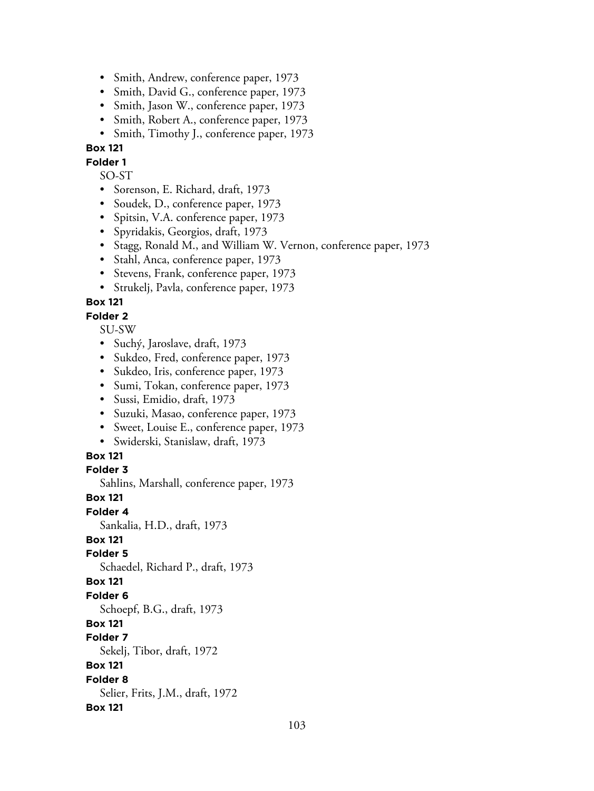- Smith, Andrew, conference paper, 1973
- Smith, David G., conference paper, 1973
- Smith, Jason W., conference paper, 1973
- Smith, Robert A., conference paper, 1973
- Smith, Timothy J., conference paper, 1973

**Folder 1**

SO-ST

- Sorenson, E. Richard, draft, 1973
- Soudek, D., conference paper, 1973
- Spitsin, V.A. conference paper, 1973
- Spyridakis, Georgios, draft, 1973
- Stagg, Ronald M., and William W. Vernon, conference paper, 1973
- Stahl, Anca, conference paper, 1973
- Stevens, Frank, conference paper, 1973
- Strukelj, Pavla, conference paper, 1973

**Box 121**

#### **Folder 2**

SU-SW

- Suchý, Jaroslave, draft, 1973
- Sukdeo, Fred, conference paper, 1973
- Sukdeo, Iris, conference paper, 1973
- Sumi, Tokan, conference paper, 1973
- Sussi, Emidio, draft, 1973
- Suzuki, Masao, conference paper, 1973
- Sweet, Louise E., conference paper, 1973
- Swiderski, Stanislaw, draft, 1973

#### **Box 121**

#### **Folder 3**

Sahlins, Marshall, conference paper, 1973

**Box 121**

**Folder 4**

Sankalia, H.D., draft, 1973

## **Box 121**

**Folder 5**

Schaedel, Richard P., draft, 1973

## **Box 121**

**Folder 6**

Schoepf, B.G., draft, 1973

## **Box 121**

**Folder 7**

Sekelj, Tibor, draft, 1972

## **Box 121**

**Folder 8**

Selier, Frits, J.M., draft, 1972

## **Box 121**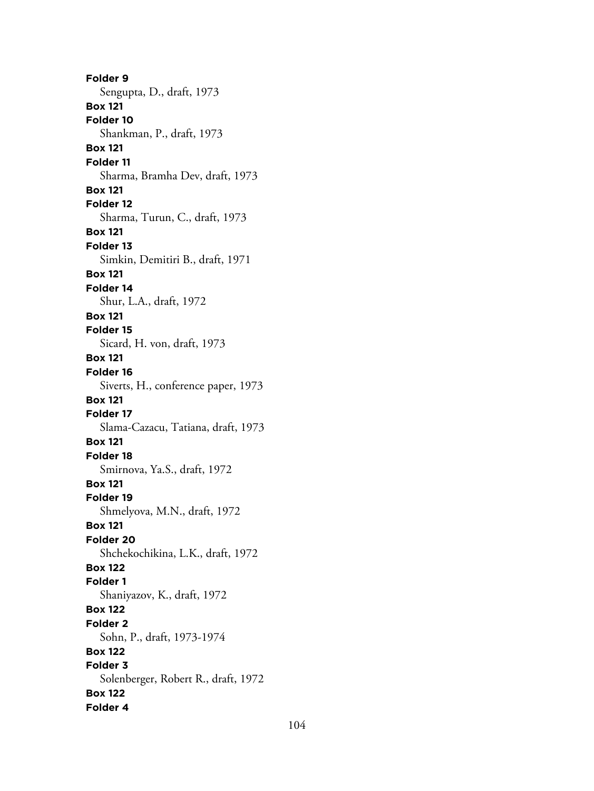**Folder 9** Sengupta, D., draft, 1973 **Box 121 Folder 10** Shankman, P., draft, 1973 **Box 121 Folder 11** Sharma, Bramha Dev, draft, 1973 **Box 121 Folder 12** Sharma, Turun, C., draft, 1973 **Box 121 Folder 13** Simkin, Demitiri B., draft, 1971 **Box 121 Folder 14** Shur, L.A., draft, 1972 **Box 121 Folder 15** Sicard, H. von, draft, 1973 **Box 121 Folder 16** Siverts, H., conference paper, 1973 **Box 121 Folder 17** Slama-Cazacu, Tatiana, draft, 1973 **Box 121 Folder 18** Smirnova, Ya.S., draft, 1972 **Box 121 Folder 19** Shmelyova, M.N., draft, 1972 **Box 121 Folder 20** Shchekochikina, L.K., draft, 1972 **Box 122 Folder 1** Shaniyazov, K., draft, 1972 **Box 122 Folder 2** Sohn, P., draft, 1973-1974 **Box 122 Folder 3** Solenberger, Robert R., draft, 1972 **Box 122 Folder 4**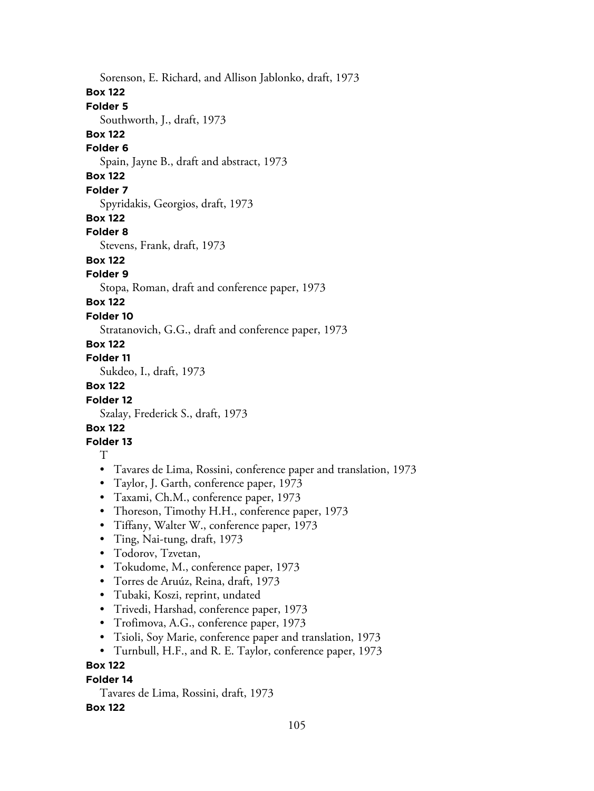Sorenson, E. Richard, and Allison Jablonko, draft, 1973

#### **Box 122**

## **Folder 5**

Southworth, J., draft, 1973

# **Box 122**

## **Folder 6**

Spain, Jayne B., draft and abstract, 1973

# **Box 122**

## **Folder 7**

Spyridakis, Georgios, draft, 1973

## **Box 122**

## **Folder 8**

Stevens, Frank, draft, 1973

## **Box 122**

# **Folder 9**

Stopa, Roman, draft and conference paper, 1973

# **Box 122**

# **Folder 10**

Stratanovich, G.G., draft and conference paper, 1973

# **Box 122**

## **Folder 11**

Sukdeo, I., draft, 1973

## **Box 122**

## **Folder 12**

Szalay, Frederick S., draft, 1973

## **Box 122**

# **Folder 13**

## T

- Tavares de Lima, Rossini, conference paper and translation, 1973
- Taylor, J. Garth, conference paper, 1973
- Taxami, Ch.M., conference paper, 1973
- Thoreson, Timothy H.H., conference paper, 1973
- Tiffany, Walter W., conference paper, 1973
- Ting, Nai-tung, draft, 1973
- Todorov, Tzvetan,
- Tokudome, M., conference paper, 1973
- Torres de Aruúz, Reina, draft, 1973
- Tubaki, Koszi, reprint, undated
- Trivedi, Harshad, conference paper, 1973
- Trofimova, A.G., conference paper, 1973
- Tsioli, Soy Marie, conference paper and translation, 1973
- Turnbull, H.F., and R. E. Taylor, conference paper, 1973

# **Box 122**

## **Folder 14**

Tavares de Lima, Rossini, draft, 1973

## **Box 122**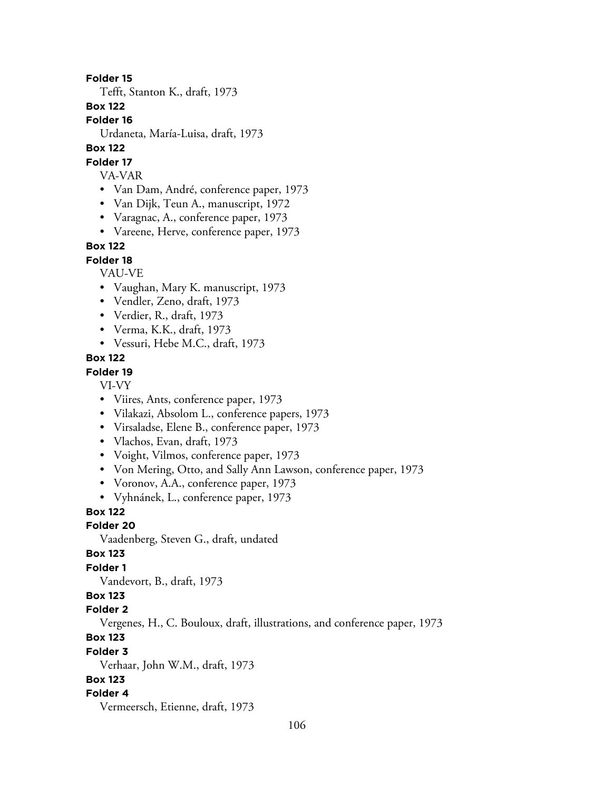#### **Folder 15**

Tefft, Stanton K., draft, 1973

#### **Box 122**

**Folder 16**

Urdaneta, María-Luisa, draft, 1973

## **Box 122**

#### **Folder 17**

- VA-VAR
- Van Dam, André, conference paper, 1973
- Van Dijk, Teun A., manuscript, 1972
- Varagnac, A., conference paper, 1973
- Vareene, Herve, conference paper, 1973

## **Box 122**

**Folder 18**

VAU-VE

- Vaughan, Mary K. manuscript, 1973
- Vendler, Zeno, draft, 1973
- Verdier, R., draft, 1973
- Verma, K.K., draft, 1973
- Vessuri, Hebe M.C., draft, 1973

#### **Box 122**

### **Folder 19**

VI-VY

- Viires, Ants, conference paper, 1973
- Vilakazi, Absolom L., conference papers, 1973
- Virsaladse, Elene B., conference paper, 1973
- Vlachos, Evan, draft, 1973
- Voight, Vilmos, conference paper, 1973
- Von Mering, Otto, and Sally Ann Lawson, conference paper, 1973
- Voronov, A.A., conference paper, 1973
- Vyhnánek, L., conference paper, 1973

## **Box 122**

**Folder 20**

Vaadenberg, Steven G., draft, undated

#### **Box 123**

### **Folder 1**

Vandevort, B., draft, 1973

### **Box 123**

### **Folder 2**

Vergenes, H., C. Bouloux, draft, illustrations, and conference paper, 1973

## **Box 123**

**Folder 3**

Verhaar, John W.M., draft, 1973

### **Box 123**

#### **Folder 4**

Vermeersch, Etienne, draft, 1973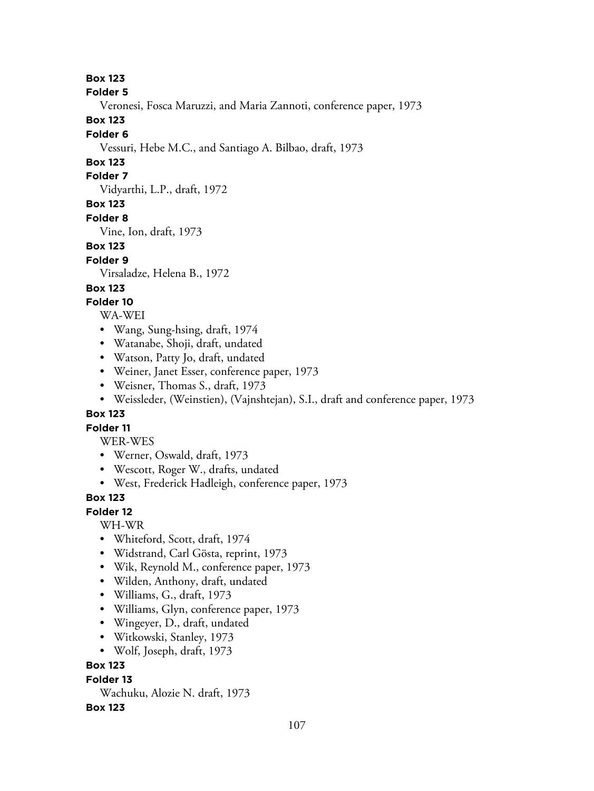**Folder 5**

Veronesi, Fosca Maruzzi, and Maria Zannoti, conference paper, 1973

**Box 123**

#### **Folder 6**

Vessuri, Hebe M.C., and Santiago A. Bilbao, draft, 1973

# **Box 123**

### **Folder 7**

Vidyarthi, L.P., draft, 1972

# **Box 123**

### **Folder 8**

Vine, Ion, draft, 1973

## **Box 123**

## **Folder 9**

Virsaladze, Helena B., 1972

## **Box 123**

## **Folder 10**

WA-WEI

- Wang, Sung-hsing, draft, 1974
- Watanabe, Shoji, draft, undated
- Watson, Patty Jo, draft, undated
- Weiner, Janet Esser, conference paper, 1973
- Weisner, Thomas S., draft, 1973
- Weissleder, (Weinstien), (Vajnshtejan), S.I., draft and conference paper, 1973

## **Box 123**

## **Folder 11**

WER-WES

- Werner, Oswald, draft, 1973
- Wescott, Roger W., drafts, undated
- West, Frederick Hadleigh, conference paper, 1973

## **Box 123**

## **Folder 12**

WH-WR

- Whiteford, Scott, draft, 1974
- Widstrand, Carl Gösta, reprint, 1973
- Wik, Reynold M., conference paper, 1973
- Wilden, Anthony, draft, undated
- Williams, G., draft, 1973
- Williams, Glyn, conference paper, 1973
- Wingeyer, D., draft, undated
- Witkowski, Stanley, 1973
- Wolf, Joseph, draft, 1973

## **Box 123**

## **Folder 13**

Wachuku, Alozie N. draft, 1973

## **Box 123**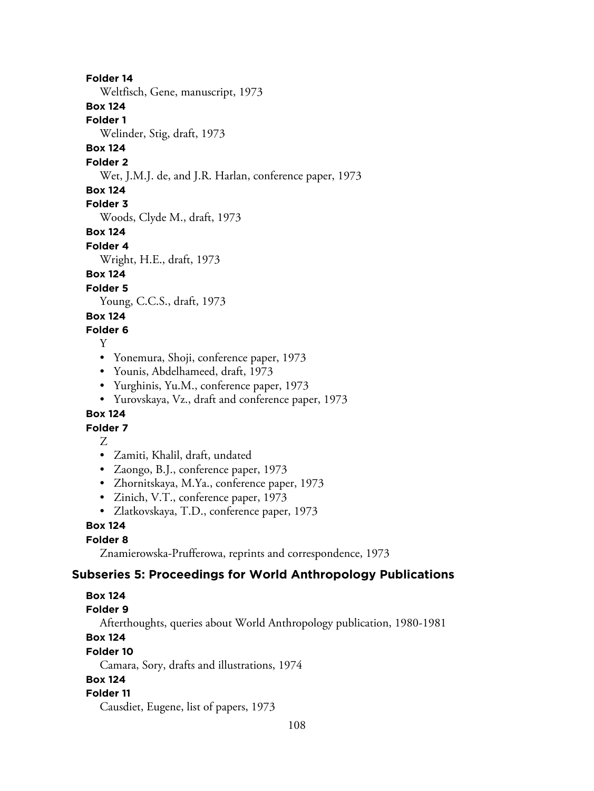### **Folder 14**

Weltfisch, Gene, manuscript, 1973

## **Box 124**

**Folder 1**

Welinder, Stig, draft, 1973

## **Box 124**

**Folder 2**

Wet, J.M.J. de, and J.R. Harlan, conference paper, 1973

### **Box 124**

**Folder 3**

Woods, Clyde M., draft, 1973

## **Box 124**

**Folder 4**

Wright, H.E., draft, 1973

## **Box 124**

**Folder 5**

Young, C.C.S., draft, 1973

## **Box 124**

### **Folder 6**

Y

- Yonemura, Shoji, conference paper, 1973
- Younis, Abdelhameed, draft, 1973
- Yurghinis, Yu.M., conference paper, 1973
- Yurovskaya, Vz., draft and conference paper, 1973

## **Box 124**

## **Folder 7**

Z

- Zamiti, Khalil, draft, undated
- Zaongo, B.J., conference paper, 1973
- Zhornitskaya, M.Ya., conference paper, 1973
- Zinich, V.T., conference paper, 1973
- Zlatkovskaya, T.D., conference paper, 1973

# **Box 124**

# **Folder 8**

Znamierowska-Prufferowa, reprints and correspondence, 1973

## **Subseries 5: Proceedings for World Anthropology Publications**

## **Box 124**

#### **Folder 9**

Afterthoughts, queries about World Anthropology publication, 1980-1981

# **Box 124**

#### **Folder 10**

Camara, Sory, drafts and illustrations, 1974

## **Box 124**

## **Folder 11**

Causdiet, Eugene, list of papers, 1973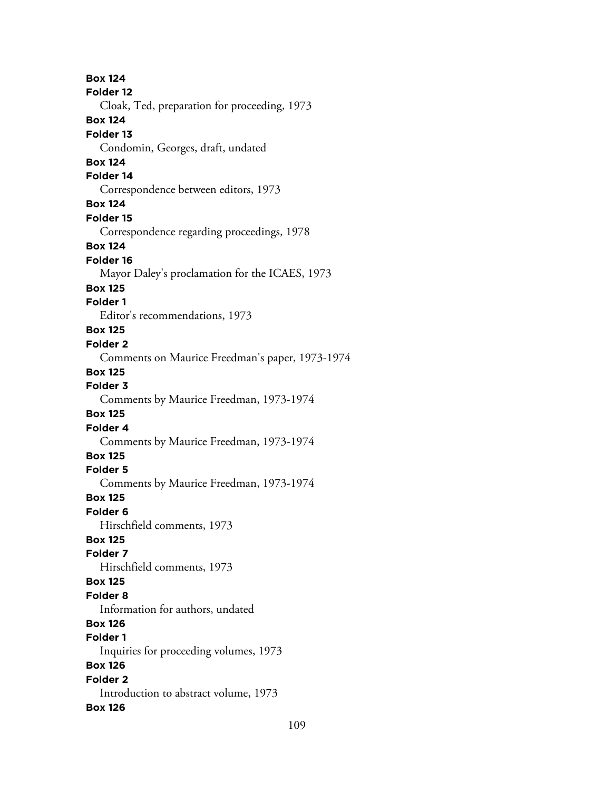**Box 124 Folder 12** Cloak, Ted, preparation for proceeding, 1973 **Box 124 Folder 13** Condomin, Georges, draft, undated **Box 124 Folder 14** Correspondence between editors, 1973 **Box 124 Folder 15** Correspondence regarding proceedings, 1978 **Box 124 Folder 16** Mayor Daley's proclamation for the ICAES, 1973 **Box 125 Folder 1** Editor's recommendations, 1973 **Box 125 Folder 2** Comments on Maurice Freedman's paper, 1973-1974 **Box 125 Folder 3** Comments by Maurice Freedman, 1973-1974 **Box 125 Folder 4** Comments by Maurice Freedman, 1973-1974 **Box 125 Folder 5** Comments by Maurice Freedman, 1973-1974 **Box 125 Folder 6** Hirschfield comments, 1973 **Box 125 Folder 7** Hirschfield comments, 1973 **Box 125 Folder 8** Information for authors, undated **Box 126 Folder 1** Inquiries for proceeding volumes, 1973 **Box 126 Folder 2** Introduction to abstract volume, 1973 **Box 126**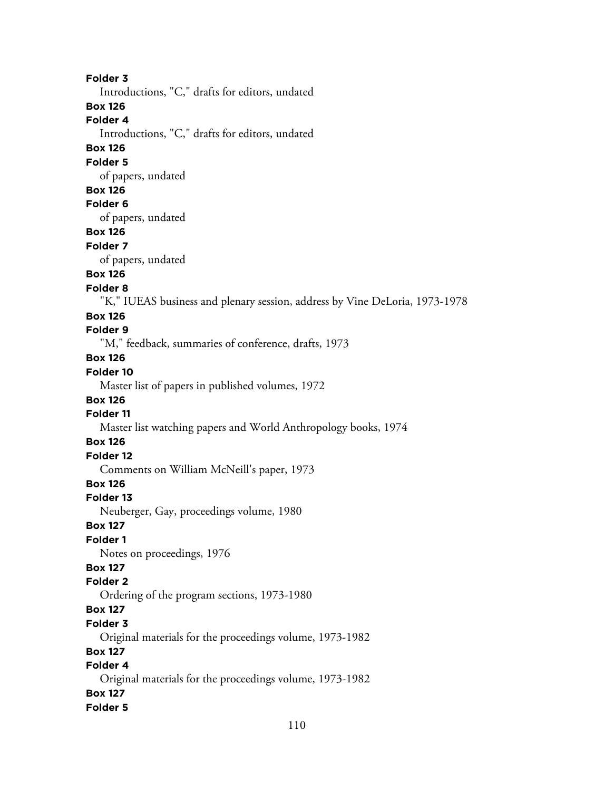**Folder 3**

Introductions, "C," drafts for editors, undated

**Box 126**

**Folder 4**

Introductions, "C," drafts for editors, undated

### **Box 126**

**Folder 5**

of papers, undated

### **Box 126**

#### **Folder 6**

of papers, undated

## **Box 126**

#### **Folder 7**

of papers, undated

### **Box 126**

#### **Folder 8**

"K," IUEAS business and plenary session, address by Vine DeLoria, 1973-1978

### **Box 126**

## **Folder 9**

"M," feedback, summaries of conference, drafts, 1973

## **Box 126**

## **Folder 10**

Master list of papers in published volumes, 1972

#### **Box 126**

## **Folder 11**

Master list watching papers and World Anthropology books, 1974

## **Box 126**

## **Folder 12**

Comments on William McNeill's paper, 1973

## **Box 126**

#### **Folder 13**

Neuberger, Gay, proceedings volume, 1980

#### **Box 127**

## **Folder 1**

Notes on proceedings, 1976

## **Box 127**

#### **Folder 2**

Ordering of the program sections, 1973-1980

## **Box 127**

#### **Folder 3**

Original materials for the proceedings volume, 1973-1982

#### **Box 127**

## **Folder 4**

Original materials for the proceedings volume, 1973-1982 **Box 127 Folder 5**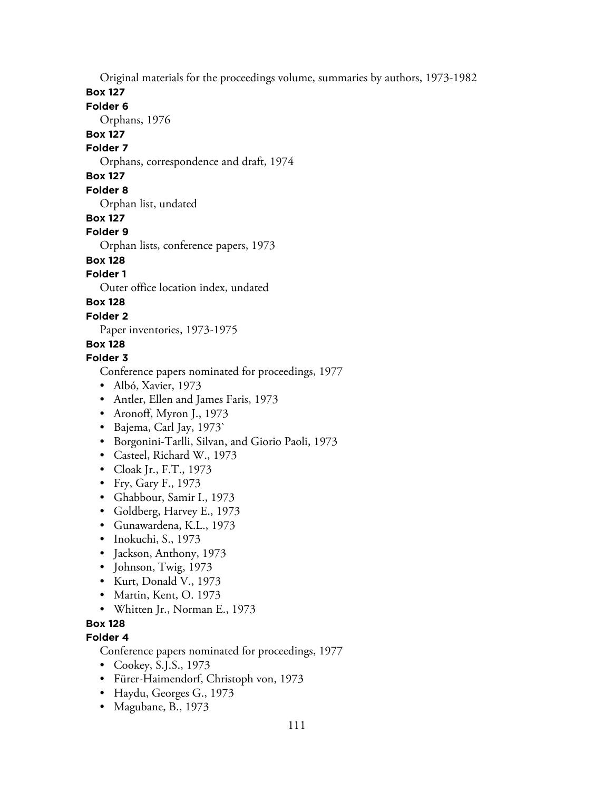Original materials for the proceedings volume, summaries by authors, 1973-1982

**Box 127**

**Folder 6**

Orphans, 1976

**Box 127**

**Folder 7**

Orphans, correspondence and draft, 1974

## **Box 127**

**Folder 8**

Orphan list, undated

## **Box 127**

## **Folder 9**

Orphan lists, conference papers, 1973

## **Box 128**

**Folder 1**

Outer office location index, undated

## **Box 128**

**Folder 2**

Paper inventories, 1973-1975

## **Box 128**

## **Folder 3**

Conference papers nominated for proceedings, 1977

- Albó, Xavier, 1973
- Antler, Ellen and James Faris, 1973
- Aronoff, Myron J., 1973
- Bajema, Carl Jay, 1973`
- Borgonini-Tarlli, Silvan, and Giorio Paoli, 1973
- Casteel, Richard W., 1973
- Cloak Jr., F.T., 1973
- Fry, Gary F., 1973
- Ghabbour, Samir I., 1973
- Goldberg, Harvey E., 1973
- Gunawardena, K.L., 1973
- Inokuchi, S., 1973
- Jackson, Anthony, 1973
- Johnson, Twig, 1973
- Kurt, Donald V., 1973
- Martin, Kent, O. 1973
- Whitten Jr., Norman E., 1973

## **Box 128**

## **Folder 4**

Conference papers nominated for proceedings, 1977

- Cookey, S.J.S., 1973
- Fürer-Haimendorf, Christoph von, 1973
- Haydu, Georges G., 1973
- Magubane, B., 1973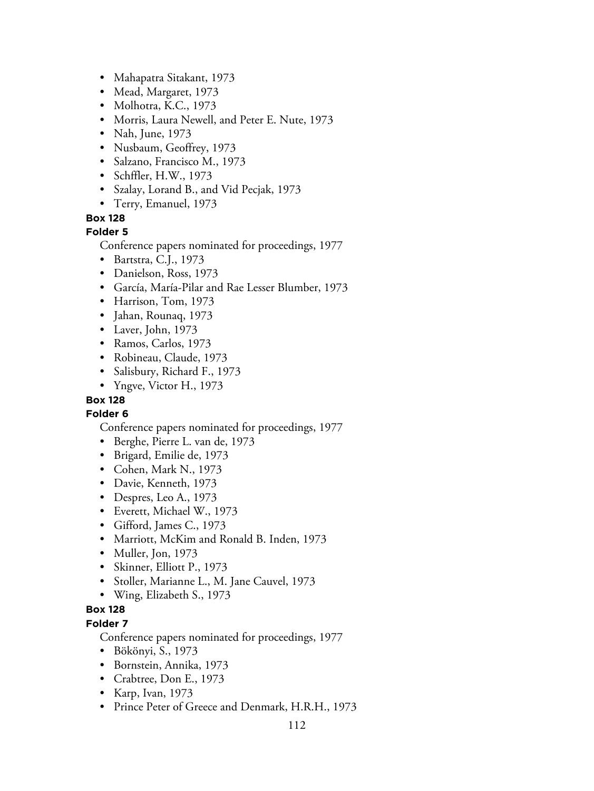- Mahapatra Sitakant, 1973
- Mead, Margaret, 1973
- Molhotra, K.C., 1973
- Morris, Laura Newell, and Peter E. Nute, 1973
- Nah, June, 1973
- Nusbaum, Geoffrey, 1973
- Salzano, Francisco M., 1973
- Schffler, H.W., 1973
- Szalay, Lorand B., and Vid Pecjak, 1973
- Terry, Emanuel, 1973

#### **Box 128**

#### **Folder 5**

Conference papers nominated for proceedings, 1977

- Bartstra, C.J., 1973
- Danielson, Ross, 1973
- García, María-Pilar and Rae Lesser Blumber, 1973
- Harrison, Tom, 1973
- Jahan, Rounaq, 1973
- Laver, John, 1973
- Ramos, Carlos, 1973
- Robineau, Claude, 1973
- Salisbury, Richard F., 1973
- Yngve, Victor H., 1973

### **Box 128**

#### **Folder 6**

Conference papers nominated for proceedings, 1977

- Berghe, Pierre L. van de, 1973
- Brigard, Emilie de, 1973
- Cohen, Mark N., 1973
- Davie, Kenneth, 1973
- Despres, Leo A., 1973
- Everett, Michael W., 1973
- Gifford, James C., 1973
- Marriott, McKim and Ronald B. Inden, 1973
- Muller, Jon, 1973
- Skinner, Elliott P., 1973
- Stoller, Marianne L., M. Jane Cauvel, 1973
- Wing, Elizabeth S., 1973

## **Box 128**

## **Folder 7**

Conference papers nominated for proceedings, 1977

- Bökönyi, S., 1973
- Bornstein, Annika, 1973
- Crabtree, Don E., 1973
- Karp, Ivan, 1973
- Prince Peter of Greece and Denmark, H.R.H., 1973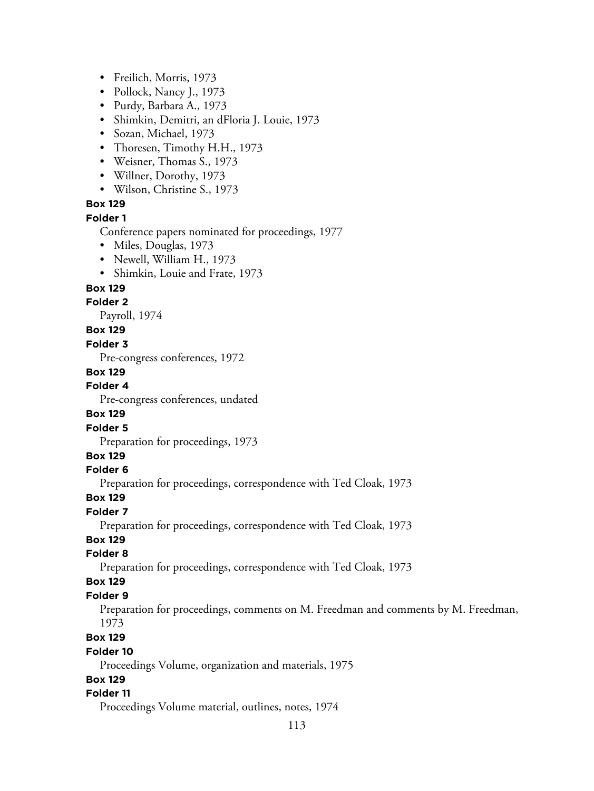- Freilich, Morris, 1973
- Pollock, Nancy J., 1973
- Purdy, Barbara A., 1973
- Shimkin, Demitri, an dFloria J. Louie, 1973
- Sozan, Michael, 1973
- Thoresen, Timothy H.H., 1973
- Weisner, Thomas S., 1973
- Willner, Dorothy, 1973
- Wilson, Christine S., 1973

#### **Box 129 Folder 1**

Conference papers nominated for proceedings, 1977

- Miles, Douglas, 1973
- Newell, William H., 1973
- Shimkin, Louie and Frate, 1973

#### **Box 129**

#### **Folder 2**

Payroll, 1974

#### **Box 129**

#### **Folder 3**

Pre-congress conferences, 1972

#### **Box 129**

#### **Folder 4**

Pre-congress conferences, undated

#### **Box 129**

#### **Folder 5**

Preparation for proceedings, 1973

### **Box 129**

#### **Folder 6**

Preparation for proceedings, correspondence with Ted Cloak, 1973

#### **Box 129**

#### **Folder 7**

Preparation for proceedings, correspondence with Ted Cloak, 1973

#### **Box 129**

#### **Folder 8**

Preparation for proceedings, correspondence with Ted Cloak, 1973

#### **Box 129**

#### **Folder 9**

Preparation for proceedings, comments on M. Freedman and comments by M. Freedman, 1973

#### **Box 129**

#### **Folder 10**

Proceedings Volume, organization and materials, 1975

#### **Box 129**

#### **Folder 11**

Proceedings Volume material, outlines, notes, 1974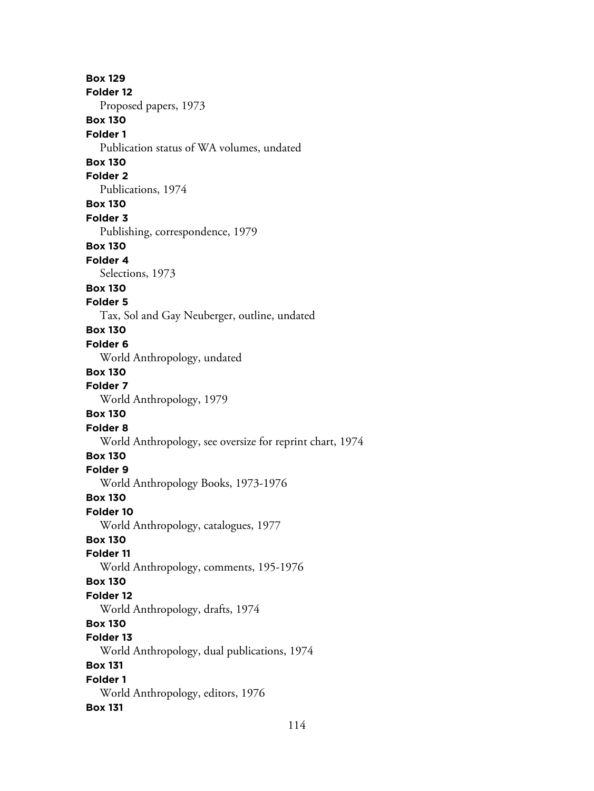**Box 129 Folder 12** Proposed papers, 1973 **Box 130 Folder 1** Publication status of WA volumes, undated **Box 130 Folder 2** Publications, 1974 **Box 130 Folder 3** Publishing, correspondence, 1979 **Box 130 Folder 4** Selections, 1973 **Box 130 Folder 5** Tax, Sol and Gay Neuberger, outline, undated **Box 130 Folder 6** World Anthropology, undated **Box 130 Folder 7** World Anthropology, 1979 **Box 130 Folder 8** World Anthropology, see oversize for reprint chart, 1974 **Box 130 Folder 9** World Anthropology Books, 1973-1976 **Box 130 Folder 10** World Anthropology, catalogues, 1977 **Box 130 Folder 11** World Anthropology, comments, 195-1976 **Box 130 Folder 12** World Anthropology, drafts, 1974 **Box 130 Folder 13** World Anthropology, dual publications, 1974 **Box 131 Folder 1** World Anthropology, editors, 1976 **Box 131**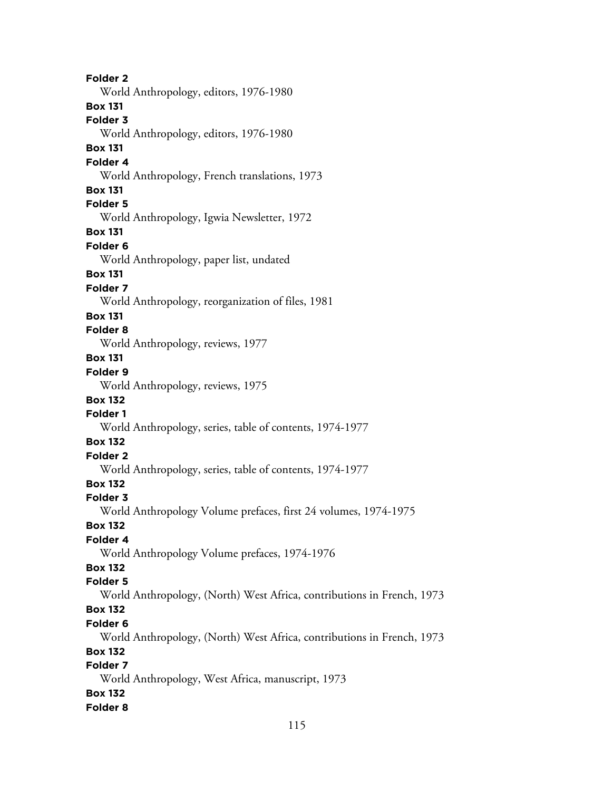**Folder 2** World Anthropology, editors, 1976-1980 **Box 131 Folder 3** World Anthropology, editors, 1976-1980 **Box 131 Folder 4** World Anthropology, French translations, 1973 **Box 131 Folder 5** World Anthropology, Igwia Newsletter, 1972 **Box 131 Folder 6** World Anthropology, paper list, undated **Box 131 Folder 7** World Anthropology, reorganization of files, 1981 **Box 131 Folder 8** World Anthropology, reviews, 1977 **Box 131 Folder 9** World Anthropology, reviews, 1975 **Box 132 Folder 1** World Anthropology, series, table of contents, 1974-1977 **Box 132 Folder 2** World Anthropology, series, table of contents, 1974-1977 **Box 132 Folder 3** World Anthropology Volume prefaces, first 24 volumes, 1974-1975 **Box 132 Folder 4** World Anthropology Volume prefaces, 1974-1976 **Box 132 Folder 5** World Anthropology, (North) West Africa, contributions in French, 1973 **Box 132 Folder 6** World Anthropology, (North) West Africa, contributions in French, 1973 **Box 132 Folder 7** World Anthropology, West Africa, manuscript, 1973 **Box 132 Folder 8**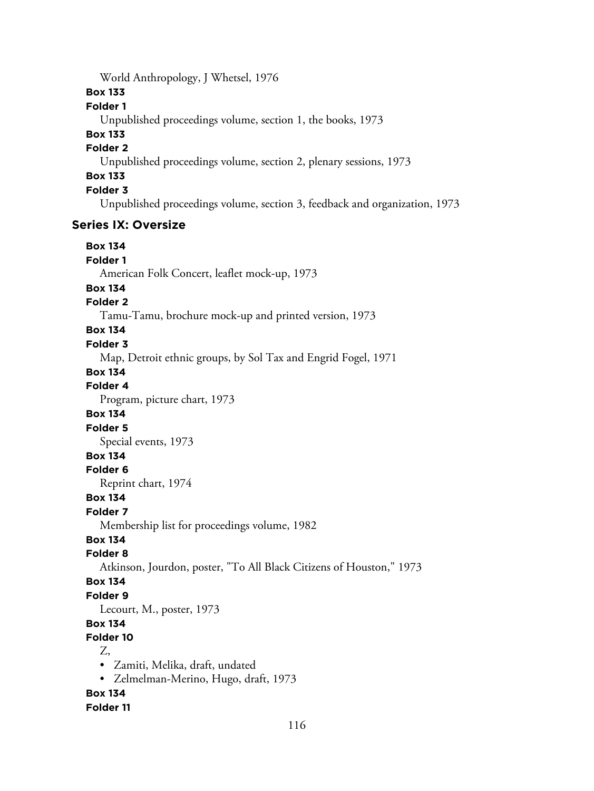World Anthropology, J Whetsel, 1976

### **Box 133**

### **Folder 1**

Unpublished proceedings volume, section 1, the books, 1973

# **Box 133**

## **Folder 2**

Unpublished proceedings volume, section 2, plenary sessions, 1973

## **Box 133**

**Folder 3**

Unpublished proceedings volume, section 3, feedback and organization, 1973

## **Series IX: Oversize**

**Box 134 Folder 1** American Folk Concert, leaflet mock-up, 1973 **Box 134 Folder 2** Tamu-Tamu, brochure mock-up and printed version, 1973 **Box 134 Folder 3** Map, Detroit ethnic groups, by Sol Tax and Engrid Fogel, 1971 **Box 134 Folder 4** Program, picture chart, 1973 **Box 134 Folder 5** Special events, 1973 **Box 134 Folder 6** Reprint chart, 1974 **Box 134 Folder 7** Membership list for proceedings volume, 1982 **Box 134 Folder 8** Atkinson, Jourdon, poster, "To All Black Citizens of Houston," 1973 **Box 134 Folder 9** Lecourt, M., poster, 1973 **Box 134 Folder 10** Z, • Zamiti, Melika, draft, undated • Zelmelman-Merino, Hugo, draft, 1973 **Box 134 Folder 11**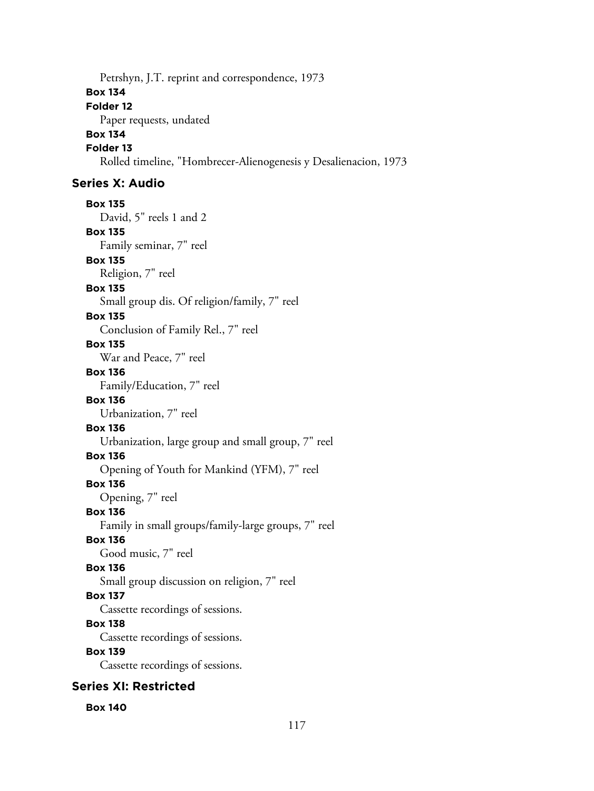Petrshyn, J.T. reprint and correspondence, 1973 **Box 134 Folder 12** Paper requests, undated **Box 134 Folder 13** Rolled timeline, "Hombrecer-Alienogenesis y Desalienacion, 1973

## **Series X: Audio**

**Box 135** David, 5" reels 1 and 2 **Box 135** Family seminar, 7" reel **Box 135** Religion, 7" reel **Box 135** Small group dis. Of religion/family, 7" reel

#### **Box 135**

Conclusion of Family Rel., 7" reel

#### **Box 135**

War and Peace, 7" reel

#### **Box 136**

Family/Education, 7" reel

#### **Box 136**

Urbanization, 7" reel

## **Box 136**

Urbanization, large group and small group, 7" reel

## **Box 136**

Opening of Youth for Mankind (YFM), 7" reel

### **Box 136**

Opening, 7" reel

#### **Box 136**

Family in small groups/family-large groups, 7" reel

#### **Box 136**

Good music, 7" reel

#### **Box 136**

Small group discussion on religion, 7" reel

#### **Box 137**

Cassette recordings of sessions.

# **Box 138**

Cassette recordings of sessions.

### **Box 139**

Cassette recordings of sessions.

### **Series XI: Restricted**

#### **Box 140**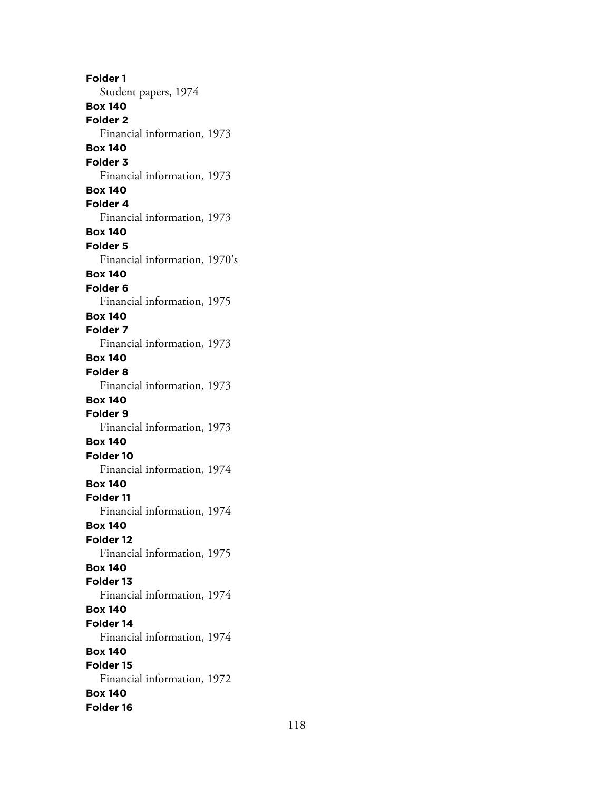**Folder 1** Student papers, 1974 **Box 140 Folder 2** Financial information, 1973 **Box 140 Folder 3** Financial information, 1973 **Box 140 Folder 4** Financial information, 1973 **Box 140 Folder 5** Financial information, 1970's **Box 140 Folder 6** Financial information, 1975 **Box 140 Folder 7** Financial information, 1973 **Box 140 Folder 8** Financial information, 1973 **Box 140 Folder 9** Financial information, 1973 **Box 140 Folder 10** Financial information, 1974 **Box 140 Folder 11** Financial information, 1974 **Box 140 Folder 12** Financial information, 1975 **Box 140 Folder 13** Financial information, 1974 **Box 140 Folder 14** Financial information, 1974 **Box 140 Folder 15** Financial information, 1972 **Box 140 Folder 16**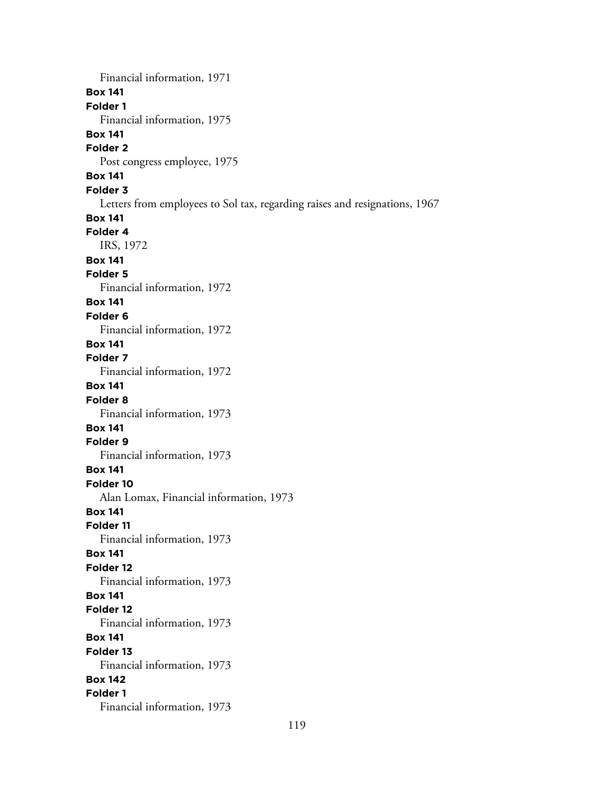Financial information, 1971 **Box 141 Folder 1** Financial information, 1975 **Box 141 Folder 2** Post congress employee, 1975 **Box 141 Folder 3** Letters from employees to Sol tax, regarding raises and resignations, 1967 **Box 141 Folder 4** IRS, 1972 **Box 141 Folder 5** Financial information, 1972 **Box 141 Folder 6** Financial information, 1972 **Box 141 Folder 7** Financial information, 1972 **Box 141 Folder 8** Financial information, 1973 **Box 141 Folder 9** Financial information, 1973 **Box 141 Folder 10** Alan Lomax, Financial information, 1973 **Box 141 Folder 11** Financial information, 1973 **Box 141 Folder 12** Financial information, 1973 **Box 141 Folder 12** Financial information, 1973 **Box 141 Folder 13** Financial information, 1973 **Box 142 Folder 1** Financial information, 1973